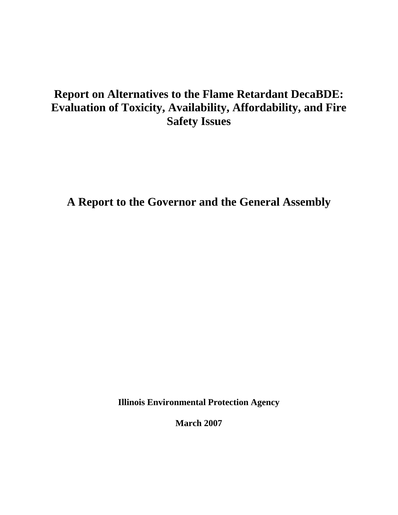# **Report on Alternatives to the Flame Retardant DecaBDE: Evaluation of Toxicity, Availability, Affordability, and Fire Safety Issues**

**A Report to the Governor and the General Assembly** 

**Illinois Environmental Protection Agency** 

**March 2007**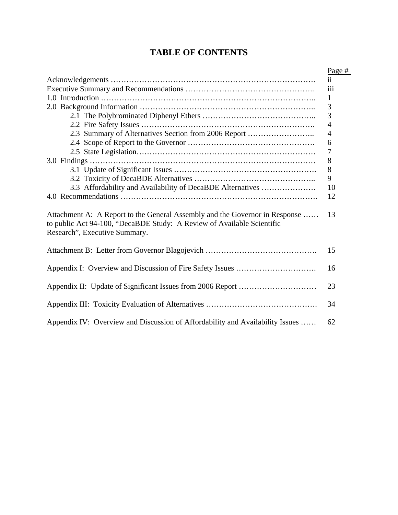## **TABLE OF CONTENTS**

|                                                                                                                                                                                        | Page #              |
|----------------------------------------------------------------------------------------------------------------------------------------------------------------------------------------|---------------------|
|                                                                                                                                                                                        | $\ddot{\mathbf{i}}$ |
|                                                                                                                                                                                        | $\ddot{\text{iii}}$ |
|                                                                                                                                                                                        | $\mathbf{1}$        |
|                                                                                                                                                                                        | 3                   |
|                                                                                                                                                                                        | 3                   |
|                                                                                                                                                                                        | $\overline{4}$      |
| 2.3 Summary of Alternatives Section from 2006 Report                                                                                                                                   | $\overline{4}$      |
|                                                                                                                                                                                        | 6                   |
|                                                                                                                                                                                        | 7                   |
|                                                                                                                                                                                        | 8                   |
|                                                                                                                                                                                        | 8                   |
|                                                                                                                                                                                        | 9                   |
| 3.3 Affordability and Availability of DecaBDE Alternatives                                                                                                                             | 10                  |
|                                                                                                                                                                                        | 12                  |
| Attachment A: A Report to the General Assembly and the Governor in Response<br>to public Act 94-100, "DecaBDE Study: A Review of Available Scientific<br>Research", Executive Summary. | 13                  |
|                                                                                                                                                                                        | 15                  |
|                                                                                                                                                                                        | 16                  |
|                                                                                                                                                                                        | 23                  |
|                                                                                                                                                                                        | 34                  |
| Appendix IV: Overview and Discussion of Affordability and Availability Issues                                                                                                          | 62                  |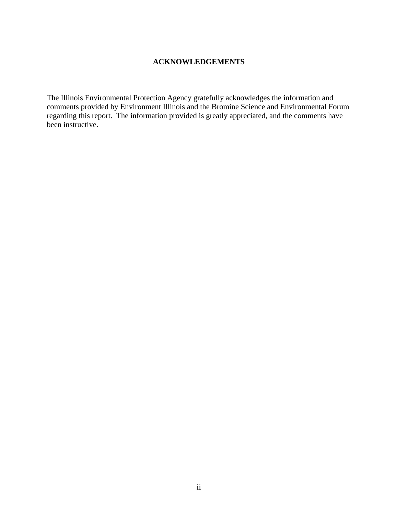## **ACKNOWLEDGEMENTS**

The Illinois Environmental Protection Agency gratefully acknowledges the information and comments provided by Environment Illinois and the Bromine Science and Environmental Forum regarding this report. The information provided is greatly appreciated, and the comments have been instructive.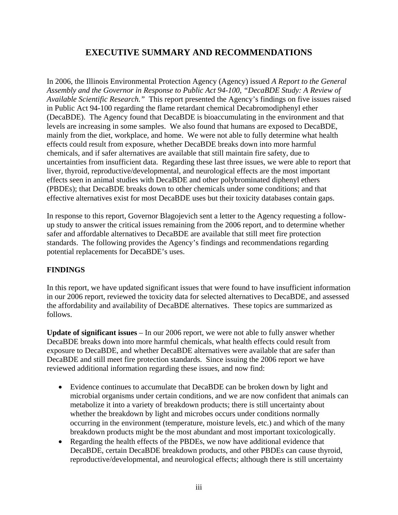## **EXECUTIVE SUMMARY AND RECOMMENDATIONS**

In 2006, the Illinois Environmental Protection Agency (Agency) issued *A Report to the General Assembly and the Governor in Response to Public Act 94-100, "DecaBDE Study: A Review of Available Scientific Research."* This report presented the Agency's findings on five issues raised in Public Act 94-100 regarding the flame retardant chemical Decabromodiphenyl ether (DecaBDE). The Agency found that DecaBDE is bioaccumulating in the environment and that levels are increasing in some samples. We also found that humans are exposed to DecaBDE, mainly from the diet, workplace, and home. We were not able to fully determine what health effects could result from exposure, whether DecaBDE breaks down into more harmful chemicals, and if safer alternatives are available that still maintain fire safety, due to uncertainties from insufficient data. Regarding these last three issues, we were able to report that liver, thyroid, reproductive/developmental, and neurological effects are the most important effects seen in animal studies with DecaBDE and other polybrominated diphenyl ethers (PBDEs); that DecaBDE breaks down to other chemicals under some conditions; and that effective alternatives exist for most DecaBDE uses but their toxicity databases contain gaps.

In response to this report, Governor Blagojevich sent a letter to the Agency requesting a followup study to answer the critical issues remaining from the 2006 report, and to determine whether safer and affordable alternatives to DecaBDE are available that still meet fire protection standards. The following provides the Agency's findings and recommendations regarding potential replacements for DecaBDE's uses.

## **FINDINGS**

In this report, we have updated significant issues that were found to have insufficient information in our 2006 report, reviewed the toxicity data for selected alternatives to DecaBDE, and assessed the affordability and availability of DecaBDE alternatives. These topics are summarized as follows.

**Update of significant issues** – In our 2006 report, we were not able to fully answer whether DecaBDE breaks down into more harmful chemicals, what health effects could result from exposure to DecaBDE, and whether DecaBDE alternatives were available that are safer than DecaBDE and still meet fire protection standards. Since issuing the 2006 report we have reviewed additional information regarding these issues, and now find:

- Evidence continues to accumulate that DecaBDE can be broken down by light and microbial organisms under certain conditions, and we are now confident that animals can metabolize it into a variety of breakdown products; there is still uncertainty about whether the breakdown by light and microbes occurs under conditions normally occurring in the environment (temperature, moisture levels, etc.) and which of the many breakdown products might be the most abundant and most important toxicologically.
- Regarding the health effects of the PBDEs, we now have additional evidence that DecaBDE, certain DecaBDE breakdown products, and other PBDEs can cause thyroid, reproductive/developmental, and neurological effects; although there is still uncertainty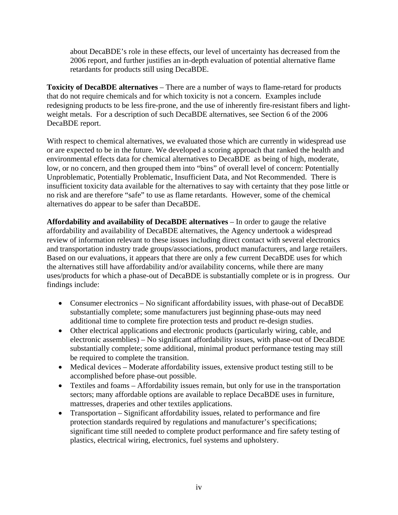about DecaBDE's role in these effects, our level of uncertainty has decreased from the 2006 report, and further justifies an in-depth evaluation of potential alternative flame retardants for products still using DecaBDE.

**Toxicity of DecaBDE alternatives** – There are a number of ways to flame-retard for products that do not require chemicals and for which toxicity is not a concern. Examples include redesigning products to be less fire-prone, and the use of inherently fire-resistant fibers and lightweight metals. For a description of such DecaBDE alternatives, see Section 6 of the 2006 DecaBDE report.

With respect to chemical alternatives, we evaluated those which are currently in widespread use or are expected to be in the future. We developed a scoring approach that ranked the health and environmental effects data for chemical alternatives to DecaBDE as being of high, moderate, low, or no concern, and then grouped them into "bins" of overall level of concern: Potentially Unproblematic, Potentially Problematic, Insufficient Data, and Not Recommended. There is insufficient toxicity data available for the alternatives to say with certainty that they pose little or no risk and are therefore "safe" to use as flame retardants. However, some of the chemical alternatives do appear to be safer than DecaBDE.

**Affordability and availability of DecaBDE alternatives** – In order to gauge the relative affordability and availability of DecaBDE alternatives, the Agency undertook a widespread review of information relevant to these issues including direct contact with several electronics and transportation industry trade groups/associations, product manufacturers, and large retailers. Based on our evaluations, it appears that there are only a few current DecaBDE uses for which the alternatives still have affordability and/or availability concerns, while there are many uses/products for which a phase-out of DecaBDE is substantially complete or is in progress. Our findings include:

- Consumer electronics No significant affordability issues, with phase-out of DecaBDE substantially complete; some manufacturers just beginning phase-outs may need additional time to complete fire protection tests and product re-design studies.
- Other electrical applications and electronic products (particularly wiring, cable, and electronic assemblies) – No significant affordability issues, with phase-out of DecaBDE substantially complete; some additional, minimal product performance testing may still be required to complete the transition.
- Medical devices Moderate affordability issues, extensive product testing still to be accomplished before phase-out possible.
- Textiles and foams Affordability issues remain, but only for use in the transportation sectors; many affordable options are available to replace DecaBDE uses in furniture, mattresses, draperies and other textiles applications.
- Transportation Significant affordability issues, related to performance and fire protection standards required by regulations and manufacturer's specifications; significant time still needed to complete product performance and fire safety testing of plastics, electrical wiring, electronics, fuel systems and upholstery.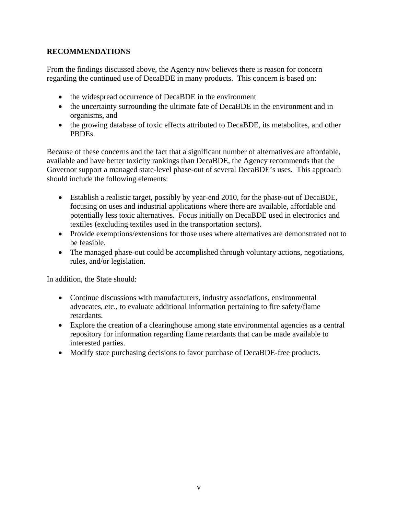## **RECOMMENDATIONS**

From the findings discussed above, the Agency now believes there is reason for concern regarding the continued use of DecaBDE in many products. This concern is based on:

- the widespread occurrence of DecaBDE in the environment
- the uncertainty surrounding the ultimate fate of DecaBDE in the environment and in organisms, and
- the growing database of toxic effects attributed to DecaBDE, its metabolites, and other PBDEs.

Because of these concerns and the fact that a significant number of alternatives are affordable, available and have better toxicity rankings than DecaBDE, the Agency recommends that the Governor support a managed state-level phase-out of several DecaBDE's uses. This approach should include the following elements:

- Establish a realistic target, possibly by year-end 2010, for the phase-out of DecaBDE, focusing on uses and industrial applications where there are available, affordable and potentially less toxic alternatives. Focus initially on DecaBDE used in electronics and textiles (excluding textiles used in the transportation sectors).
- Provide exemptions/extensions for those uses where alternatives are demonstrated not to be feasible.
- The managed phase-out could be accomplished through voluntary actions, negotiations, rules, and/or legislation.

In addition, the State should:

- Continue discussions with manufacturers, industry associations, environmental advocates, etc., to evaluate additional information pertaining to fire safety/flame retardants.
- Explore the creation of a clearinghouse among state environmental agencies as a central repository for information regarding flame retardants that can be made available to interested parties.
- Modify state purchasing decisions to favor purchase of DecaBDE-free products.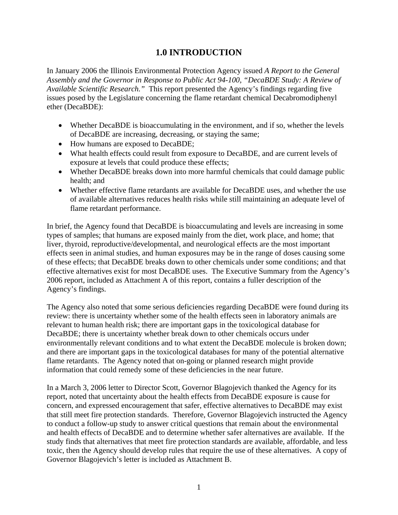## **1.0 INTRODUCTION**

In January 2006 the Illinois Environmental Protection Agency issued *A Report to the General Assembly and the Governor in Response to Public Act 94-100, "DecaBDE Study: A Review of Available Scientific Research."* This report presented the Agency's findings regarding five issues posed by the Legislature concerning the flame retardant chemical Decabromodiphenyl ether (DecaBDE):

- Whether DecaBDE is bioaccumulating in the environment, and if so, whether the levels of DecaBDE are increasing, decreasing, or staying the same;
- How humans are exposed to DecaBDE;
- What health effects could result from exposure to DecaBDE, and are current levels of exposure at levels that could produce these effects;
- Whether DecaBDE breaks down into more harmful chemicals that could damage public health; and
- Whether effective flame retardants are available for DecaBDE uses, and whether the use of available alternatives reduces health risks while still maintaining an adequate level of flame retardant performance.

In brief, the Agency found that DecaBDE is bioaccumulating and levels are increasing in some types of samples; that humans are exposed mainly from the diet, work place, and home; that liver, thyroid, reproductive/developmental, and neurological effects are the most important effects seen in animal studies, and human exposures may be in the range of doses causing some of these effects; that DecaBDE breaks down to other chemicals under some conditions; and that effective alternatives exist for most DecaBDE uses. The Executive Summary from the Agency's 2006 report, included as Attachment A of this report, contains a fuller description of the Agency's findings.

The Agency also noted that some serious deficiencies regarding DecaBDE were found during its review: there is uncertainty whether some of the health effects seen in laboratory animals are relevant to human health risk; there are important gaps in the toxicological database for DecaBDE; there is uncertainty whether break down to other chemicals occurs under environmentally relevant conditions and to what extent the DecaBDE molecule is broken down; and there are important gaps in the toxicological databases for many of the potential alternative flame retardants. The Agency noted that on-going or planned research might provide information that could remedy some of these deficiencies in the near future.

In a March 3, 2006 letter to Director Scott, Governor Blagojevich thanked the Agency for its report, noted that uncertainty about the health effects from DecaBDE exposure is cause for concern, and expressed encouragement that safer, effective alternatives to DecaBDE may exist that still meet fire protection standards. Therefore, Governor Blagojevich instructed the Agency to conduct a follow-up study to answer critical questions that remain about the environmental and health effects of DecaBDE and to determine whether safer alternatives are available. If the study finds that alternatives that meet fire protection standards are available, affordable, and less toxic, then the Agency should develop rules that require the use of these alternatives. A copy of Governor Blagojevich's letter is included as Attachment B.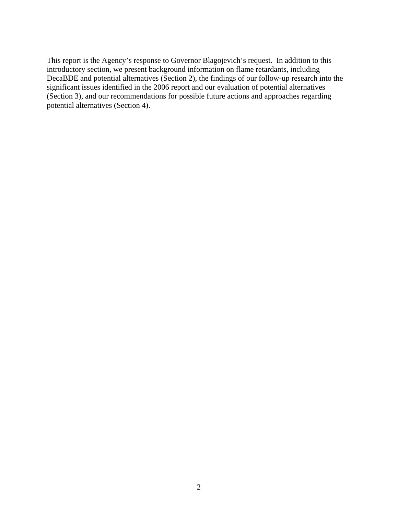This report is the Agency's response to Governor Blagojevich's request. In addition to this introductory section, we present background information on flame retardants, including DecaBDE and potential alternatives (Section 2), the findings of our follow-up research into the significant issues identified in the 2006 report and our evaluation of potential alternatives (Section 3), and our recommendations for possible future actions and approaches regarding potential alternatives (Section 4).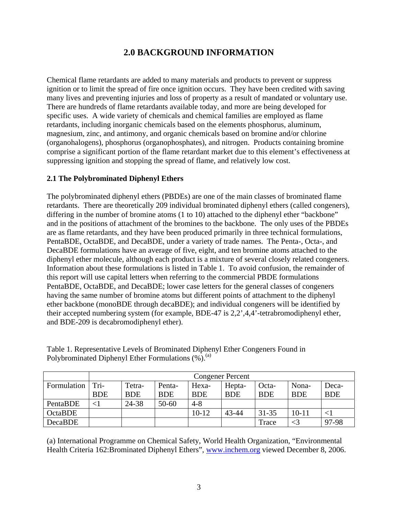## **2.0 BACKGROUND INFORMATION**

Chemical flame retardants are added to many materials and products to prevent or suppress ignition or to limit the spread of fire once ignition occurs. They have been credited with saving many lives and preventing injuries and loss of property as a result of mandated or voluntary use. There are hundreds of flame retardants available today, and more are being developed for specific uses. A wide variety of chemicals and chemical families are employed as flame retardants, including inorganic chemicals based on the elements phosphorus, aluminum, magnesium, zinc, and antimony, and organic chemicals based on bromine and/or chlorine (organohalogens), phosphorus (organophosphates), and nitrogen. Products containing bromine comprise a significant portion of the flame retardant market due to this element's effectiveness at suppressing ignition and stopping the spread of flame, and relatively low cost.

## **2.1 The Polybrominated Diphenyl Ethers**

The polybrominated diphenyl ethers (PBDEs) are one of the main classes of brominated flame retardants. There are theoretically 209 individual brominated diphenyl ethers (called congeners), differing in the number of bromine atoms (1 to 10) attached to the diphenyl ether "backbone" and in the positions of attachment of the bromines to the backbone. The only uses of the PBDEs are as flame retardants, and they have been produced primarily in three technical formulations, PentaBDE, OctaBDE, and DecaBDE, under a variety of trade names. The Penta-, Octa-, and DecaBDE formulations have an average of five, eight, and ten bromine atoms attached to the diphenyl ether molecule, although each product is a mixture of several closely related congeners. Information about these formulations is listed in Table 1. To avoid confusion, the remainder of this report will use capital letters when referring to the commercial PBDE formulations PentaBDE, OctaBDE, and DecaBDE; lower case letters for the general classes of congeners having the same number of bromine atoms but different points of attachment to the diphenyl ether backbone (monoBDE through decaBDE); and individual congeners will be identified by their accepted numbering system (for example, BDE-47 is 2,2',4,4'-tetrabromodiphenyl ether, and BDE-209 is decabromodiphenyl ether).

|                    | <b>Congener Percent</b> |            |            |            |            |            |            |            |  |
|--------------------|-------------------------|------------|------------|------------|------------|------------|------------|------------|--|
| Formulation   Tri- |                         | Tetra-     | Penta-     | Hexa-      | Hepta-     | Octa-      | Nona-      | Deca-      |  |
|                    | <b>BDE</b>              | <b>BDE</b> | <b>BDE</b> | <b>BDE</b> | <b>BDE</b> | <b>BDE</b> | <b>BDE</b> | <b>BDE</b> |  |
| PentaBDE           | ${<}1$                  | 24-38      | $50 - 60$  | $4 - 8$    |            |            |            |            |  |
| <b>OctaBDE</b>     |                         |            |            | $10 - 12$  | 43-44      | $31 - 35$  | $10 - 11$  |            |  |
| DecaBDE            |                         |            |            |            |            | Trace      | $<$ 3      | 97-98      |  |

Table 1. Representative Levels of Brominated Diphenyl Ether Congeners Found in Polybrominated Diphenyl Ether Formulations  $(\%).^{(a)}$ 

(a) International Programme on Chemical Safety, World Health Organization, "Environmental Health Criteria 162:Brominated Diphenyl Ethers", www.inchem.org viewed December 8, 2006.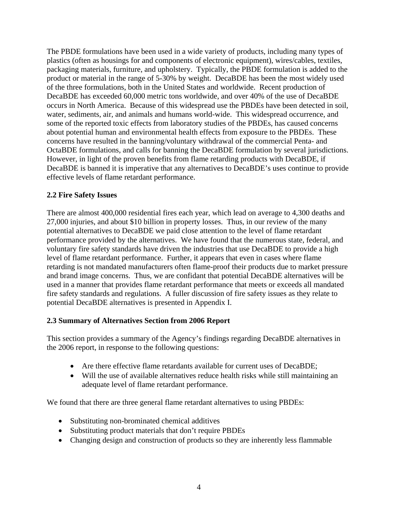The PBDE formulations have been used in a wide variety of products, including many types of plastics (often as housings for and components of electronic equipment), wires/cables, textiles, packaging materials, furniture, and upholstery. Typically, the PBDE formulation is added to the product or material in the range of 5-30% by weight. DecaBDE has been the most widely used of the three formulations, both in the United States and worldwide. Recent production of DecaBDE has exceeded 60,000 metric tons worldwide, and over 40% of the use of DecaBDE occurs in North America. Because of this widespread use the PBDEs have been detected in soil, water, sediments, air, and animals and humans world-wide. This widespread occurrence, and some of the reported toxic effects from laboratory studies of the PBDEs, has caused concerns about potential human and environmental health effects from exposure to the PBDEs. These concerns have resulted in the banning/voluntary withdrawal of the commercial Penta- and OctaBDE formulations, and calls for banning the DecaBDE formulation by several jurisdictions. However, in light of the proven benefits from flame retarding products with DecaBDE, if DecaBDE is banned it is imperative that any alternatives to DecaBDE's uses continue to provide effective levels of flame retardant performance.

## **2.2 Fire Safety Issues**

There are almost 400,000 residential fires each year, which lead on average to 4,300 deaths and 27,000 injuries, and about \$10 billion in property losses. Thus, in our review of the many potential alternatives to DecaBDE we paid close attention to the level of flame retardant performance provided by the alternatives. We have found that the numerous state, federal, and voluntary fire safety standards have driven the industries that use DecaBDE to provide a high level of flame retardant performance. Further, it appears that even in cases where flame retarding is not mandated manufacturers often flame-proof their products due to market pressure and brand image concerns. Thus, we are confidant that potential DecaBDE alternatives will be used in a manner that provides flame retardant performance that meets or exceeds all mandated fire safety standards and regulations. A fuller discussion of fire safety issues as they relate to potential DecaBDE alternatives is presented in Appendix I.

## **2.3 Summary of Alternatives Section from 2006 Report**

This section provides a summary of the Agency's findings regarding DecaBDE alternatives in the 2006 report, in response to the following questions:

- Are there effective flame retardants available for current uses of DecaBDE;
- Will the use of available alternatives reduce health risks while still maintaining an adequate level of flame retardant performance.

We found that there are three general flame retardant alternatives to using PBDEs:

- Substituting non-brominated chemical additives
- Substituting product materials that don't require PBDEs
- Changing design and construction of products so they are inherently less flammable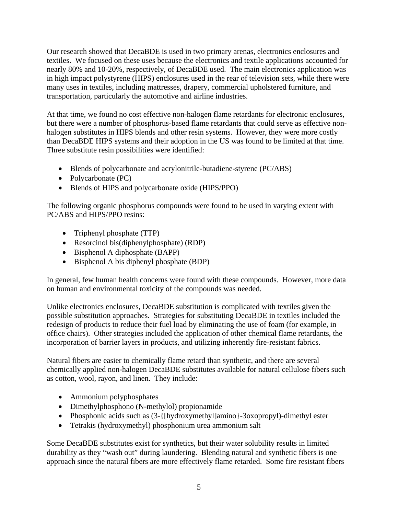Our research showed that DecaBDE is used in two primary arenas, electronics enclosures and textiles. We focused on these uses because the electronics and textile applications accounted for nearly 80% and 10-20%, respectively, of DecaBDE used. The main electronics application was in high impact polystyrene (HIPS) enclosures used in the rear of television sets, while there were many uses in textiles, including mattresses, drapery, commercial upholstered furniture, and transportation, particularly the automotive and airline industries.

At that time, we found no cost effective non-halogen flame retardants for electronic enclosures, but there were a number of phosphorus-based flame retardants that could serve as effective nonhalogen substitutes in HIPS blends and other resin systems. However, they were more costly than DecaBDE HIPS systems and their adoption in the US was found to be limited at that time. Three substitute resin possibilities were identified:

- Blends of polycarbonate and acrylonitrile-butadiene-styrene (PC/ABS)
- Polycarbonate (PC)
- Blends of HIPS and polycarbonate oxide (HIPS/PPO)

The following organic phosphorus compounds were found to be used in varying extent with PC/ABS and HIPS/PPO resins:

- Triphenyl phosphate (TTP)
- Resorcinol bis(diphenylphosphate) (RDP)
- Bisphenol A diphosphate (BAPP)
- Bisphenol A bis diphenyl phosphate (BDP)

In general, few human health concerns were found with these compounds. However, more data on human and environmental toxicity of the compounds was needed.

Unlike electronics enclosures, DecaBDE substitution is complicated with textiles given the possible substitution approaches. Strategies for substituting DecaBDE in textiles included the redesign of products to reduce their fuel load by eliminating the use of foam (for example, in office chairs). Other strategies included the application of other chemical flame retardants, the incorporation of barrier layers in products, and utilizing inherently fire-resistant fabrics.

Natural fibers are easier to chemically flame retard than synthetic, and there are several chemically applied non-halogen DecaBDE substitutes available for natural cellulose fibers such as cotton, wool, rayon, and linen. They include:

- Ammonium polyphosphates
- Dimethylphosphono (N-methylol) propionamide
- Phosphonic acids such as  $(3 \{[\text{hydroxymethyl}] \text{amino}\} 3\text{oxopropy}$ ]-dimethyl ester
- Tetrakis (hydroxymethyl) phosphonium urea ammonium salt

Some DecaBDE substitutes exist for synthetics, but their water solubility results in limited durability as they "wash out" during laundering. Blending natural and synthetic fibers is one approach since the natural fibers are more effectively flame retarded. Some fire resistant fibers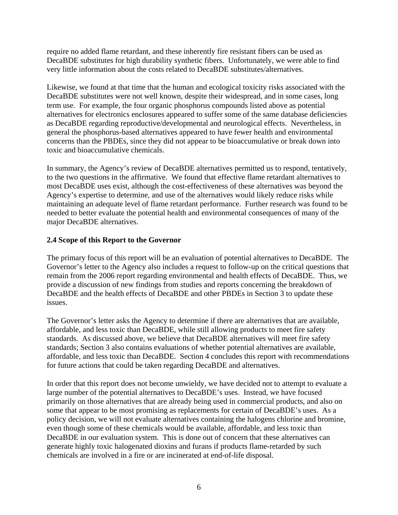require no added flame retardant, and these inherently fire resistant fibers can be used as DecaBDE substitutes for high durability synthetic fibers. Unfortunately, we were able to find very little information about the costs related to DecaBDE substitutes/alternatives.

Likewise, we found at that time that the human and ecological toxicity risks associated with the DecaBDE substitutes were not well known, despite their widespread, and in some cases, long term use. For example, the four organic phosphorus compounds listed above as potential alternatives for electronics enclosures appeared to suffer some of the same database deficiencies as DecaBDE regarding reproductive/developmental and neurological effects. Nevertheless, in general the phosphorus-based alternatives appeared to have fewer health and environmental concerns than the PBDEs, since they did not appear to be bioaccumulative or break down into toxic and bioaccumulative chemicals.

In summary, the Agency's review of DecaBDE alternatives permitted us to respond, tentatively, to the two questions in the affirmative. We found that effective flame retardant alternatives to most DecaBDE uses exist, although the cost-effectiveness of these alternatives was beyond the Agency's expertise to determine, and use of the alternatives would likely reduce risks while maintaining an adequate level of flame retardant performance. Further research was found to be needed to better evaluate the potential health and environmental consequences of many of the major DecaBDE alternatives.

## **2.4 Scope of this Report to the Governor**

The primary focus of this report will be an evaluation of potential alternatives to DecaBDE. The Governor's letter to the Agency also includes a request to follow-up on the critical questions that remain from the 2006 report regarding environmental and health effects of DecaBDE. Thus, we provide a discussion of new findings from studies and reports concerning the breakdown of DecaBDE and the health effects of DecaBDE and other PBDEs in Section 3 to update these issues.

The Governor's letter asks the Agency to determine if there are alternatives that are available, affordable, and less toxic than DecaBDE, while still allowing products to meet fire safety standards. As discussed above, we believe that DecaBDE alternatives will meet fire safety standards; Section 3 also contains evaluations of whether potential alternatives are available, affordable, and less toxic than DecaBDE. Section 4 concludes this report with recommendations for future actions that could be taken regarding DecaBDE and alternatives.

In order that this report does not become unwieldy, we have decided not to attempt to evaluate a large number of the potential alternatives to DecaBDE's uses. Instead, we have focused primarily on those alternatives that are already being used in commercial products, and also on some that appear to be most promising as replacements for certain of DecaBDE's uses. As a policy decision, we will not evaluate alternatives containing the halogens chlorine and bromine, even though some of these chemicals would be available, affordable, and less toxic than DecaBDE in our evaluation system. This is done out of concern that these alternatives can generate highly toxic halogenated dioxins and furans if products flame-retarded by such chemicals are involved in a fire or are incinerated at end-of-life disposal.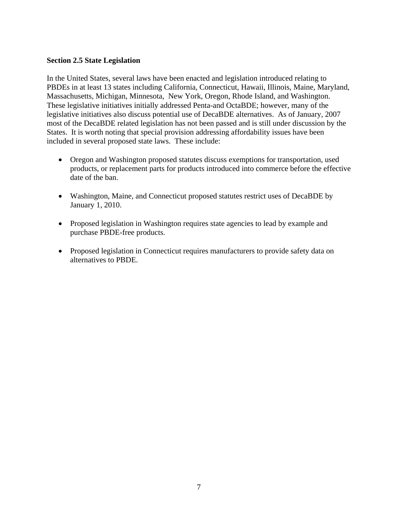#### **Section 2.5 State Legislation**

In the United States, several laws have been enacted and legislation introduced relating to PBDEs in at least 13 states including California, Connecticut, Hawaii, Illinois, Maine, Maryland, Massachusetts, Michigan, Minnesota, New York, Oregon, Rhode Island, and Washington. These legislative initiatives initially addressed Penta-and OctaBDE; however, many of the legislative initiatives also discuss potential use of DecaBDE alternatives. As of January, 2007 most of the DecaBDE related legislation has not been passed and is still under discussion by the States. It is worth noting that special provision addressing affordability issues have been included in several proposed state laws. These include:

- Oregon and Washington proposed statutes discuss exemptions for transportation, used products, or replacement parts for products introduced into commerce before the effective date of the ban.
- Washington, Maine, and Connecticut proposed statutes restrict uses of DecaBDE by January 1, 2010.
- Proposed legislation in Washington requires state agencies to lead by example and purchase PBDE-free products.
- Proposed legislation in Connecticut requires manufacturers to provide safety data on alternatives to PBDE.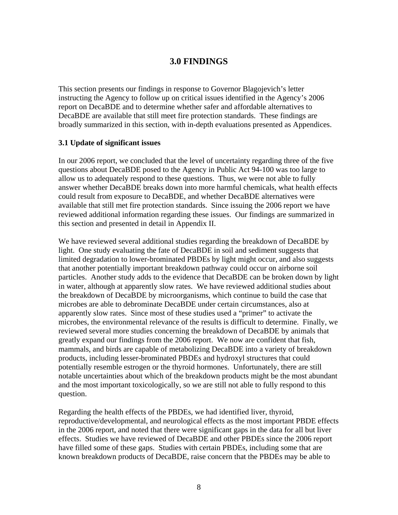## **3.0 FINDINGS**

This section presents our findings in response to Governor Blagojevich's letter instructing the Agency to follow up on critical issues identified in the Agency's 2006 report on DecaBDE and to determine whether safer and affordable alternatives to DecaBDE are available that still meet fire protection standards. These findings are broadly summarized in this section, with in-depth evaluations presented as Appendices.

#### **3.1 Update of significant issues**

In our 2006 report, we concluded that the level of uncertainty regarding three of the five questions about DecaBDE posed to the Agency in Public Act 94-100 was too large to allow us to adequately respond to these questions. Thus, we were not able to fully answer whether DecaBDE breaks down into more harmful chemicals, what health effects could result from exposure to DecaBDE, and whether DecaBDE alternatives were available that still met fire protection standards. Since issuing the 2006 report we have reviewed additional information regarding these issues. Our findings are summarized in this section and presented in detail in Appendix II.

We have reviewed several additional studies regarding the breakdown of DecaBDE by light. One study evaluating the fate of DecaBDE in soil and sediment suggests that limited degradation to lower-brominated PBDEs by light might occur, and also suggests that another potentially important breakdown pathway could occur on airborne soil particles. Another study adds to the evidence that DecaBDE can be broken down by light in water, although at apparently slow rates. We have reviewed additional studies about the breakdown of DecaBDE by microorganisms, which continue to build the case that microbes are able to debrominate DecaBDE under certain circumstances, also at apparently slow rates. Since most of these studies used a "primer" to activate the microbes, the environmental relevance of the results is difficult to determine. Finally, we reviewed several more studies concerning the breakdown of DecaBDE by animals that greatly expand our findings from the 2006 report. We now are confident that fish, mammals, and birds are capable of metabolizing DecaBDE into a variety of breakdown products, including lesser-brominated PBDEs and hydroxyl structures that could potentially resemble estrogen or the thyroid hormones. Unfortunately, there are still notable uncertainties about which of the breakdown products might be the most abundant and the most important toxicologically, so we are still not able to fully respond to this question.

Regarding the health effects of the PBDEs, we had identified liver, thyroid, reproductive/developmental, and neurological effects as the most important PBDE effects in the 2006 report, and noted that there were significant gaps in the data for all but liver effects. Studies we have reviewed of DecaBDE and other PBDEs since the 2006 report have filled some of these gaps. Studies with certain PBDEs, including some that are known breakdown products of DecaBDE, raise concern that the PBDEs may be able to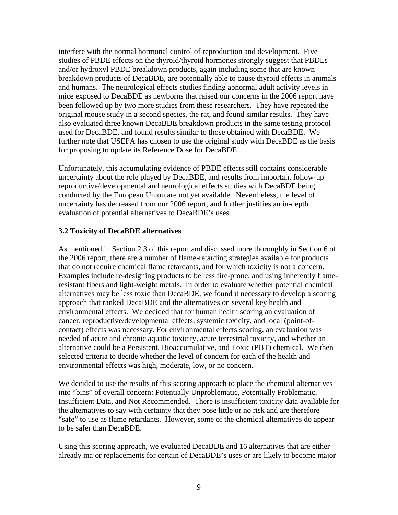interfere with the normal hormonal control of reproduction and development. Five studies of PBDE effects on the thyroid/thyroid hormones strongly suggest that PBDEs and/or hydroxyl PBDE breakdown products, again including some that are known breakdown products of DecaBDE, are potentially able to cause thyroid effects in animals and humans. The neurological effects studies finding abnormal adult activity levels in mice exposed to DecaBDE as newborns that raised our concerns in the 2006 report have been followed up by two more studies from these researchers. They have repeated the original mouse study in a second species, the rat, and found similar results. They have also evaluated three known DecaBDE breakdown products in the same testing protocol used for DecaBDE, and found results similar to those obtained with DecaBDE. We further note that USEPA has chosen to use the original study with DecaBDE as the basis for proposing to update its Reference Dose for DecaBDE.

Unfortunately, this accumulating evidence of PBDE effects still contains considerable uncertainty about the role played by DecaBDE, and results from important follow-up reproductive/developmental and neurological effects studies with DecaBDE being conducted by the European Union are not yet available. Nevertheless, the level of uncertainty has decreased from our 2006 report, and further justifies an in-depth evaluation of potential alternatives to DecaBDE's uses.

### **3.2 Toxicity of DecaBDE alternatives**

As mentioned in Section 2.3 of this report and discussed more thoroughly in Section 6 of the 2006 report, there are a number of flame-retarding strategies available for products that do not require chemical flame retardants, and for which toxicity is not a concern. Examples include re-designing products to be less fire-prone, and using inherently flameresistant fibers and light-weight metals. In order to evaluate whether potential chemical alternatives may be less toxic than DecaBDE, we found it necessary to develop a scoring approach that ranked DecaBDE and the alternatives on several key health and environmental effects. We decided that for human health scoring an evaluation of cancer, reproductive/developmental effects, systemic toxicity, and local (point-ofcontact) effects was necessary. For environmental effects scoring, an evaluation was needed of acute and chronic aquatic toxicity, acute terrestrial toxicity, and whether an alternative could be a Persistent, Bioaccumulative, and Toxic (PBT) chemical. We then selected criteria to decide whether the level of concern for each of the health and environmental effects was high, moderate, low, or no concern.

We decided to use the results of this scoring approach to place the chemical alternatives into "bins" of overall concern: Potentially Unproblematic, Potentially Problematic, Insufficient Data, and Not Recommended. There is insufficient toxicity data available for the alternatives to say with certainty that they pose little or no risk and are therefore "safe" to use as flame retardants. However, some of the chemical alternatives do appear to be safer than DecaBDE.

Using this scoring approach, we evaluated DecaBDE and 16 alternatives that are either already major replacements for certain of DecaBDE's uses or are likely to become major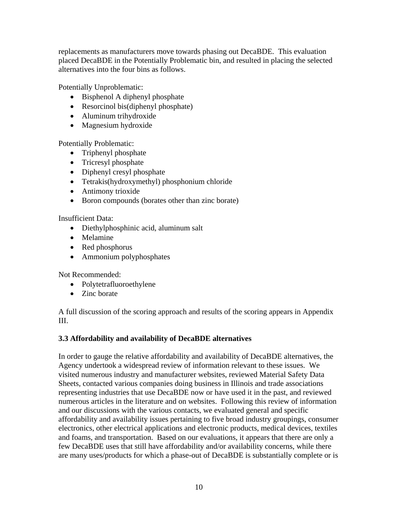replacements as manufacturers move towards phasing out DecaBDE. This evaluation placed DecaBDE in the Potentially Problematic bin, and resulted in placing the selected alternatives into the four bins as follows.

Potentially Unproblematic:

- Bisphenol A diphenyl phosphate
- Resorcinol bis(diphenyl phosphate)
- Aluminum trihydroxide
- Magnesium hydroxide

Potentially Problematic:

- Triphenyl phosphate
- Tricresyl phosphate
- Diphenyl cresyl phosphate
- Tetrakis(hydroxymethyl) phosphonium chloride
- Antimony trioxide
- Boron compounds (borates other than zinc borate)

Insufficient Data:

- Diethylphosphinic acid, aluminum salt
- Melamine
- Red phosphorus
- Ammonium polyphosphates

Not Recommended:

- Polytetrafluoroethylene
- Zinc borate

A full discussion of the scoring approach and results of the scoring appears in Appendix III.

## **3.3 Affordability and availability of DecaBDE alternatives**

In order to gauge the relative affordability and availability of DecaBDE alternatives, the Agency undertook a widespread review of information relevant to these issues. We visited numerous industry and manufacturer websites, reviewed Material Safety Data Sheets, contacted various companies doing business in Illinois and trade associations representing industries that use DecaBDE now or have used it in the past, and reviewed numerous articles in the literature and on websites. Following this review of information and our discussions with the various contacts, we evaluated general and specific affordability and availability issues pertaining to five broad industry groupings, consumer electronics, other electrical applications and electronic products, medical devices, textiles and foams, and transportation. Based on our evaluations, it appears that there are only a few DecaBDE uses that still have affordability and/or availability concerns, while there are many uses/products for which a phase-out of DecaBDE is substantially complete or is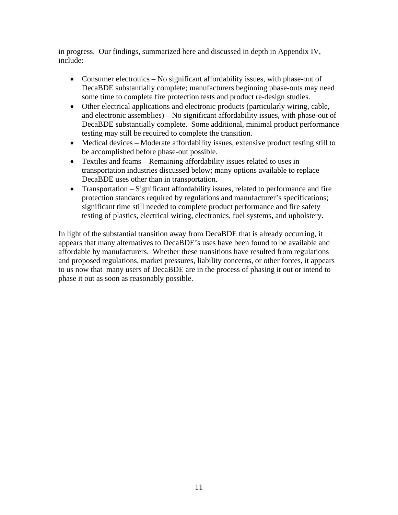in progress. Our findings, summarized here and discussed in depth in Appendix IV, include:

- Consumer electronics No significant affordability issues, with phase-out of DecaBDE substantially complete; manufacturers beginning phase-outs may need some time to complete fire protection tests and product re-design studies.
- Other electrical applications and electronic products (particularly wiring, cable, and electronic assemblies) – No significant affordability issues, with phase-out of DecaBDE substantially complete. Some additional, minimal product performance testing may still be required to complete the transition.
- Medical devices Moderate affordability issues, extensive product testing still to be accomplished before phase-out possible.
- Textiles and foams Remaining affordability issues related to uses in transportation industries discussed below; many options available to replace DecaBDE uses other than in transportation.
- Transportation Significant affordability issues, related to performance and fire protection standards required by regulations and manufacturer's specifications; significant time still needed to complete product performance and fire safety testing of plastics, electrical wiring, electronics, fuel systems, and upholstery.

In light of the substantial transition away from DecaBDE that is already occurring, it appears that many alternatives to DecaBDE's uses have been found to be available and affordable by manufacturers. Whether these transitions have resulted from regulations and proposed regulations, market pressures, liability concerns, or other forces, it appears to us now that many users of DecaBDE are in the process of phasing it out or intend to phase it out as soon as reasonably possible.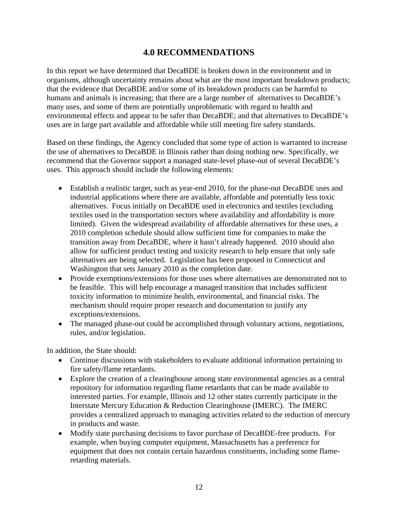## **4.0 RECOMMENDATIONS**

In this report we have determined that DecaBDE is broken down in the environment and in organisms, although uncertainty remains about what are the most important breakdown products; that the evidence that DecaBDE and/or some of its breakdown products can be harmful to humans and animals is increasing; that there are a large number of alternatives to DecaBDE's many uses, and some of them are potentially unproblematic with regard to health and environmental effects and appear to be safer than DecaBDE; and that alternatives to DecaBDE's uses are in large part available and affordable while still meeting fire safety standards.

Based on these findings, the Agency concluded that some type of action is warranted to increase the use of alternatives to DecaBDE in Illinois rather than doing nothing new. Specifically, we recommend that the Governor support a managed state-level phase-out of several DecaBDE's uses. This approach should include the following elements:

- Establish a realistic target, such as year-end 2010, for the phase-out DecaBDE uses and industrial applications where there are available, affordable and potentially less toxic alternatives. Focus initially on DecaBDE used in electronics and textiles (excluding textiles used in the transportation sectors where availability and affordability is more limited). Given the widespread availability of affordable alternatives for these uses, a 2010 completion schedule should allow sufficient time for companies to make the transition away from DecaBDE, where it hasn't already happened. 2010 should also allow for sufficient product testing and toxicity research to help ensure that only safe alternatives are being selected. Legislation has been proposed in Connecticut and Washington that sets January 2010 as the completion date.
- Provide exemptions/extensions for those uses where alternatives are demonstrated not to be feasible. This will help encourage a managed transition that includes sufficient toxicity information to minimize health, environmental, and financial risks. The mechanism should require proper research and documentation to justify any exceptions/extensions.
- The managed phase-out could be accomplished through voluntary actions, negotiations, rules, and/or legislation.

In addition, the State should:

- Continue discussions with stakeholders to evaluate additional information pertaining to fire safety/flame retardants.
- Explore the creation of a clearinghouse among state environmental agencies as a central repository for information regarding flame retardants that can be made available to interested parties. For example, Illinois and 12 other states currently participate in the Interstate Mercury Education & Reduction Clearinghouse (IMERC). The IMERC provides a centralized approach to managing activities related to the reduction of mercury in products and waste.
- Modify state purchasing decisions to favor purchase of DecaBDE-free products. For example, when buying computer equipment, Massachusetts has a preference for equipment that does not contain certain hazardous constituents, including some flameretarding materials.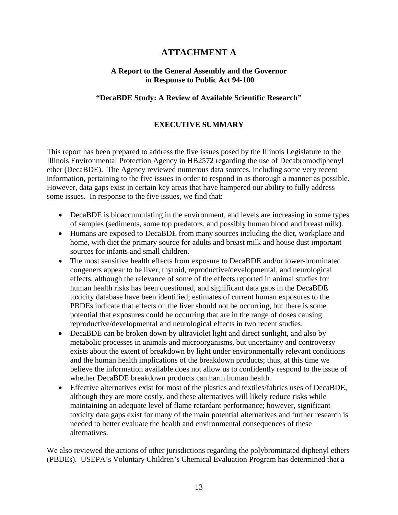## **ATTACHMENT A**

#### **A Report to the General Assembly and the Governor in Response to Public Act 94-100**

### **"DecaBDE Study: A Review of Available Scientific Research"**

### **EXECUTIVE SUMMARY**

This report has been prepared to address the five issues posed by the Illinois Legislature to the Illinois Environmental Protection Agency in HB2572 regarding the use of Decabromodiphenyl ether (DecaBDE). The Agency reviewed numerous data sources, including some very recent information, pertaining to the five issues in order to respond in as thorough a manner as possible. However, data gaps exist in certain key areas that have hampered our ability to fully address some issues. In response to the five issues, we find that:

- DecaBDE is bioaccumulating in the environment, and levels are increasing in some types of samples (sediments, some top predators, and possibly human blood and breast milk).
- Humans are exposed to DecaBDE from many sources including the diet, workplace and home, with diet the primary source for adults and breast milk and house dust important sources for infants and small children.
- The most sensitive health effects from exposure to DecaBDE and/or lower-brominated congeners appear to be liver, thyroid, reproductive/developmental, and neurological effects, although the relevance of some of the effects reported in animal studies for human health risks has been questioned, and significant data gaps in the DecaBDE toxicity database have been identified; estimates of current human exposures to the PBDEs indicate that effects on the liver should not be occurring, but there is some potential that exposures could be occurring that are in the range of doses causing reproductive/developmental and neurological effects in two recent studies.
- DecaBDE can be broken down by ultraviolet light and direct sunlight, and also by metabolic processes in animals and microorganisms, but uncertainty and controversy exists about the extent of breakdown by light under environmentally relevant conditions and the human health implications of the breakdown products; thus, at this time we believe the information available does not allow us to confidently respond to the issue of whether DecaBDE breakdown products can harm human health.
- Effective alternatives exist for most of the plastics and textiles/fabrics uses of DecaBDE, although they are more costly, and these alternatives will likely reduce risks while maintaining an adequate level of flame retardant performance; however, significant toxicity data gaps exist for many of the main potential alternatives and further research is needed to better evaluate the health and environmental consequences of these alternatives.

We also reviewed the actions of other jurisdictions regarding the polybrominated diphenyl ethers (PBDEs). USEPA's Voluntary Children's Chemical Evaluation Program has determined that a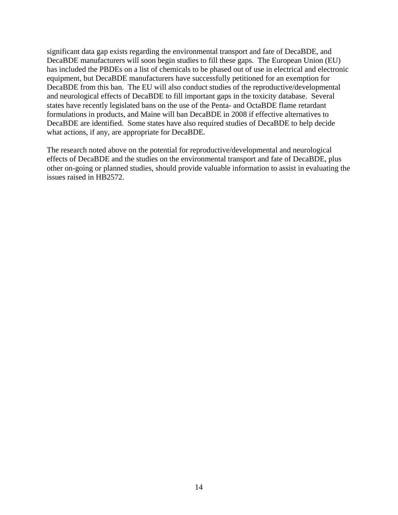significant data gap exists regarding the environmental transport and fate of DecaBDE, and DecaBDE manufacturers will soon begin studies to fill these gaps. The European Union (EU) has included the PBDEs on a list of chemicals to be phased out of use in electrical and electronic equipment, but DecaBDE manufacturers have successfully petitioned for an exemption for DecaBDE from this ban. The EU will also conduct studies of the reproductive/developmental and neurological effects of DecaBDE to fill important gaps in the toxicity database. Several states have recently legislated bans on the use of the Penta- and OctaBDE flame retardant formulations in products, and Maine will ban DecaBDE in 2008 if effective alternatives to DecaBDE are identified. Some states have also required studies of DecaBDE to help decide what actions, if any, are appropriate for DecaBDE.

The research noted above on the potential for reproductive/developmental and neurological effects of DecaBDE and the studies on the environmental transport and fate of DecaBDE, plus other on-going or planned studies, should provide valuable information to assist in evaluating the issues raised in HB2572.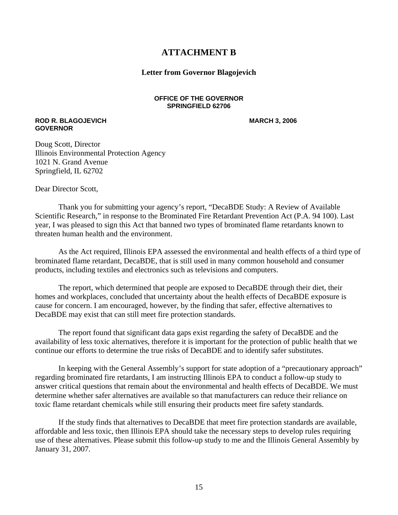## **ATTACHMENT B**

#### **Letter from Governor Blagojevich**

#### **OFFICE OF THE GOVERNOR SPRINGFIELD 62706**

#### **ROD R. BLAGOJEVICH MARCH 3, 2006 GOVERNOR**

Doug Scott, Director Illinois Environmental Protection Agency 1021 N. Grand Avenue Springfield, IL 62702

Dear Director Scott,

Thank you for submitting your agency's report, "DecaBDE Study: A Review of Available Scientific Research," in response to the Brominated Fire Retardant Prevention Act (P.A. 94 100). Last year, I was pleased to sign this Act that banned two types of brominated flame retardants known to threaten human health and the environment.

As the Act required, Illinois EPA assessed the environmental and health effects of a third type of brominated flame retardant, DecaBDE, that is still used in many common household and consumer products, including textiles and electronics such as televisions and computers.

The report, which determined that people are exposed to DecaBDE through their diet, their homes and workplaces, concluded that uncertainty about the health effects of DecaBDE exposure is cause for concern. I am encouraged, however, by the finding that safer, effective alternatives to DecaBDE may exist that can still meet fire protection standards.

The report found that significant data gaps exist regarding the safety of DecaBDE and the availability of less toxic alternatives, therefore it is important for the protection of public health that we continue our efforts to determine the true risks of DecaBDE and to identify safer substitutes.

In keeping with the General Assembly's support for state adoption of a "precautionary approach" regarding brominated fire retardants, I am instructing Illinois EPA to conduct a follow-up study to answer critical questions that remain about the environmental and health effects of DecaBDE. We must determine whether safer alternatives are available so that manufacturers can reduce their reliance on toxic flame retardant chemicals while still ensuring their products meet fire safety standards.

If the study finds that alternatives to DecaBDE that meet fire protection standards are available, affordable and less toxic, then Illinois EPA should take the necessary steps to develop rules requiring use of these alternatives. Please submit this follow-up study to me and the Illinois General Assembly by January 31, 2007.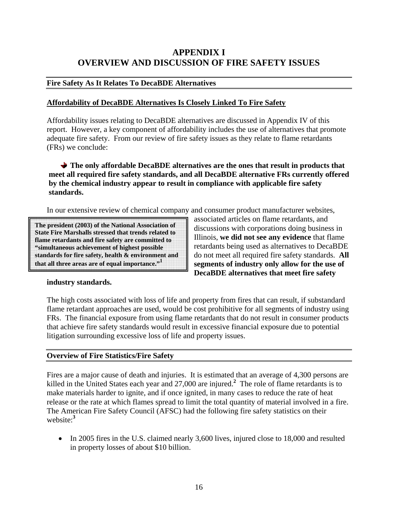## **APPENDIX I OVERVIEW AND DISCUSSION OF FIRE SAFETY ISSUES**

### **Fire Safety As It Relates To DecaBDE Alternatives**

### **Affordability of DecaBDE Alternatives Is Closely Linked To Fire Safety**

Affordability issues relating to DecaBDE alternatives are discussed in Appendix IV of this report. However, a key component of affordability includes the use of alternatives that promote adequate fire safety. From our review of fire safety issues as they relate to flame retardants (FRs) we conclude:

**The only affordable DecaBDE alternatives are the ones that result in products that meet all required fire safety standards, and all DecaBDE alternative FRs currently offered by the chemical industry appear to result in compliance with applicable fire safety standards.** 

In our extensive review of chemical company and consumer product manufacturer websites,

**The president (2003) of the National Association of State Fire Marshalls stressed that trends related to flame retardants and fire safety are committed to "simultaneous achievement of highest possible standards for fire safety, health & environment and that all three areas are of equal importance."1**

associated articles on flame retardants, and discussions with corporations doing business in Illinois, **we did not see any evidence** that flame retardants being used as alternatives to DecaBDE do not meet all required fire safety standards. **All segments of industry only allow for the use of DecaBDE alternatives that meet fire safety** 

#### **industry standards.**

The high costs associated with loss of life and property from fires that can result, if substandard flame retardant approaches are used, would be cost prohibitive for all segments of industry using FRs. The financial exposure from using flame retardants that do not result in consumer products that achieve fire safety standards would result in excessive financial exposure due to potential litigation surrounding excessive loss of life and property issues.

#### **Overview of Fire Statistics/Fire Safety**

Fires are a major cause of death and injuries. It is estimated that an average of 4,300 persons are killed in the United States each year and 27,000 are injured.**<sup>2</sup>** The role of flame retardants is to make materials harder to ignite, and if once ignited, in many cases to reduce the rate of heat release or the rate at which flames spread to limit the total quantity of material involved in a fire. The American Fire Safety Council (AFSC) had the following fire safety statistics on their website:**<sup>3</sup>**

• In 2005 fires in the U.S. claimed nearly 3,600 lives, injured close to 18,000 and resulted in property losses of about \$10 billion.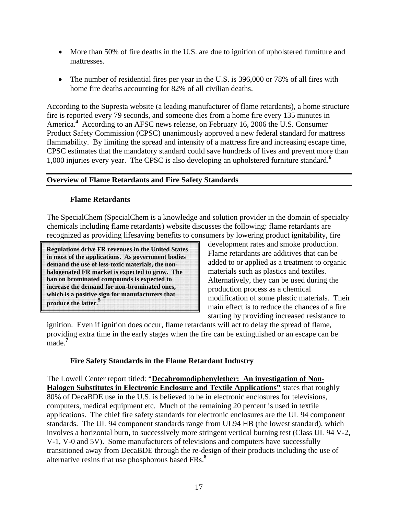- More than 50% of fire deaths in the U.S. are due to ignition of upholstered furniture and mattresses.
- The number of residential fires per year in the U.S. is 396,000 or 78% of all fires with home fire deaths accounting for 82% of all civilian deaths.

According to the Supresta website (a leading manufacturer of flame retardants), a home structure fire is reported every 79 seconds, and someone dies from a home fire every 135 minutes in America.<sup>4</sup> According to an AFSC news release, on February 16, 2006 the U.S. Consumer Product Safety Commission (CPSC) unanimously approved a new federal standard for mattress flammability. By limiting the spread and intensity of a mattress fire and increasing escape time, CPSC estimates that the mandatory standard could save hundreds of lives and prevent more than 1,000 injuries every year. The CPSC is also developing an upholstered furniture standard.**<sup>6</sup>**

### **Overview of Flame Retardants and Fire Safety Standards**

### **Flame Retardants**

The SpecialChem (SpecialChem is a knowledge and solution provider in the domain of specialty chemicals including flame retardants) website discusses the following: flame retardants are recognized as providing lifesaving benefits to consumers by lowering product ignitability, fire

**Regulations drive FR revenues in the United States in most of the applications. As government bodies demand the use of less-toxic materials, the nonhalogenated FR market is expected to grow. The ban on brominated compounds is expected to increase the demand for non-brominated ones, which is a positive sign for manufacturers that produce the latter.5**

development rates and smoke production. Flame retardants are additives that can be added to or applied as a treatment to organic materials such as plastics and textiles. Alternatively, they can be used during the production process as a chemical modification of some plastic materials. Their main effect is to reduce the chances of a fire starting by providing increased resistance to

ignition. Even if ignition does occur, flame retardants will act to delay the spread of flame, providing extra time in the early stages when the fire can be extinguished or an escape can be made.**<sup>7</sup>**

## **Fire Safety Standards in the Flame Retardant Industry**

The Lowell Center report titled: "**Decabromodiphenylether: An investigation of Non-Halogen Substitutes in Electronic Enclosure and Textile Applications"** states that roughly 80% of DecaBDE use in the U.S. is believed to be in electronic enclosures for televisions, computers, medical equipment etc. Much of the remaining 20 percent is used in textile applications. The chief fire safety standards for electronic enclosures are the UL 94 component standards. The UL 94 component standards range from UL94 HB (the lowest standard), which involves a horizontal burn, to successively more stringent vertical burning test (Class UL 94 V-2, V-1, V-0 and 5V). Some manufacturers of televisions and computers have successfully transitioned away from DecaBDE through the re-design of their products including the use of alternative resins that use phosphorous based FRs.**<sup>8</sup>**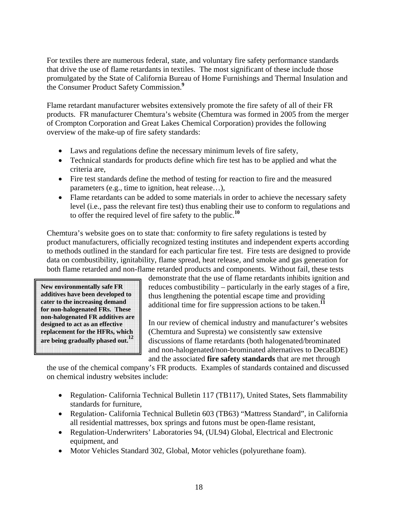For textiles there are numerous federal, state, and voluntary fire safety performance standards that drive the use of flame retardants in textiles. The most significant of these include those promulgated by the State of California Bureau of Home Furnishings and Thermal Insulation and the Consumer Product Safety Commission.**<sup>9</sup>**

Flame retardant manufacturer websites extensively promote the fire safety of all of their FR products. FR manufacturer Chemtura's website (Chemtura was formed in 2005 from the merger of Crompton Corporation and Great Lakes Chemical Corporation) provides the following overview of the make-up of fire safety standards:

- Laws and regulations define the necessary minimum levels of fire safety,
- Technical standards for products define which fire test has to be applied and what the criteria are,
- Fire test standards define the method of testing for reaction to fire and the measured parameters (e.g., time to ignition, heat release…),
- Flame retardants can be added to some materials in order to achieve the necessary safety level (i.e., pass the relevant fire test) thus enabling their use to conform to regulations and to offer the required level of fire safety to the public.**<sup>10</sup>**

Chemtura's website goes on to state that: conformity to fire safety regulations is tested by product manufacturers, officially recognized testing institutes and independent experts according to methods outlined in the standard for each particular fire test. Fire tests are designed to provide data on combustibility, ignitability, flame spread, heat release, and smoke and gas generation for both flame retarded and non-flame retarded products and components. Without fail, these tests

**New environmentally safe FR additives have been developed to cater to the increasing demand for non-halogenated FRs. These non-halogenated FR additives are designed to act as an effective replacement for the HFRs, which are being gradually phased out.12**

demonstrate that the use of flame retardants inhibits ignition and reduces combustibility – particularly in the early stages of a fire, thus lengthening the potential escape time and providing additional time for fire suppression actions to be taken.**<sup>11</sup>**

In our review of chemical industry and manufacturer's websites (Chemtura and Supresta) we consistently saw extensive discussions of flame retardants (both halogenated/brominated and non-halogenated/non-brominated alternatives to DecaBDE) and the associated **fire safety standards** that are met through

the use of the chemical company's FR products. Examples of standards contained and discussed on chemical industry websites include:

- Regulation- California Technical Bulletin 117 (TB117), United States, Sets flammability standards for furniture,
- Regulation- California Technical Bulletin 603 (TB63) "Mattress Standard", in California all residential mattresses, box springs and futons must be open-flame resistant,
- Regulation-Underwriters' Laboratories 94, (UL94) Global, Electrical and Electronic equipment, and
- Motor Vehicles Standard 302, Global, Motor vehicles (polyurethane foam).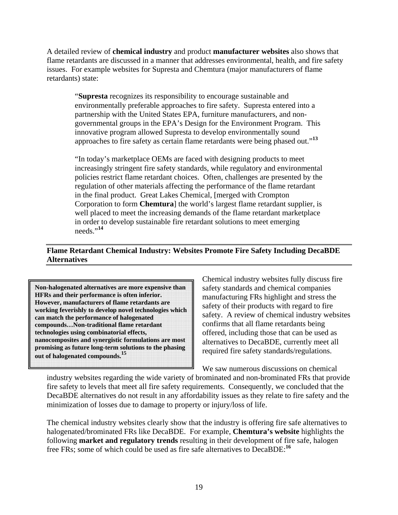A detailed review of **chemical industry** and product **manufacturer websites** also shows that flame retardants are discussed in a manner that addresses environmental, health, and fire safety issues. For example websites for Supresta and Chemtura (major manufacturers of flame retardants) state:

"**Supresta** recognizes its responsibility to encourage sustainable and environmentally preferable approaches to fire safety. Supresta entered into a partnership with the United States EPA, furniture manufacturers, and nongovernmental groups in the EPA's Design for the Environment Program. This innovative program allowed Supresta to develop environmentally sound approaches to fire safety as certain flame retardants were being phased out."**<sup>13</sup>**

"In today's marketplace OEMs are faced with designing products to meet increasingly stringent fire safety standards, while regulatory and environmental policies restrict flame retardant choices. Often, challenges are presented by the regulation of other materials affecting the performance of the flame retardant in the final product. Great Lakes Chemical, [merged with Crompton Corporation to form **Chemtura**] the world's largest flame retardant supplier, is well placed to meet the increasing demands of the flame retardant marketplace in order to develop sustainable fire retardant solutions to meet emerging needs."**<sup>14</sup>**

## **Flame Retardant Chemical Industry: Websites Promote Fire Safety Including DecaBDE Alternatives**

**Non-halogenated alternatives are more expensive than HFRs and their performance is often inferior. However, manufacturers of flame retardants are working feverishly to develop novel technologies which can match the performance of halogenated compounds…Non-traditional flame retardant technologies using combinatorial effects, nanocomposites and synergistic formulations are most promising as future long-term solutions to the phasing out of halogenated compounds.<sup>15</sup>**

Chemical industry websites fully discuss fire safety standards and chemical companies manufacturing FRs highlight and stress the safety of their products with regard to fire safety. A review of chemical industry websites confirms that all flame retardants being offered, including those that can be used as alternatives to DecaBDE, currently meet all required fire safety standards/regulations.

We saw numerous discussions on chemical

industry websites regarding the wide variety of brominated and non-brominated FRs that provide fire safety to levels that meet all fire safety requirements. Consequently, we concluded that the DecaBDE alternatives do not result in any affordability issues as they relate to fire safety and the minimization of losses due to damage to property or injury/loss of life.

The chemical industry websites clearly show that the industry is offering fire safe alternatives to halogenated/brominated FRs like DecaBDE. For example, **Chemtura's website** highlights the following **market and regulatory trends** resulting in their development of fire safe, halogen free FRs; some of which could be used as fire safe alternatives to DecaBDE:**<sup>16</sup>**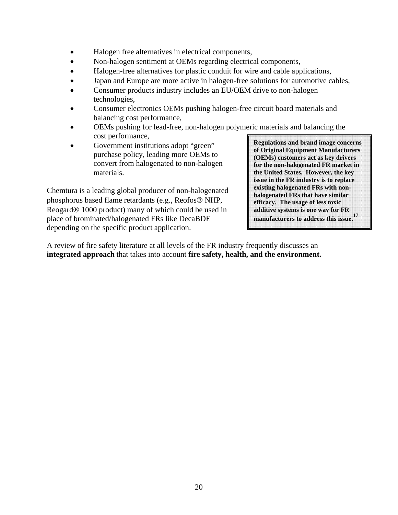- Halogen free alternatives in electrical components,
- Non-halogen sentiment at OEMs regarding electrical components,
- Halogen-free alternatives for plastic conduit for wire and cable applications,
- Japan and Europe are more active in halogen-free solutions for automotive cables,
- Consumer products industry includes an EU/OEM drive to non-halogen technologies,
- Consumer electronics OEMs pushing halogen-free circuit board materials and balancing cost performance,
- OEMs pushing for lead-free, non-halogen polymeric materials and balancing the cost performance,
- Government institutions adopt "green" purchase policy, leading more OEMs to convert from halogenated to non-halogen materials.

Chemtura is a leading global producer of non-halogenated phosphorus based flame retardants (e.g., Reofos® NHP, Reogard® 1000 product) many of which could be used in place of brominated/halogenated FRs like DecaBDE depending on the specific product application.

**Regulations and brand image concerns of Original Equipment Manufacturers (OEMs) customers act as key drivers for the non-halogenated FR market in the United States. However, the key issue in the FR industry is to replace existing halogenated FRs with nonhalogenated FRs that have similar efficacy. The usage of less toxic additive systems is one way for FR manufacturers to address this issue.<sup>17</sup>**

A review of fire safety literature at all levels of the FR industry frequently discusses an **integrated approach** that takes into account **fire safety, health, and the environment.**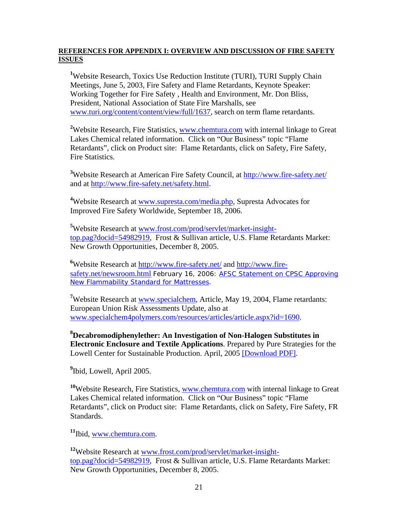#### **REFERENCES FOR APPENDIX I: OVERVIEW AND DISCUSSION OF FIRE SAFETY ISSUES**

<sup>1</sup>Website Research, Toxics Use Reduction Institute (TURI), TURI Supply Chain Meetings, June 5, 2003, Fire Safety and Flame Retardants, Keynote Speaker: Working Together for Fire Safety , Health and Environment, Mr. Don Bliss, President, National Association of State Fire Marshalls, see www.turi.org/content/content/view/full/1637, search on term flame retardants.

<sup>2</sup>Website Research, Fire Statistics, www.chemtura.com with internal linkage to Great Lakes Chemical related information. Click on "Our Business" topic "Flame Retardants", click on Product site: Flame Retardants, click on Safety, Fire Safety, Fire Statistics.

<sup>3</sup>Website Research at American Fire Safety Council, at **http://www.fire-safety.net/** and at http://www.fire-safety.net/safety.html.

<sup>4</sup>Website Research at www.supresta.com/media.php, Supresta Advocates for Improved Fire Safety Worldwide, September 18, 2006.

**5** Website Research at www.frost.com/prod/servlet/market-insighttop.pag?docid=54982919, Frost & Sullivan article, U.S. Flame Retardants Market: New Growth Opportunities, December 8, 2005.

<sup>6</sup>Website Research at http://www.fire-safety.net/ and http://www.firesafety.net/newsroom.html February 16, 2006: AFSC Statement on CPSC Approving New Flammability Standard for Mattresses.

<sup>7</sup>Website Research at www.specialchem, Article, May 19, 2004, Flame retardants: European Union Risk Assessments Update, also at www.specialchem4polymers.com/resources/articles/article.aspx?id=1690.

**8 Decabromodiphenylether: An Investigation of Non-Halogen Substitutes in Electronic Enclosure and Textile Applications**. Prepared by Pure Strategies for the Lowell Center for Sustainable Production. April, 2005 [Download PDF].

**9** Ibid, Lowell, April 2005.

**<sup>10</sup>**Website Research, Fire Statistics, www.chemtura.com with internal linkage to Great Lakes Chemical related information. Click on "Our Business" topic "Flame Retardants", click on Product site: Flame Retardants, click on Safety, Fire Safety, FR Standards.

**<sup>11</sup>**Ibid, www.chemtura.com.

**<sup>12</sup>**Website Research at www.frost.com/prod/servlet/market-insighttop.pag?docid=54982919, Frost & Sullivan article, U.S. Flame Retardants Market: New Growth Opportunities, December 8, 2005.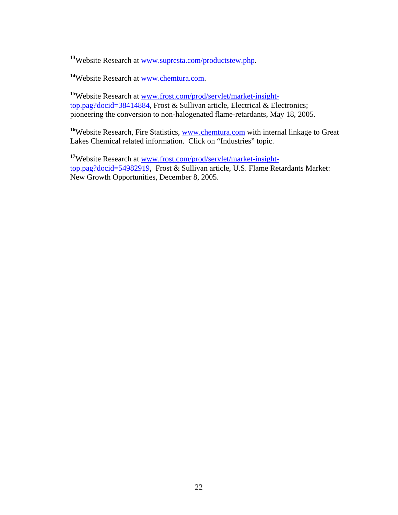**<sup>13</sup>**Website Research at www.supresta.com/productstew.php.

**<sup>14</sup>**Website Research at www.chemtura.com.

**<sup>15</sup>**Website Research at www.frost.com/prod/servlet/market-insighttop.pag?docid=38414884, Frost & Sullivan article, Electrical & Electronics; pioneering the conversion to non-halogenated flame-retardants, May 18, 2005.

<sup>16</sup>Website Research, Fire Statistics, www.chemtura.com with internal linkage to Great Lakes Chemical related information. Click on "Industries" topic.

**<sup>17</sup>**Website Research at www.frost.com/prod/servlet/market-insighttop.pag?docid=54982919, Frost & Sullivan article, U.S. Flame Retardants Market: New Growth Opportunities, December 8, 2005.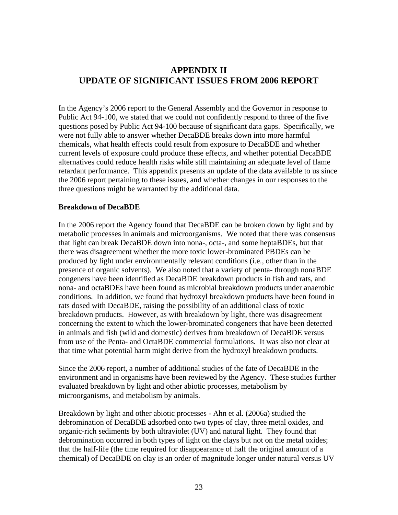## **APPENDIX II UPDATE OF SIGNIFICANT ISSUES FROM 2006 REPORT**

In the Agency's 2006 report to the General Assembly and the Governor in response to Public Act 94-100, we stated that we could not confidently respond to three of the five questions posed by Public Act 94-100 because of significant data gaps. Specifically, we were not fully able to answer whether DecaBDE breaks down into more harmful chemicals, what health effects could result from exposure to DecaBDE and whether current levels of exposure could produce these effects, and whether potential DecaBDE alternatives could reduce health risks while still maintaining an adequate level of flame retardant performance. This appendix presents an update of the data available to us since the 2006 report pertaining to these issues, and whether changes in our responses to the three questions might be warranted by the additional data.

#### **Breakdown of DecaBDE**

In the 2006 report the Agency found that DecaBDE can be broken down by light and by metabolic processes in animals and microorganisms. We noted that there was consensus that light can break DecaBDE down into nona-, octa-, and some heptaBDEs, but that there was disagreement whether the more toxic lower-brominated PBDEs can be produced by light under environmentally relevant conditions (i.e., other than in the presence of organic solvents). We also noted that a variety of penta- through nonaBDE congeners have been identified as DecaBDE breakdown products in fish and rats, and nona- and octaBDEs have been found as microbial breakdown products under anaerobic conditions. In addition, we found that hydroxyl breakdown products have been found in rats dosed with DecaBDE, raising the possibility of an additional class of toxic breakdown products. However, as with breakdown by light, there was disagreement concerning the extent to which the lower-brominated congeners that have been detected in animals and fish (wild and domestic) derives from breakdown of DecaBDE versus from use of the Penta- and OctaBDE commercial formulations. It was also not clear at that time what potential harm might derive from the hydroxyl breakdown products.

Since the 2006 report, a number of additional studies of the fate of DecaBDE in the environment and in organisms have been reviewed by the Agency. These studies further evaluated breakdown by light and other abiotic processes, metabolism by microorganisms, and metabolism by animals.

Breakdown by light and other abiotic processes - Ahn et al. (2006a) studied the debromination of DecaBDE adsorbed onto two types of clay, three metal oxides, and organic-rich sediments by both ultraviolet (UV) and natural light. They found that debromination occurred in both types of light on the clays but not on the metal oxides; that the half-life (the time required for disappearance of half the original amount of a chemical) of DecaBDE on clay is an order of magnitude longer under natural versus UV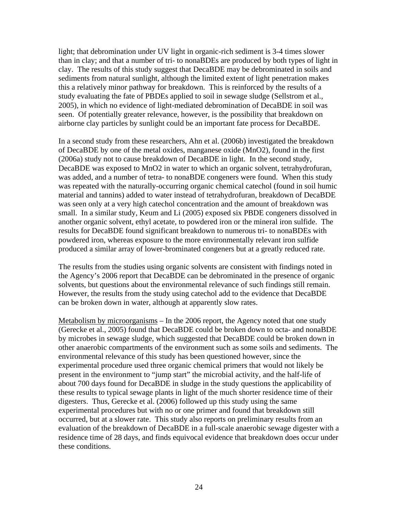light; that debromination under UV light in organic-rich sediment is 3-4 times slower than in clay; and that a number of tri- to nonaBDEs are produced by both types of light in clay. The results of this study suggest that DecaBDE may be debrominated in soils and sediments from natural sunlight, although the limited extent of light penetration makes this a relatively minor pathway for breakdown. This is reinforced by the results of a study evaluating the fate of PBDEs applied to soil in sewage sludge (Sellstrom et al., 2005), in which no evidence of light-mediated debromination of DecaBDE in soil was seen. Of potentially greater relevance, however, is the possibility that breakdown on airborne clay particles by sunlight could be an important fate process for DecaBDE.

In a second study from these researchers, Ahn et al. (2006b) investigated the breakdown of DecaBDE by one of the metal oxides, manganese oxide (MnO2), found in the first (2006a) study not to cause breakdown of DecaBDE in light. In the second study, DecaBDE was exposed to MnO2 in water to which an organic solvent, tetrahydrofuran, was added, and a number of tetra- to nonaBDE congeners were found. When this study was repeated with the naturally-occurring organic chemical catechol (found in soil humic material and tannins) added to water instead of tetrahydrofuran, breakdown of DecaBDE was seen only at a very high catechol concentration and the amount of breakdown was small. In a similar study, Keum and Li (2005) exposed six PBDE congeners dissolved in another organic solvent, ethyl acetate, to powdered iron or the mineral iron sulfide. The results for DecaBDE found significant breakdown to numerous tri- to nonaBDEs with powdered iron, whereas exposure to the more environmentally relevant iron sulfide produced a similar array of lower-brominated congeners but at a greatly reduced rate.

The results from the studies using organic solvents are consistent with findings noted in the Agency's 2006 report that DecaBDE can be debrominated in the presence of organic solvents, but questions about the environmental relevance of such findings still remain. However, the results from the study using catechol add to the evidence that DecaBDE can be broken down in water, although at apparently slow rates.

Metabolism by microorganisms – In the 2006 report, the Agency noted that one study (Gerecke et al., 2005) found that DecaBDE could be broken down to octa- and nonaBDE by microbes in sewage sludge, which suggested that DecaBDE could be broken down in other anaerobic compartments of the environment such as some soils and sediments. The environmental relevance of this study has been questioned however, since the experimental procedure used three organic chemical primers that would not likely be present in the environment to "jump start" the microbial activity, and the half-life of about 700 days found for DecaBDE in sludge in the study questions the applicability of these results to typical sewage plants in light of the much shorter residence time of their digesters. Thus, Gerecke et al. (2006) followed up this study using the same experimental procedures but with no or one primer and found that breakdown still occurred, but at a slower rate. This study also reports on preliminary results from an evaluation of the breakdown of DecaBDE in a full-scale anaerobic sewage digester with a residence time of 28 days, and finds equivocal evidence that breakdown does occur under these conditions.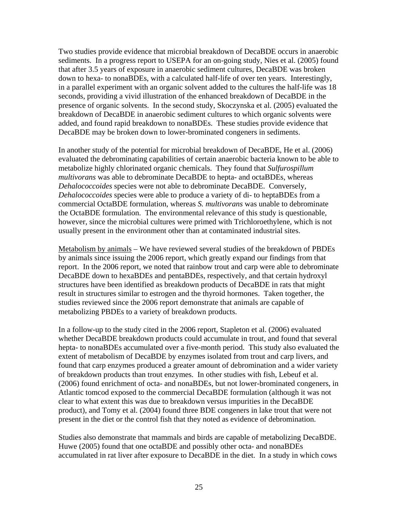Two studies provide evidence that microbial breakdown of DecaBDE occurs in anaerobic sediments. In a progress report to USEPA for an on-going study, Nies et al. (2005) found that after 3.5 years of exposure in anaerobic sediment cultures, DecaBDE was broken down to hexa- to nonaBDEs, with a calculated half-life of over ten years. Interestingly, in a parallel experiment with an organic solvent added to the cultures the half-life was 18 seconds, providing a vivid illustration of the enhanced breakdown of DecaBDE in the presence of organic solvents. In the second study, Skoczynska et al. (2005) evaluated the breakdown of DecaBDE in anaerobic sediment cultures to which organic solvents were added, and found rapid breakdown to nonaBDEs. These studies provide evidence that DecaBDE may be broken down to lower-brominated congeners in sediments.

In another study of the potential for microbial breakdown of DecaBDE, He et al. (2006) evaluated the debrominating capabilities of certain anaerobic bacteria known to be able to metabolize highly chlorinated organic chemicals. They found that *Sulfurospillum multivorans* was able to debrominate DecaBDE to hepta- and octaBDEs, whereas *Dehalococcoides* species were not able to debrominate DecaBDE. Conversely, *Dehalococcoides* species were able to produce a variety of di- to heptaBDEs from a commercial OctaBDE formulation, whereas *S. multivorans* was unable to debrominate the OctaBDE formulation. The environmental relevance of this study is questionable, however, since the microbial cultures were primed with Trichloroethylene, which is not usually present in the environment other than at contaminated industrial sites.

Metabolism by animals – We have reviewed several studies of the breakdown of PBDEs by animals since issuing the 2006 report, which greatly expand our findings from that report. In the 2006 report, we noted that rainbow trout and carp were able to debrominate DecaBDE down to hexaBDEs and pentaBDEs, respectively, and that certain hydroxyl structures have been identified as breakdown products of DecaBDE in rats that might result in structures similar to estrogen and the thyroid hormones. Taken together, the studies reviewed since the 2006 report demonstrate that animals are capable of metabolizing PBDEs to a variety of breakdown products.

In a follow-up to the study cited in the 2006 report, Stapleton et al. (2006) evaluated whether DecaBDE breakdown products could accumulate in trout, and found that several hepta- to nonaBDEs accumulated over a five-month period. This study also evaluated the extent of metabolism of DecaBDE by enzymes isolated from trout and carp livers, and found that carp enzymes produced a greater amount of debromination and a wider variety of breakdown products than trout enzymes. In other studies with fish, Lebeuf et al. (2006) found enrichment of octa- and nonaBDEs, but not lower-brominated congeners, in Atlantic tomcod exposed to the commercial DecaBDE formulation (although it was not clear to what extent this was due to breakdown versus impurities in the DecaBDE product), and Tomy et al. (2004) found three BDE congeners in lake trout that were not present in the diet or the control fish that they noted as evidence of debromination.

Studies also demonstrate that mammals and birds are capable of metabolizing DecaBDE. Huwe (2005) found that one octaBDE and possibly other octa- and nonaBDEs accumulated in rat liver after exposure to DecaBDE in the diet. In a study in which cows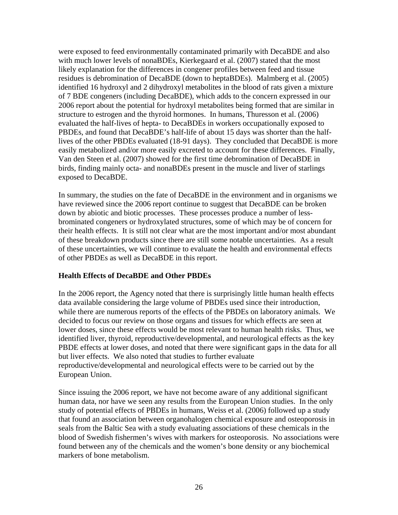were exposed to feed environmentally contaminated primarily with DecaBDE and also with much lower levels of nonaBDEs, Kierkegaard et al. (2007) stated that the most likely explanation for the differences in congener profiles between feed and tissue residues is debromination of DecaBDE (down to heptaBDEs). Malmberg et al. (2005) identified 16 hydroxyl and 2 dihydroxyl metabolites in the blood of rats given a mixture of 7 BDE congeners (including DecaBDE), which adds to the concern expressed in our 2006 report about the potential for hydroxyl metabolites being formed that are similar in structure to estrogen and the thyroid hormones. In humans, Thuresson et al. (2006) evaluated the half-lives of hepta- to DecaBDEs in workers occupationally exposed to PBDEs, and found that DecaBDE's half-life of about 15 days was shorter than the halflives of the other PBDEs evaluated (18-91 days). They concluded that DecaBDE is more easily metabolized and/or more easily excreted to account for these differences. Finally, Van den Steen et al. (2007) showed for the first time debromination of DecaBDE in birds, finding mainly octa- and nonaBDEs present in the muscle and liver of starlings exposed to DecaBDE.

In summary, the studies on the fate of DecaBDE in the environment and in organisms we have reviewed since the 2006 report continue to suggest that DecaBDE can be broken down by abiotic and biotic processes. These processes produce a number of lessbrominated congeners or hydroxylated structures, some of which may be of concern for their health effects. It is still not clear what are the most important and/or most abundant of these breakdown products since there are still some notable uncertainties. As a result of these uncertainties, we will continue to evaluate the health and environmental effects of other PBDEs as well as DecaBDE in this report.

## **Health Effects of DecaBDE and Other PBDEs**

In the 2006 report, the Agency noted that there is surprisingly little human health effects data available considering the large volume of PBDEs used since their introduction, while there are numerous reports of the effects of the PBDEs on laboratory animals. We decided to focus our review on those organs and tissues for which effects are seen at lower doses, since these effects would be most relevant to human health risks. Thus, we identified liver, thyroid, reproductive/developmental, and neurological effects as the key PBDE effects at lower doses, and noted that there were significant gaps in the data for all but liver effects. We also noted that studies to further evaluate reproductive/developmental and neurological effects were to be carried out by the European Union.

Since issuing the 2006 report, we have not become aware of any additional significant human data, nor have we seen any results from the European Union studies. In the only study of potential effects of PBDEs in humans, Weiss et al. (2006) followed up a study that found an association between organohalogen chemical exposure and osteoporosis in seals from the Baltic Sea with a study evaluating associations of these chemicals in the blood of Swedish fishermen's wives with markers for osteoporosis. No associations were found between any of the chemicals and the women's bone density or any biochemical markers of bone metabolism.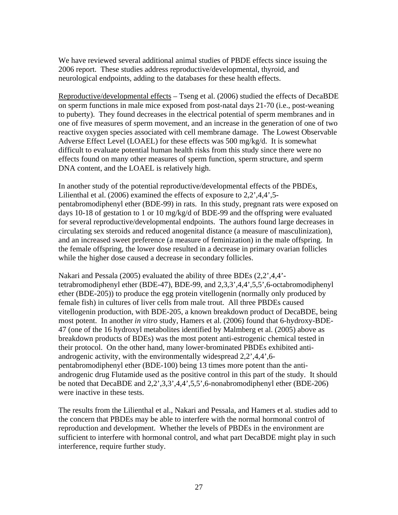We have reviewed several additional animal studies of PBDE effects since issuing the 2006 report. These studies address reproductive/developmental, thyroid, and neurological endpoints, adding to the databases for these health effects.

Reproductive/developmental effects – Tseng et al. (2006) studied the effects of DecaBDE on sperm functions in male mice exposed from post-natal days 21-70 (i.e., post-weaning to puberty). They found decreases in the electrical potential of sperm membranes and in one of five measures of sperm movement, and an increase in the generation of one of two reactive oxygen species associated with cell membrane damage. The Lowest Observable Adverse Effect Level (LOAEL) for these effects was 500 mg/kg/d. It is somewhat difficult to evaluate potential human health risks from this study since there were no effects found on many other measures of sperm function, sperm structure, and sperm DNA content, and the LOAEL is relatively high.

In another study of the potential reproductive/developmental effects of the PBDEs, Lilienthal et al. (2006) examined the effects of exposure to 2,2',4,4',5 pentabromodiphenyl ether (BDE-99) in rats. In this study, pregnant rats were exposed on days 10-18 of gestation to 1 or 10 mg/kg/d of BDE-99 and the offspring were evaluated for several reproductive/developmental endpoints. The authors found large decreases in circulating sex steroids and reduced anogenital distance (a measure of masculinization), and an increased sweet preference (a measure of feminization) in the male offspring. In the female offspring, the lower dose resulted in a decrease in primary ovarian follicles while the higher dose caused a decrease in secondary follicles.

Nakari and Pessala (2005) evaluated the ability of three BDEs (2,2',4,4' tetrabromodiphenyl ether (BDE-47), BDE-99, and 2,3,3',4,4',5,5',6-octabromodiphenyl ether (BDE-205)) to produce the egg protein vitellogenin (normally only produced by female fish) in cultures of liver cells from male trout. All three PBDEs caused vitellogenin production, with BDE-205, a known breakdown product of DecaBDE, being most potent. In another *in vitro* study, Hamers et al. (2006) found that 6-hydroxy-BDE-47 (one of the 16 hydroxyl metabolites identified by Malmberg et al. (2005) above as breakdown products of BDEs) was the most potent anti-estrogenic chemical tested in their protocol. On the other hand, many lower-brominated PBDEs exhibited antiandrogenic activity, with the environmentally widespread 2,2',4,4',6 pentabromodiphenyl ether (BDE-100) being 13 times more potent than the antiandrogenic drug Flutamide used as the positive control in this part of the study. It should be noted that DecaBDE and 2,2',3,3',4,4',5,5',6-nonabromodiphenyl ether (BDE-206) were inactive in these tests.

The results from the Lilienthal et al., Nakari and Pessala, and Hamers et al. studies add to the concern that PBDEs may be able to interfere with the normal hormonal control of reproduction and development. Whether the levels of PBDEs in the environment are sufficient to interfere with hormonal control, and what part DecaBDE might play in such interference, require further study.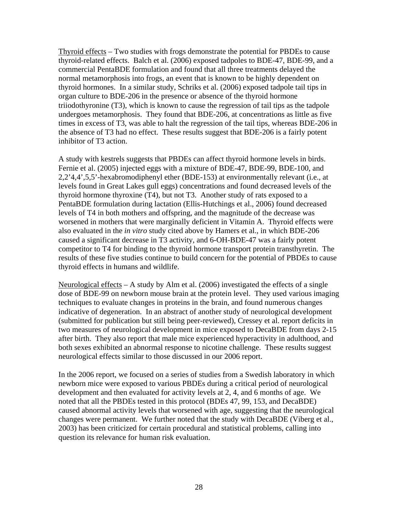Thyroid effects – Two studies with frogs demonstrate the potential for PBDEs to cause thyroid-related effects. Balch et al. (2006) exposed tadpoles to BDE-47, BDE-99, and a commercial PentaBDE formulation and found that all three treatments delayed the normal metamorphosis into frogs, an event that is known to be highly dependent on thyroid hormones. In a similar study, Schriks et al. (2006) exposed tadpole tail tips in organ culture to BDE-206 in the presence or absence of the thyroid hormone triiodothyronine (T3), which is known to cause the regression of tail tips as the tadpole undergoes metamorphosis. They found that BDE-206, at concentrations as little as five times in excess of T3, was able to halt the regression of the tail tips, whereas BDE-206 in the absence of T3 had no effect. These results suggest that BDE-206 is a fairly potent inhibitor of T3 action.

A study with kestrels suggests that PBDEs can affect thyroid hormone levels in birds. Fernie et al. (2005) injected eggs with a mixture of BDE-47, BDE-99, BDE-100, and 2,2'4,4',5,5'-hexabromodiphenyl ether (BDE-153) at environmentally relevant (i.e., at levels found in Great Lakes gull eggs) concentrations and found decreased levels of the thyroid hormone thyroxine (T4), but not T3. Another study of rats exposed to a PentaBDE formulation during lactation (Ellis-Hutchings et al., 2006) found decreased levels of T4 in both mothers and offspring, and the magnitude of the decrease was worsened in mothers that were marginally deficient in Vitamin A. Thyroid effects were also evaluated in the *in vitro* study cited above by Hamers et al., in which BDE-206 caused a significant decrease in T3 activity, and 6-OH-BDE-47 was a fairly potent competitor to T4 for binding to the thyroid hormone transport protein transthyretin. The results of these five studies continue to build concern for the potential of PBDEs to cause thyroid effects in humans and wildlife.

Neurological effects  $-A$  study by Alm et al. (2006) investigated the effects of a single dose of BDE-99 on newborn mouse brain at the protein level. They used various imaging techniques to evaluate changes in proteins in the brain, and found numerous changes indicative of degeneration. In an abstract of another study of neurological development (submitted for publication but still being peer-reviewed), Cressey et al. report deficits in two measures of neurological development in mice exposed to DecaBDE from days 2-15 after birth. They also report that male mice experienced hyperactivity in adulthood, and both sexes exhibited an abnormal response to nicotine challenge. These results suggest neurological effects similar to those discussed in our 2006 report.

In the 2006 report, we focused on a series of studies from a Swedish laboratory in which newborn mice were exposed to various PBDEs during a critical period of neurological development and then evaluated for activity levels at 2, 4, and 6 months of age. We noted that all the PBDEs tested in this protocol (BDEs 47, 99, 153, and DecaBDE) caused abnormal activity levels that worsened with age, suggesting that the neurological changes were permanent. We further noted that the study with DecaBDE (Viberg et al., 2003) has been criticized for certain procedural and statistical problems, calling into question its relevance for human risk evaluation.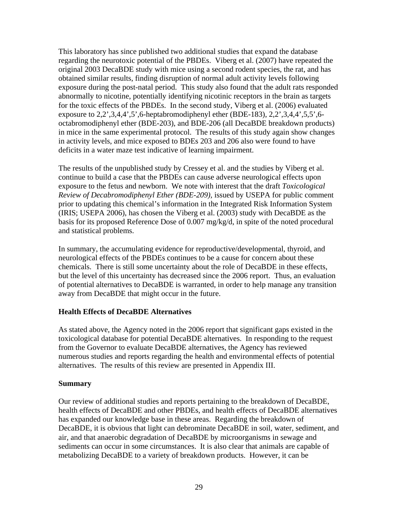This laboratory has since published two additional studies that expand the database regarding the neurotoxic potential of the PBDEs. Viberg et al. (2007) have repeated the original 2003 DecaBDE study with mice using a second rodent species, the rat, and has obtained similar results, finding disruption of normal adult activity levels following exposure during the post-natal period. This study also found that the adult rats responded abnormally to nicotine, potentially identifying nicotinic receptors in the brain as targets for the toxic effects of the PBDEs. In the second study, Viberg et al. (2006) evaluated exposure to 2,2',3,4,4',5',6-heptabromodiphenyl ether (BDE-183), 2,2',3,4,4',5,5',6 octabromodiphenyl ether (BDE-203), and BDE-206 (all DecaBDE breakdown products) in mice in the same experimental protocol. The results of this study again show changes in activity levels, and mice exposed to BDEs 203 and 206 also were found to have deficits in a water maze test indicative of learning impairment.

The results of the unpublished study by Cressey et al. and the studies by Viberg et al. continue to build a case that the PBDEs can cause adverse neurological effects upon exposure to the fetus and newborn. We note with interest that the draft *Toxicological Review of Decabromodiphenyl Ether (BDE-209),* issued by USEPA for public comment prior to updating this chemical's information in the Integrated Risk Information System (IRIS; USEPA 2006), has chosen the Viberg et al. (2003) study with DecaBDE as the basis for its proposed Reference Dose of 0.007 mg/kg/d, in spite of the noted procedural and statistical problems.

In summary, the accumulating evidence for reproductive/developmental, thyroid, and neurological effects of the PBDEs continues to be a cause for concern about these chemicals. There is still some uncertainty about the role of DecaBDE in these effects, but the level of this uncertainty has decreased since the 2006 report. Thus, an evaluation of potential alternatives to DecaBDE is warranted, in order to help manage any transition away from DecaBDE that might occur in the future.

## **Health Effects of DecaBDE Alternatives**

As stated above, the Agency noted in the 2006 report that significant gaps existed in the toxicological database for potential DecaBDE alternatives. In responding to the request from the Governor to evaluate DecaBDE alternatives, the Agency has reviewed numerous studies and reports regarding the health and environmental effects of potential alternatives. The results of this review are presented in Appendix III.

#### **Summary**

Our review of additional studies and reports pertaining to the breakdown of DecaBDE, health effects of DecaBDE and other PBDEs, and health effects of DecaBDE alternatives has expanded our knowledge base in these areas. Regarding the breakdown of DecaBDE, it is obvious that light can debrominate DecaBDE in soil, water, sediment, and air, and that anaerobic degradation of DecaBDE by microorganisms in sewage and sediments can occur in some circumstances. It is also clear that animals are capable of metabolizing DecaBDE to a variety of breakdown products. However, it can be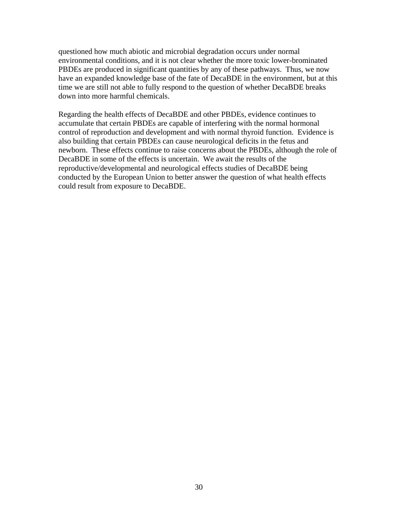questioned how much abiotic and microbial degradation occurs under normal environmental conditions, and it is not clear whether the more toxic lower-brominated PBDEs are produced in significant quantities by any of these pathways. Thus, we now have an expanded knowledge base of the fate of DecaBDE in the environment, but at this time we are still not able to fully respond to the question of whether DecaBDE breaks down into more harmful chemicals.

Regarding the health effects of DecaBDE and other PBDEs, evidence continues to accumulate that certain PBDEs are capable of interfering with the normal hormonal control of reproduction and development and with normal thyroid function. Evidence is also building that certain PBDEs can cause neurological deficits in the fetus and newborn. These effects continue to raise concerns about the PBDEs, although the role of DecaBDE in some of the effects is uncertain. We await the results of the reproductive/developmental and neurological effects studies of DecaBDE being conducted by the European Union to better answer the question of what health effects could result from exposure to DecaBDE.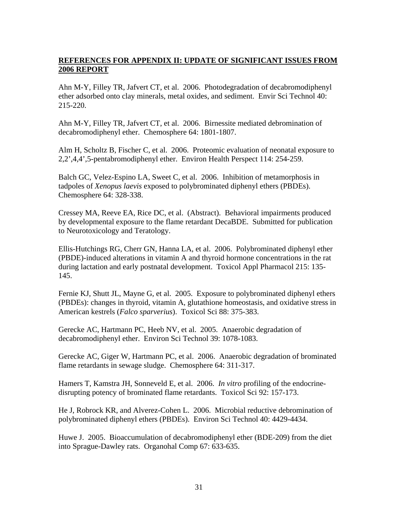## **REFERENCES FOR APPENDIX II: UPDATE OF SIGNIFICANT ISSUES FROM 2006 REPORT**

Ahn M-Y, Filley TR, Jafvert CT, et al. 2006. Photodegradation of decabromodiphenyl ether adsorbed onto clay minerals, metal oxides, and sediment. Envir Sci Technol 40: 215-220.

Ahn M-Y, Filley TR, Jafvert CT, et al. 2006. Birnessite mediated debromination of decabromodiphenyl ether. Chemosphere 64: 1801-1807.

Alm H, Scholtz B, Fischer C, et al. 2006. Proteomic evaluation of neonatal exposure to 2,2',4,4',5-pentabromodiphenyl ether. Environ Health Perspect 114: 254-259.

Balch GC, Velez-Espino LA, Sweet C, et al. 2006. Inhibition of metamorphosis in tadpoles of *Xenopus laevis* exposed to polybrominated diphenyl ethers (PBDEs). Chemosphere 64: 328-338.

Cressey MA, Reeve EA, Rice DC, et al. (Abstract). Behavioral impairments produced by developmental exposure to the flame retardant DecaBDE. Submitted for publication to Neurotoxicology and Teratology.

Ellis-Hutchings RG, Cherr GN, Hanna LA, et al. 2006. Polybrominated diphenyl ether (PBDE)-induced alterations in vitamin A and thyroid hormone concentrations in the rat during lactation and early postnatal development. Toxicol Appl Pharmacol 215: 135- 145.

Fernie KJ, Shutt JL, Mayne G, et al. 2005. Exposure to polybrominated diphenyl ethers (PBDEs): changes in thyroid, vitamin A, glutathione homeostasis, and oxidative stress in American kestrels (*Falco sparverius*). Toxicol Sci 88: 375-383.

Gerecke AC, Hartmann PC, Heeb NV, et al. 2005. Anaerobic degradation of decabromodiphenyl ether. Environ Sci Technol 39: 1078-1083.

Gerecke AC, Giger W, Hartmann PC, et al. 2006. Anaerobic degradation of brominated flame retardants in sewage sludge. Chemosphere 64: 311-317.

Hamers T, Kamstra JH, Sonneveld E, et al. 2006. *In vitro* profiling of the endocrinedisrupting potency of brominated flame retardants. Toxicol Sci 92: 157-173.

He J, Robrock KR, and Alverez-Cohen L. 2006. Microbial reductive debromination of polybrominated diphenyl ethers (PBDEs). Environ Sci Technol 40: 4429-4434.

Huwe J. 2005. Bioaccumulation of decabromodiphenyl ether (BDE-209) from the diet into Sprague-Dawley rats. Organohal Comp 67: 633-635.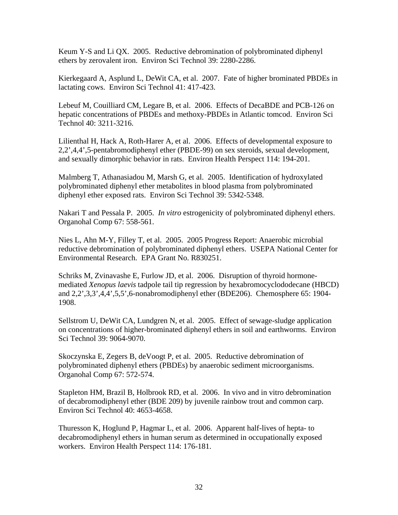Keum Y-S and Li QX. 2005. Reductive debromination of polybrominated diphenyl ethers by zerovalent iron. Environ Sci Technol 39: 2280-2286.

Kierkegaard A, Asplund L, DeWit CA, et al. 2007. Fate of higher brominated PBDEs in lactating cows. Environ Sci Technol 41: 417-423.

Lebeuf M, Couilliard CM, Legare B, et al. 2006. Effects of DecaBDE and PCB-126 on hepatic concentrations of PBDEs and methoxy-PBDEs in Atlantic tomcod. Environ Sci Technol 40: 3211-3216.

Lilienthal H, Hack A, Roth-Harer A, et al. 2006. Effects of developmental exposure to 2,2',4,4',5-pentabromodiphenyl ether (PBDE-99) on sex steroids, sexual development, and sexually dimorphic behavior in rats. Environ Health Perspect 114: 194-201.

Malmberg T, Athanasiadou M, Marsh G, et al. 2005. Identification of hydroxylated polybrominated diphenyl ether metabolites in blood plasma from polybrominated diphenyl ether exposed rats. Environ Sci Technol 39: 5342-5348.

Nakari T and Pessala P. 2005. *In vitro* estrogenicity of polybrominated diphenyl ethers. Organohal Comp 67: 558-561.

Nies L, Ahn M-Y, Filley T, et al. 2005. 2005 Progress Report: Anaerobic microbial reductive debromination of polybrominated diphenyl ethers. USEPA National Center for Environmental Research. EPA Grant No. R830251.

Schriks M, Zvinavashe E, Furlow JD, et al. 2006. Disruption of thyroid hormonemediated *Xenopus laevis* tadpole tail tip regression by hexabromocyclododecane (HBCD) and 2,2',3,3',4,4',5,5',6-nonabromodiphenyl ether (BDE206). Chemosphere 65: 1904- 1908.

Sellstrom U, DeWit CA, Lundgren N, et al. 2005. Effect of sewage-sludge application on concentrations of higher-brominated diphenyl ethers in soil and earthworms. Environ Sci Technol 39: 9064-9070.

Skoczynska E, Zegers B, deVoogt P, et al. 2005. Reductive debromination of polybrominated diphenyl ethers (PBDEs) by anaerobic sediment microorganisms. Organohal Comp 67: 572-574.

Stapleton HM, Brazil B, Holbrook RD, et al. 2006. In vivo and in vitro debromination of decabromodiphenyl ether (BDE 209) by juvenile rainbow trout and common carp. Environ Sci Technol 40: 4653-4658.

Thuresson K, Hoglund P, Hagmar L, et al. 2006. Apparent half-lives of hepta- to decabromodiphenyl ethers in human serum as determined in occupationally exposed workers. Environ Health Perspect 114: 176-181.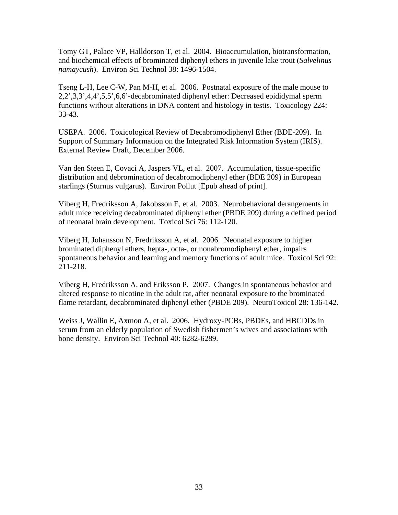Tomy GT, Palace VP, Halldorson T, et al. 2004. Bioaccumulation, biotransformation, and biochemical effects of brominated diphenyl ethers in juvenile lake trout (*Salvelinus namaycush*). Environ Sci Technol 38: 1496-1504.

Tseng L-H, Lee C-W, Pan M-H, et al. 2006. Postnatal exposure of the male mouse to 2,2',3,3',4,4',5,5',6,6'-decabrominated diphenyl ether: Decreased epididymal sperm functions without alterations in DNA content and histology in testis. Toxicology 224: 33-43.

USEPA. 2006. Toxicological Review of Decabromodiphenyl Ether (BDE-209). In Support of Summary Information on the Integrated Risk Information System (IRIS). External Review Draft, December 2006.

Van den Steen E, Covaci A, Jaspers VL, et al. 2007. Accumulation, tissue-specific distribution and debromination of decabromodiphenyl ether (BDE 209) in European starlings (Sturnus vulgarus). Environ Pollut [Epub ahead of print].

Viberg H, Fredriksson A, Jakobsson E, et al. 2003. Neurobehavioral derangements in adult mice receiving decabrominated diphenyl ether (PBDE 209) during a defined period of neonatal brain development. Toxicol Sci 76: 112-120.

Viberg H, Johansson N, Fredriksson A, et al. 2006. Neonatal exposure to higher brominated diphenyl ethers, hepta-, octa-, or nonabromodiphenyl ether, impairs spontaneous behavior and learning and memory functions of adult mice. Toxicol Sci 92: 211-218.

Viberg H, Fredriksson A, and Eriksson P. 2007. Changes in spontaneous behavior and altered response to nicotine in the adult rat, after neonatal exposure to the brominated flame retardant, decabrominated diphenyl ether (PBDE 209). NeuroToxicol 28: 136-142.

Weiss J, Wallin E, Axmon A, et al. 2006. Hydroxy-PCBs, PBDEs, and HBCDDs in serum from an elderly population of Swedish fishermen's wives and associations with bone density. Environ Sci Technol 40: 6282-6289.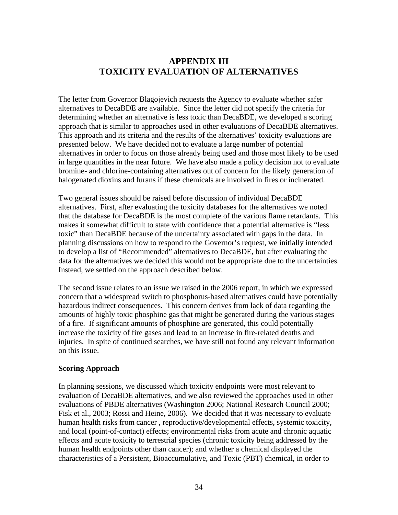# **APPENDIX III TOXICITY EVALUATION OF ALTERNATIVES**

The letter from Governor Blagojevich requests the Agency to evaluate whether safer alternatives to DecaBDE are available. Since the letter did not specify the criteria for determining whether an alternative is less toxic than DecaBDE, we developed a scoring approach that is similar to approaches used in other evaluations of DecaBDE alternatives. This approach and its criteria and the results of the alternatives' toxicity evaluations are presented below. We have decided not to evaluate a large number of potential alternatives in order to focus on those already being used and those most likely to be used in large quantities in the near future. We have also made a policy decision not to evaluate bromine- and chlorine-containing alternatives out of concern for the likely generation of halogenated dioxins and furans if these chemicals are involved in fires or incinerated.

Two general issues should be raised before discussion of individual DecaBDE alternatives. First, after evaluating the toxicity databases for the alternatives we noted that the database for DecaBDE is the most complete of the various flame retardants. This makes it somewhat difficult to state with confidence that a potential alternative is "less toxic" than DecaBDE because of the uncertainty associated with gaps in the data. In planning discussions on how to respond to the Governor's request, we initially intended to develop a list of "Recommended" alternatives to DecaBDE, but after evaluating the data for the alternatives we decided this would not be appropriate due to the uncertainties. Instead, we settled on the approach described below.

The second issue relates to an issue we raised in the 2006 report, in which we expressed concern that a widespread switch to phosphorus-based alternatives could have potentially hazardous indirect consequences. This concern derives from lack of data regarding the amounts of highly toxic phosphine gas that might be generated during the various stages of a fire. If significant amounts of phosphine are generated, this could potentially increase the toxicity of fire gases and lead to an increase in fire-related deaths and injuries. In spite of continued searches, we have still not found any relevant information on this issue.

#### **Scoring Approach**

In planning sessions, we discussed which toxicity endpoints were most relevant to evaluation of DecaBDE alternatives, and we also reviewed the approaches used in other evaluations of PBDE alternatives (Washington 2006; National Research Council 2000; Fisk et al., 2003; Rossi and Heine, 2006). We decided that it was necessary to evaluate human health risks from cancer , reproductive/developmental effects, systemic toxicity, and local (point-of-contact) effects; environmental risks from acute and chronic aquatic effects and acute toxicity to terrestrial species (chronic toxicity being addressed by the human health endpoints other than cancer); and whether a chemical displayed the characteristics of a Persistent, Bioaccumulative, and Toxic (PBT) chemical, in order to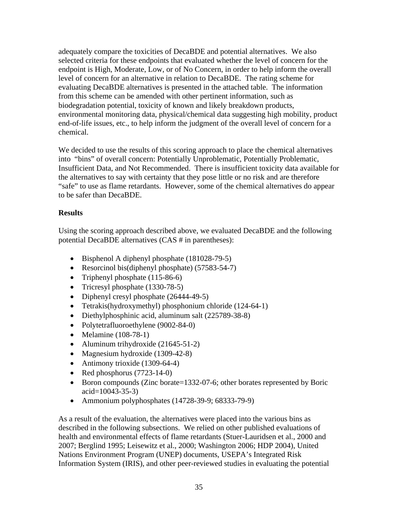adequately compare the toxicities of DecaBDE and potential alternatives. We also selected criteria for these endpoints that evaluated whether the level of concern for the endpoint is High, Moderate, Low, or of No Concern, in order to help inform the overall level of concern for an alternative in relation to DecaBDE. The rating scheme for evaluating DecaBDE alternatives is presented in the attached table. The information from this scheme can be amended with other pertinent information, such as biodegradation potential, toxicity of known and likely breakdown products, environmental monitoring data, physical/chemical data suggesting high mobility, product end-of-life issues, etc., to help inform the judgment of the overall level of concern for a chemical.

We decided to use the results of this scoring approach to place the chemical alternatives into "bins" of overall concern: Potentially Unproblematic, Potentially Problematic, Insufficient Data, and Not Recommended. There is insufficient toxicity data available for the alternatives to say with certainty that they pose little or no risk and are therefore "safe" to use as flame retardants. However, some of the chemical alternatives do appear to be safer than DecaBDE.

# **Results**

Using the scoring approach described above, we evaluated DecaBDE and the following potential DecaBDE alternatives (CAS # in parentheses):

- Bisphenol A diphenyl phosphate (181028-79-5)
- Resorcinol bis(diphenyl phosphate) (57583-54-7)
- Triphenyl phosphate (115-86-6)
- Tricresyl phosphate (1330-78-5)
- Diphenyl cresyl phosphate (26444-49-5)
- Tetrakis(hydroxymethyl) phosphonium chloride (124-64-1)
- Diethylphosphinic acid, aluminum salt (225789-38-8)
- Polytetrafluoroethylene (9002-84-0)
- Melamine (108-78-1)
- Aluminum trihydroxide (21645-51-2)
- Magnesium hydroxide (1309-42-8)
- Antimony trioxide (1309-64-4)
- Red phosphorus (7723-14-0)
- Boron compounds (Zinc borate=1332-07-6; other borates represented by Boric acid=10043-35-3)
- Ammonium polyphosphates  $(14728-39-9; 68333-79-9)$

As a result of the evaluation, the alternatives were placed into the various bins as described in the following subsections. We relied on other published evaluations of health and environmental effects of flame retardants (Stuer-Lauridsen et al., 2000 and 2007; Berglind 1995; Leisewitz et al., 2000; Washington 2006; HDP 2004), United Nations Environment Program (UNEP) documents, USEPA's Integrated Risk Information System (IRIS), and other peer-reviewed studies in evaluating the potential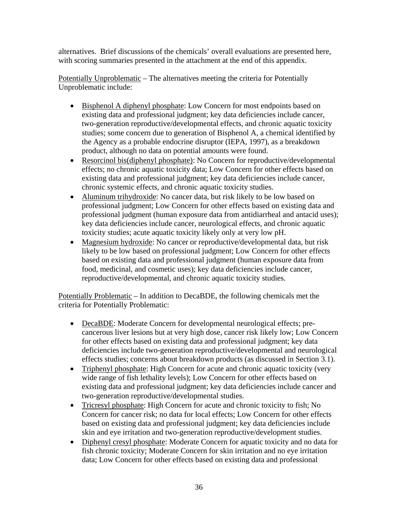alternatives. Brief discussions of the chemicals' overall evaluations are presented here, with scoring summaries presented in the attachment at the end of this appendix.

Potentially Unproblematic – The alternatives meeting the criteria for Potentially Unproblematic include:

- Bisphenol A diphenyl phosphate: Low Concern for most endpoints based on existing data and professional judgment; key data deficiencies include cancer, two-generation reproductive/developmental effects, and chronic aquatic toxicity studies; some concern due to generation of Bisphenol A, a chemical identified by the Agency as a probable endocrine disruptor (IEPA, 1997), as a breakdown product, although no data on potential amounts were found.
- Resorcinol bis(diphenyl phosphate): No Concern for reproductive/developmental effects; no chronic aquatic toxicity data; Low Concern for other effects based on existing data and professional judgment; key data deficiencies include cancer, chronic systemic effects, and chronic aquatic toxicity studies.
- Aluminum trihydroxide: No cancer data, but risk likely to be low based on professional judgment; Low Concern for other effects based on existing data and professional judgment (human exposure data from antidiarrheal and antacid uses); key data deficiencies include cancer, neurological effects, and chronic aquatic toxicity studies; acute aquatic toxicity likely only at very low pH.
- Magnesium hydroxide: No cancer or reproductive/developmental data, but risk likely to be low based on professional judgment; Low Concern for other effects based on existing data and professional judgment (human exposure data from food, medicinal, and cosmetic uses); key data deficiencies include cancer, reproductive/developmental, and chronic aquatic toxicity studies.

Potentially Problematic – In addition to DecaBDE, the following chemicals met the criteria for Potentially Problematic:

- DecaBDE: Moderate Concern for developmental neurological effects; precancerous liver lesions but at very high dose, cancer risk likely low; Low Concern for other effects based on existing data and professional judgment; key data deficiencies include two-generation reproductive/developmental and neurological effects studies; concerns about breakdown products (as discussed in Section 3.1).
- Triphenyl phosphate: High Concern for acute and chronic aquatic toxicity (very wide range of fish lethality levels); Low Concern for other effects based on existing data and professional judgment; key data deficiencies include cancer and two-generation reproductive/developmental studies.
- Tricresyl phosphate: High Concern for acute and chronic toxicity to fish; No Concern for cancer risk; no data for local effects; Low Concern for other effects based on existing data and professional judgment; key data deficiencies include skin and eye irritation and two-generation reproductive/development studies.
- Diphenyl cresyl phosphate: Moderate Concern for aquatic toxicity and no data for fish chronic toxicity; Moderate Concern for skin irritation and no eye irritation data; Low Concern for other effects based on existing data and professional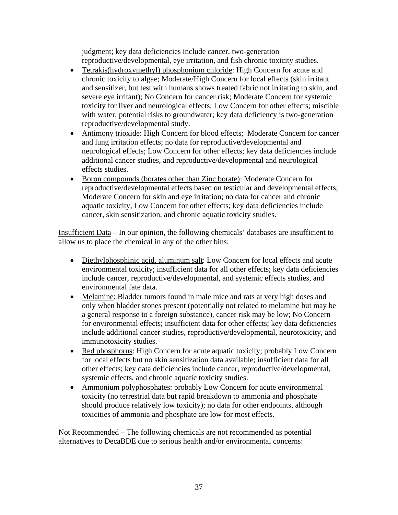judgment; key data deficiencies include cancer, two-generation reproductive/developmental, eye irritation, and fish chronic toxicity studies.

- Tetrakis(hydroxymethyl) phosphonium chloride: High Concern for acute and chronic toxicity to algae; Moderate/High Concern for local effects (skin irritant and sensitizer, but test with humans shows treated fabric not irritating to skin, and severe eye irritant); No Concern for cancer risk; Moderate Concern for systemic toxicity for liver and neurological effects; Low Concern for other effects; miscible with water, potential risks to groundwater; key data deficiency is two-generation reproductive/developmental study.
- Antimony trioxide: High Concern for blood effects; Moderate Concern for cancer and lung irritation effects; no data for reproductive/developmental and neurological effects; Low Concern for other effects; key data deficiencies include additional cancer studies, and reproductive/developmental and neurological effects studies.
- Boron compounds (borates other than Zinc borate): Moderate Concern for reproductive/developmental effects based on testicular and developmental effects; Moderate Concern for skin and eye irritation; no data for cancer and chronic aquatic toxicity, Low Concern for other effects; key data deficiencies include cancer, skin sensitization, and chronic aquatic toxicity studies.

Insufficient Data – In our opinion, the following chemicals' databases are insufficient to allow us to place the chemical in any of the other bins:

- Diethylphosphinic acid, aluminum salt: Low Concern for local effects and acute environmental toxicity; insufficient data for all other effects; key data deficiencies include cancer, reproductive/developmental, and systemic effects studies, and environmental fate data.
- Melamine: Bladder tumors found in male mice and rats at very high doses and only when bladder stones present (potentially not related to melamine but may be a general response to a foreign substance), cancer risk may be low; No Concern for environmental effects; insufficient data for other effects; key data deficiencies include additional cancer studies, reproductive/developmental, neurotoxicity, and immunotoxicity studies.
- Red phosphorus: High Concern for acute aquatic toxicity; probably Low Concern for local effects but no skin sensitization data available; insufficient data for all other effects; key data deficiencies include cancer, reproductive/developmental, systemic effects, and chronic aquatic toxicity studies.
- Ammonium polyphosphates: probably Low Concern for acute environmental toxicity (no terrestrial data but rapid breakdown to ammonia and phosphate should produce relatively low toxicity); no data for other endpoints, although toxicities of ammonia and phosphate are low for most effects.

Not Recommended – The following chemicals are not recommended as potential alternatives to DecaBDE due to serious health and/or environmental concerns: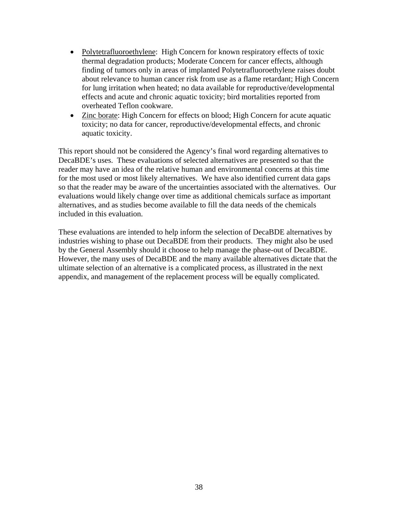- Polytetrafluoroethylene: High Concern for known respiratory effects of toxic thermal degradation products; Moderate Concern for cancer effects, although finding of tumors only in areas of implanted Polytetrafluoroethylene raises doubt about relevance to human cancer risk from use as a flame retardant; High Concern for lung irritation when heated; no data available for reproductive/developmental effects and acute and chronic aquatic toxicity; bird mortalities reported from overheated Teflon cookware.
- Zinc borate: High Concern for effects on blood; High Concern for acute aquatic toxicity; no data for cancer, reproductive/developmental effects, and chronic aquatic toxicity.

This report should not be considered the Agency's final word regarding alternatives to DecaBDE's uses. These evaluations of selected alternatives are presented so that the reader may have an idea of the relative human and environmental concerns at this time for the most used or most likely alternatives. We have also identified current data gaps so that the reader may be aware of the uncertainties associated with the alternatives. Our evaluations would likely change over time as additional chemicals surface as important alternatives, and as studies become available to fill the data needs of the chemicals included in this evaluation.

These evaluations are intended to help inform the selection of DecaBDE alternatives by industries wishing to phase out DecaBDE from their products. They might also be used by the General Assembly should it choose to help manage the phase-out of DecaBDE. However, the many uses of DecaBDE and the many available alternatives dictate that the ultimate selection of an alternative is a complicated process, as illustrated in the next appendix, and management of the replacement process will be equally complicated.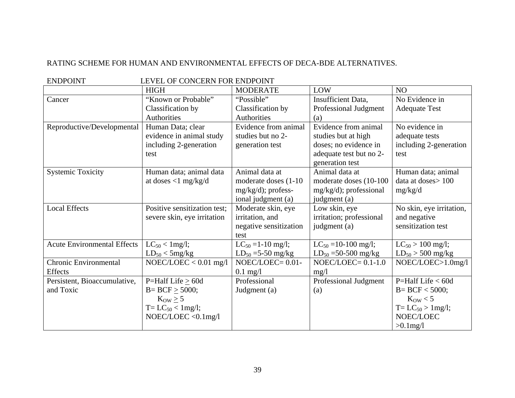#### RATING SCHEME FOR HUMAN AND ENVIRONMENTAL EFFECTS OF DECA-BDE ALTERNATIVES.

| <b>ENDPOINT</b><br>LEVEL OF CONCERN FOR ENDPOINT |                              |                          |                            |                          |
|--------------------------------------------------|------------------------------|--------------------------|----------------------------|--------------------------|
|                                                  | <b>HIGH</b>                  | <b>MODERATE</b>          | LOW                        | N <sub>O</sub>           |
| Cancer                                           | "Known or Probable"          | "Possible"               | <b>Insufficient Data,</b>  | No Evidence in           |
|                                                  | Classification by            | Classification by        | Professional Judgment      | <b>Adequate Test</b>     |
|                                                  | <b>Authorities</b>           | Authorities              | (a)                        |                          |
| Reproductive/Developmental                       | Human Data; clear            | Evidence from animal     | Evidence from animal       | No evidence in           |
|                                                  | evidence in animal study     | studies but no 2-        | studies but at high        | adequate tests           |
|                                                  | including 2-generation       | generation test          | doses; no evidence in      | including 2-generation   |
|                                                  | test                         |                          | adequate test but no 2-    | test                     |
|                                                  |                              |                          | generation test            |                          |
| <b>Systemic Toxicity</b>                         | Human data; animal data      | Animal data at           | Animal data at             | Human data; animal       |
|                                                  | at doses $<$ 1 mg/kg/d       | moderate doses (1-10)    | moderate doses (10-100     | data at doses > 100      |
|                                                  |                              | $mg/kg/d)$ ; profess-    | $mg/kg/d)$ ; professional  | mg/kg/d                  |
|                                                  |                              | ional judgment (a)       | judgment (a)               |                          |
| <b>Local Effects</b>                             | Positive sensitization test; | Moderate skin, eye       | Low skin, eye              | No skin, eye irritation, |
|                                                  | severe skin, eye irritation  | irritation, and          | irritation; professional   | and negative             |
|                                                  |                              | negative sensitization   | judgment (a)               | sensitization test       |
|                                                  |                              | test                     |                            |                          |
| <b>Acute Environmental Effects</b>               | $LC_{50}$ < 1 mg/l;          | $LC_{50} = 1-10$ mg/l;   | $LC_{50} = 10-100$ mg/l;   | $LC_{50} > 100$ mg/l;    |
|                                                  | $LD_{50} < 5mg/kg$           | $LD_{50} = 5 - 50$ mg/kg | $LD_{50} = 50 - 500$ mg/kg | $LD_{50} > 500$ mg/kg    |
| <b>Chronic Environmental</b>                     | $NOEC/LOEC < 0.01$ mg/l      | $NOEC/LOEC = 0.01 -$     | $NOEC/LOEC = 0.1-1.0$      | NOEC/LOEC>1.0mg/l        |
| <b>Effects</b>                                   |                              | $0.1$ mg/l               | mg/l                       |                          |
| Persistent, Bioaccumulative,                     | P=Half Life > 60d            | Professional             | Professional Judgment      | P=Half Life $< 60d$      |
| and Toxic                                        | $B = BCF > 5000;$            | Judgment (a)             | (a)                        | $B = BCF < 5000;$        |
|                                                  | $K_{OW} \ge 5$               |                          |                            | $K_{\text{OW}} < 5$      |
|                                                  | $T = LC_{50} < 1mg/l$ ;      |                          |                            | $T = LC_{50} > 1$ mg/l;  |
|                                                  | $NOEC/LOEC < 0.1$ mg/l       |                          |                            | NOEC/LOEC                |
|                                                  |                              |                          |                            | $>0.1$ mg/l              |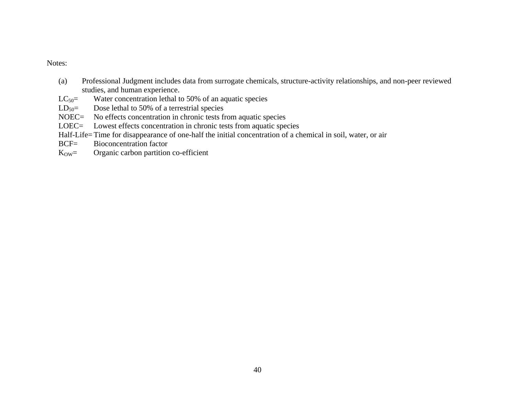#### Notes:

- (a) Professional Judgment includes data from surrogate chemicals, structure-activity relationships, and non-peer reviewed studies, and human experience.
- $LC_{50}$  Water concentration lethal to 50% of an aquatic species
- $LD_{50}$  Dose lethal to 50% of a terrestrial species
- NOEC= No effects concentration in chronic tests from aquatic species
- LOEC= Lowest effects concentration in chronic tests from aquatic species
- Half-Life= Time for disappearance of one-half the initial concentration of a chemical in soil, water, or air BCF= Bioconcentration factor
- BCF= Bioconcentration factor
- $K<sub>OW</sub> =$  Organic carbon partition co-efficient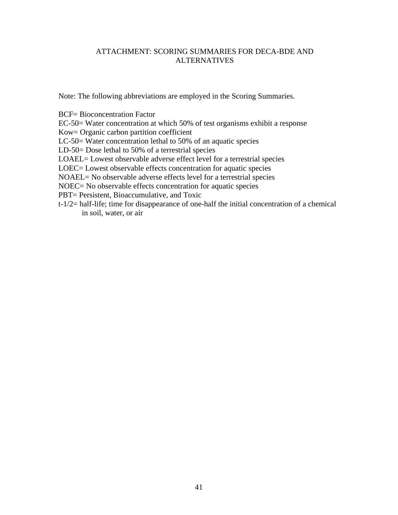#### ATTACHMENT: SCORING SUMMARIES FOR DECA-BDE AND ALTERNATIVES

Note: The following abbreviations are employed in the Scoring Summaries.

BCF= Bioconcentration Factor

EC-50= Water concentration at which 50% of test organisms exhibit a response

Kow= Organic carbon partition coefficient

LC-50= Water concentration lethal to 50% of an aquatic species

LD-50= Dose lethal to 50% of a terrestrial species

LOAEL= Lowest observable adverse effect level for a terrestrial species

LOEC= Lowest observable effects concentration for aquatic species

NOAEL= No observable adverse effects level for a terrestrial species

NOEC= No observable effects concentration for aquatic species

PBT= Persistent, Bioaccumulative, and Toxic

t-1/2= half-life; time for disappearance of one-half the initial concentration of a chemical in soil, water, or air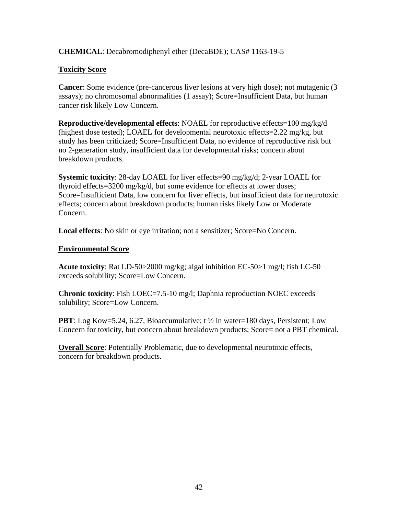# **CHEMICAL**: Decabromodiphenyl ether (DecaBDE); CAS# 1163-19-5

## **Toxicity Score**

**Cancer**: Some evidence (pre-cancerous liver lesions at very high dose); not mutagenic (3 assays); no chromosomal abnormalities (1 assay); Score=Insufficient Data, but human cancer risk likely Low Concern.

**Reproductive/developmental effects**: NOAEL for reproductive effects=100 mg/kg/d (highest dose tested); LOAEL for developmental neurotoxic effects=2.22 mg/kg, but study has been criticized; Score=Insufficient Data, no evidence of reproductive risk but no 2-generation study, insufficient data for developmental risks; concern about breakdown products.

**Systemic toxicity**: 28-day LOAEL for liver effects=90 mg/kg/d; 2-year LOAEL for thyroid effects=3200 mg/kg/d, but some evidence for effects at lower doses; Score=Insufficient Data, low concern for liver effects, but insufficient data for neurotoxic effects; concern about breakdown products; human risks likely Low or Moderate Concern.

**Local effects**: No skin or eye irritation; not a sensitizer; Score=No Concern.

#### **Environmental Score**

**Acute toxicity**: Rat LD-50>2000 mg/kg; algal inhibition EC-50>1 mg/l; fish LC-50 exceeds solubility; Score=Low Concern.

**Chronic toxicity**: Fish LOEC=7.5-10 mg/l; Daphnia reproduction NOEC exceeds solubility; Score=Low Concern.

**PBT**: Log Kow=5.24, 6.27, Bioaccumulative; t  $\frac{1}{2}$  in water=180 days, Persistent; Low Concern for toxicity, but concern about breakdown products; Score= not a PBT chemical.

**Overall Score**: Potentially Problematic, due to developmental neurotoxic effects, concern for breakdown products.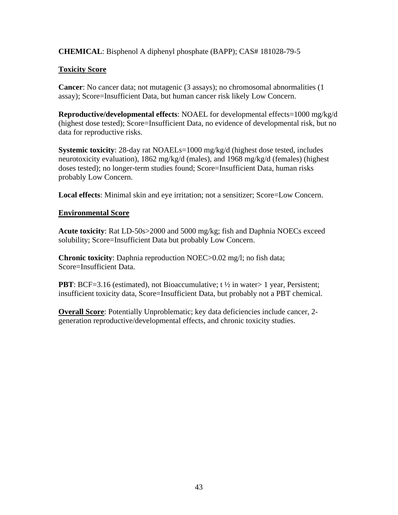# **CHEMICAL**: Bisphenol A diphenyl phosphate (BAPP); CAS# 181028-79-5

## **Toxicity Score**

**Cancer**: No cancer data; not mutagenic (3 assays); no chromosomal abnormalities (1 assay); Score=Insufficient Data, but human cancer risk likely Low Concern.

**Reproductive/developmental effects**: NOAEL for developmental effects=1000 mg/kg/d (highest dose tested); Score=Insufficient Data, no evidence of developmental risk, but no data for reproductive risks.

**Systemic toxicity**: 28-day rat NOAELs=1000 mg/kg/d (highest dose tested, includes neurotoxicity evaluation), 1862 mg/kg/d (males), and 1968 mg/kg/d (females) (highest doses tested); no longer-term studies found; Score=Insufficient Data, human risks probably Low Concern.

**Local effects**: Minimal skin and eye irritation; not a sensitizer; Score=Low Concern.

#### **Environmental Score**

**Acute toxicity**: Rat LD-50s>2000 and 5000 mg/kg; fish and Daphnia NOECs exceed solubility; Score=Insufficient Data but probably Low Concern.

**Chronic toxicity**: Daphnia reproduction NOEC>0.02 mg/l; no fish data; Score=Insufficient Data.

**PBT**: BCF=3.16 (estimated), not Bioaccumulative;  $t \frac{1}{2}$  in water 1 year, Persistent; insufficient toxicity data, Score=Insufficient Data, but probably not a PBT chemical.

**Overall Score**: Potentially Unproblematic; key data deficiencies include cancer, 2 generation reproductive/developmental effects, and chronic toxicity studies.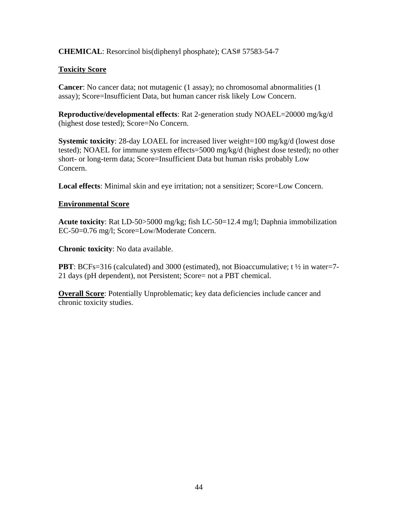## **CHEMICAL**: Resorcinol bis(diphenyl phosphate); CAS# 57583-54-7

#### **Toxicity Score**

**Cancer**: No cancer data; not mutagenic (1 assay); no chromosomal abnormalities (1 assay); Score=Insufficient Data, but human cancer risk likely Low Concern.

**Reproductive/developmental effects**: Rat 2-generation study NOAEL=20000 mg/kg/d (highest dose tested); Score=No Concern.

**Systemic toxicity**: 28-day LOAEL for increased liver weight=100 mg/kg/d (lowest dose tested); NOAEL for immune system effects=5000 mg/kg/d (highest dose tested); no other short- or long-term data; Score=Insufficient Data but human risks probably Low Concern.

**Local effects**: Minimal skin and eye irritation; not a sensitizer; Score=Low Concern.

#### **Environmental Score**

**Acute toxicity**: Rat LD-50>5000 mg/kg; fish LC-50=12.4 mg/l; Daphnia immobilization EC-50=0.76 mg/l; Score=Low/Moderate Concern.

**Chronic toxicity**: No data available.

**PBT**: BCFs=316 (calculated) and 3000 (estimated), not Bioaccumulative; t  $\frac{1}{2}$  in water=7-21 days (pH dependent), not Persistent; Score= not a PBT chemical.

**Overall Score:** Potentially Unproblematic; key data deficiencies include cancer and chronic toxicity studies.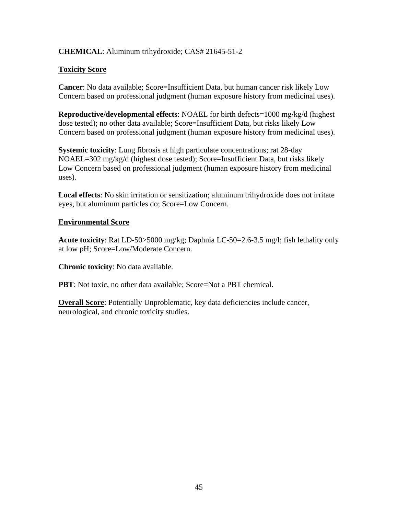# **CHEMICAL**: Aluminum trihydroxide; CAS# 21645-51-2

#### **Toxicity Score**

**Cancer**: No data available; Score=Insufficient Data, but human cancer risk likely Low Concern based on professional judgment (human exposure history from medicinal uses).

**Reproductive/developmental effects**: NOAEL for birth defects=1000 mg/kg/d (highest dose tested); no other data available; Score=Insufficient Data, but risks likely Low Concern based on professional judgment (human exposure history from medicinal uses).

**Systemic toxicity**: Lung fibrosis at high particulate concentrations; rat 28-day NOAEL=302 mg/kg/d (highest dose tested); Score=Insufficient Data, but risks likely Low Concern based on professional judgment (human exposure history from medicinal uses).

**Local effects**: No skin irritation or sensitization; aluminum trihydroxide does not irritate eyes, but aluminum particles do; Score=Low Concern.

#### **Environmental Score**

**Acute toxicity**: Rat LD-50>5000 mg/kg; Daphnia LC-50=2.6-3.5 mg/l; fish lethality only at low pH; Score=Low/Moderate Concern.

**Chronic toxicity**: No data available.

**PBT**: Not toxic, no other data available; Score=Not a PBT chemical.

**Overall Score:** Potentially Unproblematic, key data deficiencies include cancer, neurological, and chronic toxicity studies.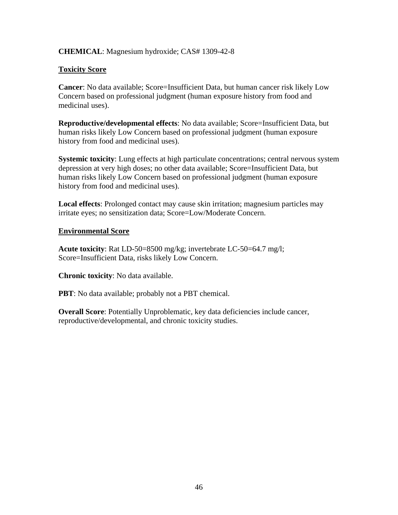## **CHEMICAL**: Magnesium hydroxide; CAS# 1309-42-8

## **Toxicity Score**

**Cancer**: No data available; Score=Insufficient Data, but human cancer risk likely Low Concern based on professional judgment (human exposure history from food and medicinal uses).

**Reproductive/developmental effects**: No data available; Score=Insufficient Data, but human risks likely Low Concern based on professional judgment (human exposure history from food and medicinal uses).

**Systemic toxicity**: Lung effects at high particulate concentrations; central nervous system depression at very high doses; no other data available; Score=Insufficient Data, but human risks likely Low Concern based on professional judgment (human exposure history from food and medicinal uses).

**Local effects**: Prolonged contact may cause skin irritation; magnesium particles may irritate eyes; no sensitization data; Score=Low/Moderate Concern.

#### **Environmental Score**

**Acute toxicity**: Rat LD-50=8500 mg/kg; invertebrate LC-50=64.7 mg/l; Score=Insufficient Data, risks likely Low Concern.

**Chronic toxicity**: No data available.

**PBT**: No data available; probably not a PBT chemical.

**Overall Score**: Potentially Unproblematic, key data deficiencies include cancer, reproductive/developmental, and chronic toxicity studies.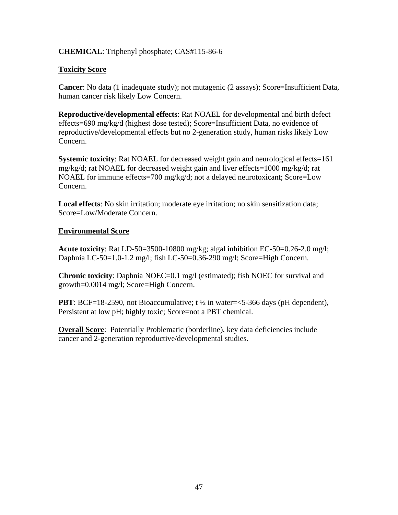## **CHEMICAL**: Triphenyl phosphate; CAS#115-86-6

## **Toxicity Score**

**Cancer**: No data (1 inadequate study); not mutagenic (2 assays); Score=Insufficient Data, human cancer risk likely Low Concern.

**Reproductive/developmental effects**: Rat NOAEL for developmental and birth defect effects=690 mg/kg/d (highest dose tested); Score=Insufficient Data, no evidence of reproductive/developmental effects but no 2-generation study, human risks likely Low Concern.

**Systemic toxicity**: Rat NOAEL for decreased weight gain and neurological effects=161 mg/kg/d; rat NOAEL for decreased weight gain and liver effects=1000 mg/kg/d; rat NOAEL for immune effects=700 mg/kg/d; not a delayed neurotoxicant; Score=Low Concern.

**Local effects**: No skin irritation; moderate eye irritation; no skin sensitization data; Score=Low/Moderate Concern.

#### **Environmental Score**

**Acute toxicity**: Rat LD-50=3500-10800 mg/kg; algal inhibition EC-50=0.26-2.0 mg/l; Daphnia LC-50=1.0-1.2 mg/l; fish LC-50=0.36-290 mg/l; Score=High Concern.

**Chronic toxicity**: Daphnia NOEC=0.1 mg/l (estimated); fish NOEC for survival and growth=0.0014 mg/l; Score=High Concern.

**PBT**: BCF=18-2590, not Bioaccumulative;  $t \frac{1}{2}$  in water= $\lt$ 5-366 days (pH dependent), Persistent at low pH; highly toxic; Score=not a PBT chemical.

**Overall Score:** Potentially Problematic (borderline), key data deficiencies include cancer and 2-generation reproductive/developmental studies.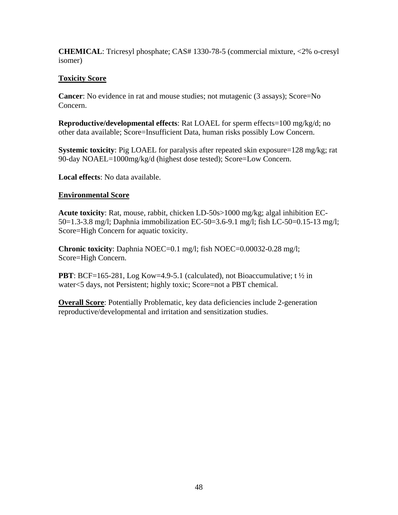**CHEMICAL**: Tricresyl phosphate; CAS# 1330-78-5 (commercial mixture, <2% o-cresyl isomer)

# **Toxicity Score**

**Cancer**: No evidence in rat and mouse studies; not mutagenic (3 assays); Score=No Concern.

**Reproductive/developmental effects**: Rat LOAEL for sperm effects=100 mg/kg/d; no other data available; Score=Insufficient Data, human risks possibly Low Concern.

**Systemic toxicity**: Pig LOAEL for paralysis after repeated skin exposure=128 mg/kg; rat 90-day NOAEL=1000mg/kg/d (highest dose tested); Score=Low Concern.

**Local effects**: No data available.

# **Environmental Score**

**Acute toxicity**: Rat, mouse, rabbit, chicken LD-50s>1000 mg/kg; algal inhibition EC-50=1.3-3.8 mg/l; Daphnia immobilization EC-50=3.6-9.1 mg/l; fish LC-50=0.15-13 mg/l; Score=High Concern for aquatic toxicity.

**Chronic toxicity**: Daphnia NOEC=0.1 mg/l; fish NOEC=0.00032-0.28 mg/l; Score=High Concern.

**PBT**: BCF=165-281, Log Kow=4.9-5.1 (calculated), not Bioaccumulative; t  $\frac{1}{2}$  in water<5 days, not Persistent; highly toxic; Score=not a PBT chemical.

**Overall Score:** Potentially Problematic, key data deficiencies include 2-generation reproductive/developmental and irritation and sensitization studies.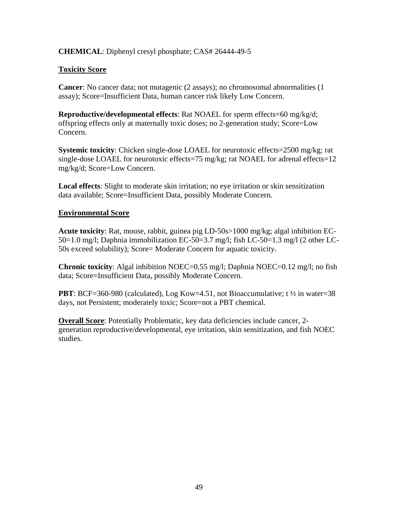#### **CHEMICAL**: Diphenyl cresyl phosphate; CAS# 26444-49-5

#### **Toxicity Score**

**Cancer**: No cancer data; not mutagenic (2 assays); no chromosomal abnormalities (1 assay); Score=Insufficient Data, human cancer risk likely Low Concern.

**Reproductive/developmental effects**: Rat NOAEL for sperm effects=60 mg/kg/d; offspring effects only at maternally toxic doses; no 2-generation study; Score=Low Concern.

**Systemic toxicity**: Chicken single-dose LOAEL for neurotoxic effects=2500 mg/kg; rat single-dose LOAEL for neurotoxic effects=75 mg/kg; rat NOAEL for adrenal effects=12 mg/kg/d; Score=Low Concern.

**Local effects**: Slight to moderate skin irritation; no eye irritation or skin sensitization data available; Score=Insufficient Data, possibly Moderate Concern.

#### **Environmental Score**

**Acute toxicity**: Rat, mouse, rabbit, guinea pig LD-50s>1000 mg/kg; algal inhibition EC-50=1.0 mg/l; Daphnia immobilization EC-50=3.7 mg/l; fish LC-50=1.3 mg/l (2 other LC-50s exceed solubility); Score= Moderate Concern for aquatic toxicity.

**Chronic toxicity**: Algal inhibition NOEC=0.55 mg/l; Daphnia NOEC=0.12 mg/l; no fish data; Score=Insufficient Data, possibly Moderate Concern.

**PBT**: BCF=360-980 (calculated), Log Kow=4.51, not Bioaccumulative;  $t \frac{1}{2}$  in water=38 days, not Persistent; moderately toxic; Score=not a PBT chemical.

**Overall Score**: Potentially Problematic, key data deficiencies include cancer, 2 generation reproductive/developmental, eye irritation, skin sensitization, and fish NOEC studies.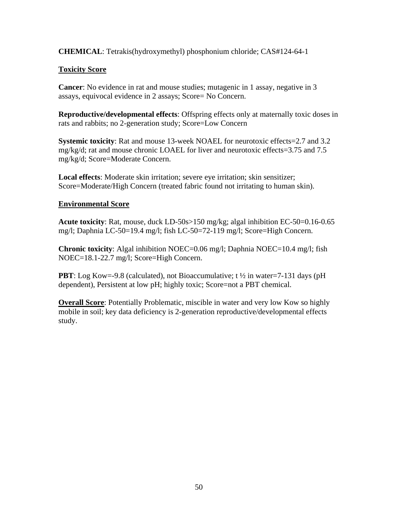**CHEMICAL**: Tetrakis(hydroxymethyl) phosphonium chloride; CAS#124-64-1

# **Toxicity Score**

**Cancer**: No evidence in rat and mouse studies; mutagenic in 1 assay, negative in 3 assays, equivocal evidence in 2 assays; Score= No Concern.

**Reproductive/developmental effects**: Offspring effects only at maternally toxic doses in rats and rabbits; no 2-generation study; Score=Low Concern

**Systemic toxicity**: Rat and mouse 13-week NOAEL for neurotoxic effects=2.7 and 3.2 mg/kg/d; rat and mouse chronic LOAEL for liver and neurotoxic effects=3.75 and 7.5 mg/kg/d; Score=Moderate Concern.

**Local effects**: Moderate skin irritation; severe eye irritation; skin sensitizer; Score=Moderate/High Concern (treated fabric found not irritating to human skin).

#### **Environmental Score**

**Acute toxicity**: Rat, mouse, duck LD-50s>150 mg/kg; algal inhibition EC-50=0.16-0.65 mg/l; Daphnia LC-50=19.4 mg/l; fish LC-50=72-119 mg/l; Score=High Concern.

**Chronic toxicity**: Algal inhibition NOEC=0.06 mg/l; Daphnia NOEC=10.4 mg/l; fish NOEC=18.1-22.7 mg/l; Score=High Concern.

**PBT**: Log Kow=-9.8 (calculated), not Bioaccumulative; t  $\frac{1}{2}$  in water=7-131 days (pH) dependent), Persistent at low pH; highly toxic; Score=not a PBT chemical.

**Overall Score**: Potentially Problematic, miscible in water and very low Kow so highly mobile in soil; key data deficiency is 2-generation reproductive/developmental effects study.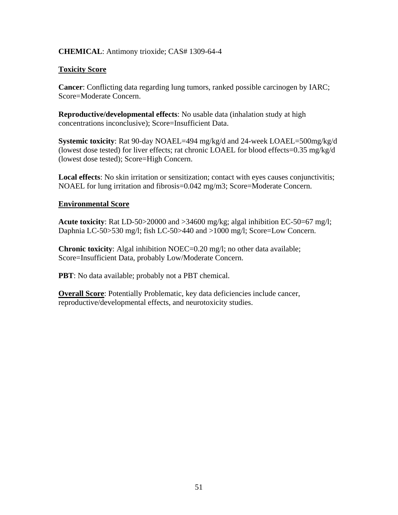#### **CHEMICAL**: Antimony trioxide; CAS# 1309-64-4

#### **Toxicity Score**

**Cancer**: Conflicting data regarding lung tumors, ranked possible carcinogen by IARC; Score=Moderate Concern.

**Reproductive/developmental effects**: No usable data (inhalation study at high concentrations inconclusive); Score=Insufficient Data.

**Systemic toxicity**: Rat 90-day NOAEL=494 mg/kg/d and 24-week LOAEL=500mg/kg/d (lowest dose tested) for liver effects; rat chronic LOAEL for blood effects=0.35 mg/kg/d (lowest dose tested); Score=High Concern.

**Local effects**: No skin irritation or sensitization; contact with eyes causes conjunctivitis; NOAEL for lung irritation and fibrosis=0.042 mg/m3; Score=Moderate Concern.

#### **Environmental Score**

**Acute toxicity**: Rat LD-50>20000 and >34600 mg/kg; algal inhibition EC-50=67 mg/l; Daphnia LC-50>530 mg/l; fish LC-50>440 and >1000 mg/l; Score=Low Concern.

**Chronic toxicity**: Algal inhibition NOEC=0.20 mg/l; no other data available; Score=Insufficient Data, probably Low/Moderate Concern.

**PBT**: No data available; probably not a PBT chemical.

**Overall Score:** Potentially Problematic, key data deficiencies include cancer, reproductive/developmental effects, and neurotoxicity studies.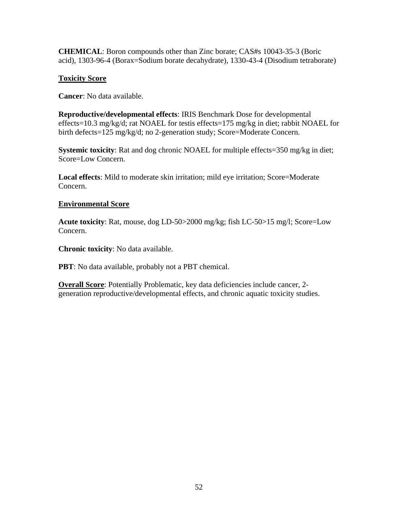**CHEMICAL**: Boron compounds other than Zinc borate; CAS#s 10043-35-3 (Boric acid), 1303-96-4 (Borax=Sodium borate decahydrate), 1330-43-4 (Disodium tetraborate)

#### **Toxicity Score**

**Cancer**: No data available.

**Reproductive/developmental effects**: IRIS Benchmark Dose for developmental effects=10.3 mg/kg/d; rat NOAEL for testis effects=175 mg/kg in diet; rabbit NOAEL for birth defects=125 mg/kg/d; no 2-generation study; Score=Moderate Concern.

**Systemic toxicity**: Rat and dog chronic NOAEL for multiple effects=350 mg/kg in diet; Score=Low Concern.

**Local effects**: Mild to moderate skin irritation; mild eye irritation; Score=Moderate Concern.

#### **Environmental Score**

**Acute toxicity**: Rat, mouse, dog LD-50>2000 mg/kg; fish LC-50>15 mg/l; Score=Low Concern.

**Chronic toxicity**: No data available.

**PBT**: No data available, probably not a PBT chemical.

**Overall Score:** Potentially Problematic, key data deficiencies include cancer, 2generation reproductive/developmental effects, and chronic aquatic toxicity studies.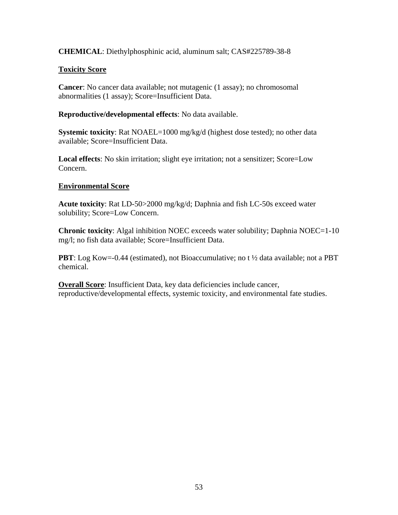## **CHEMICAL**: Diethylphosphinic acid, aluminum salt; CAS#225789-38-8

## **Toxicity Score**

**Cancer**: No cancer data available; not mutagenic (1 assay); no chromosomal abnormalities (1 assay); Score=Insufficient Data.

**Reproductive/developmental effects**: No data available.

**Systemic toxicity**: Rat NOAEL=1000 mg/kg/d (highest dose tested); no other data available; Score=Insufficient Data.

**Local effects**: No skin irritation; slight eye irritation; not a sensitizer; Score=Low Concern.

# **Environmental Score**

**Acute toxicity**: Rat LD-50>2000 mg/kg/d; Daphnia and fish LC-50s exceed water solubility; Score=Low Concern.

**Chronic toxicity**: Algal inhibition NOEC exceeds water solubility; Daphnia NOEC=1-10 mg/l; no fish data available; Score=Insufficient Data.

**PBT**: Log Kow=-0.44 (estimated), not Bioaccumulative; no t  $\frac{1}{2}$  data available; not a PBT chemical.

**Overall Score**: Insufficient Data, key data deficiencies include cancer, reproductive/developmental effects, systemic toxicity, and environmental fate studies.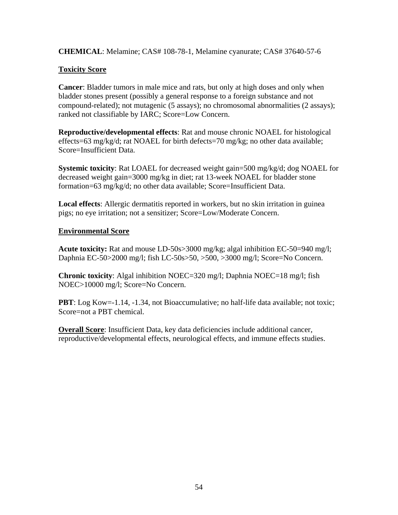**CHEMICAL**: Melamine; CAS# 108-78-1, Melamine cyanurate; CAS# 37640-57-6

# **Toxicity Score**

**Cancer**: Bladder tumors in male mice and rats, but only at high doses and only when bladder stones present (possibly a general response to a foreign substance and not compound-related); not mutagenic (5 assays); no chromosomal abnormalities (2 assays); ranked not classifiable by IARC; Score=Low Concern.

**Reproductive/developmental effects**: Rat and mouse chronic NOAEL for histological effects=63 mg/kg/d; rat NOAEL for birth defects=70 mg/kg; no other data available; Score=Insufficient Data.

**Systemic toxicity**: Rat LOAEL for decreased weight gain=500 mg/kg/d; dog NOAEL for decreased weight gain=3000 mg/kg in diet; rat 13-week NOAEL for bladder stone formation=63 mg/kg/d; no other data available; Score=Insufficient Data.

**Local effects**: Allergic dermatitis reported in workers, but no skin irritation in guinea pigs; no eye irritation; not a sensitizer; Score=Low/Moderate Concern.

# **Environmental Score**

**Acute toxicity:** Rat and mouse LD-50s>3000 mg/kg; algal inhibition EC-50=940 mg/l; Daphnia EC-50>2000 mg/l; fish LC-50s>50, >500, >3000 mg/l; Score=No Concern.

**Chronic toxicity**: Algal inhibition NOEC=320 mg/l; Daphnia NOEC=18 mg/l; fish NOEC>10000 mg/l; Score=No Concern.

**PBT**: Log Kow=-1.14, -1.34, not Bioaccumulative; no half-life data available; not toxic; Score=not a PBT chemical.

**Overall Score:** Insufficient Data, key data deficiencies include additional cancer, reproductive/developmental effects, neurological effects, and immune effects studies.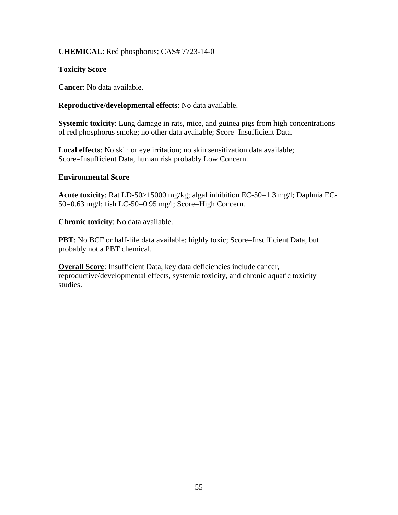## **CHEMICAL**: Red phosphorus; CAS# 7723-14-0

#### **Toxicity Score**

**Cancer**: No data available.

#### **Reproductive/developmental effects**: No data available.

**Systemic toxicity**: Lung damage in rats, mice, and guinea pigs from high concentrations of red phosphorus smoke; no other data available; Score=Insufficient Data.

**Local effects**: No skin or eye irritation; no skin sensitization data available; Score=Insufficient Data, human risk probably Low Concern.

#### **Environmental Score**

**Acute toxicity**: Rat LD-50>15000 mg/kg; algal inhibition EC-50=1.3 mg/l; Daphnia EC-50=0.63 mg/l; fish LC-50=0.95 mg/l; Score=High Concern.

**Chronic toxicity**: No data available.

**PBT**: No BCF or half-life data available; highly toxic; Score=Insufficient Data, but probably not a PBT chemical.

**Overall Score**: Insufficient Data, key data deficiencies include cancer, reproductive/developmental effects, systemic toxicity, and chronic aquatic toxicity studies.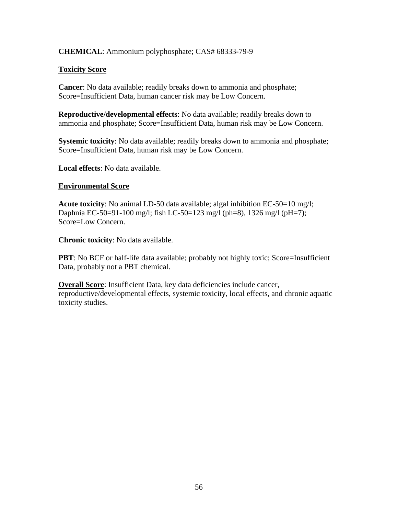#### **CHEMICAL**: Ammonium polyphosphate; CAS# 68333-79-9

#### **Toxicity Score**

**Cancer**: No data available; readily breaks down to ammonia and phosphate; Score=Insufficient Data, human cancer risk may be Low Concern.

**Reproductive/developmental effects**: No data available; readily breaks down to ammonia and phosphate; Score=Insufficient Data, human risk may be Low Concern.

**Systemic toxicity**: No data available; readily breaks down to ammonia and phosphate; Score=Insufficient Data, human risk may be Low Concern.

**Local effects**: No data available.

#### **Environmental Score**

**Acute toxicity**: No animal LD-50 data available; algal inhibition EC-50=10 mg/l; Daphnia EC-50=91-100 mg/l; fish LC-50=123 mg/l (ph=8), 1326 mg/l (pH=7); Score=Low Concern.

**Chronic toxicity**: No data available.

**PBT**: No BCF or half-life data available; probably not highly toxic; Score=Insufficient Data, probably not a PBT chemical.

**Overall Score**: Insufficient Data, key data deficiencies include cancer, reproductive/developmental effects, systemic toxicity, local effects, and chronic aquatic toxicity studies.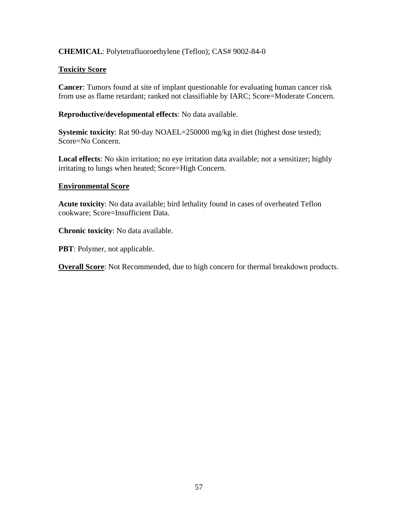# **CHEMICAL**: Polytetrafluoroethylene (Teflon); CAS# 9002-84-0

#### **Toxicity Score**

**Cancer**: Tumors found at site of implant questionable for evaluating human cancer risk from use as flame retardant; ranked not classifiable by IARC; Score=Moderate Concern.

**Reproductive/developmental effects**: No data available.

**Systemic toxicity**: Rat 90-day NOAEL=250000 mg/kg in diet (highest dose tested); Score=No Concern.

**Local effects**: No skin irritation; no eye irritation data available; not a sensitizer; highly irritating to lungs when heated; Score=High Concern.

#### **Environmental Score**

**Acute toxicity**: No data available; bird lethality found in cases of overheated Teflon cookware; Score=Insufficient Data.

**Chronic toxicity**: No data available.

**PBT**: Polymer, not applicable.

**Overall Score**: Not Recommended, due to high concern for thermal breakdown products.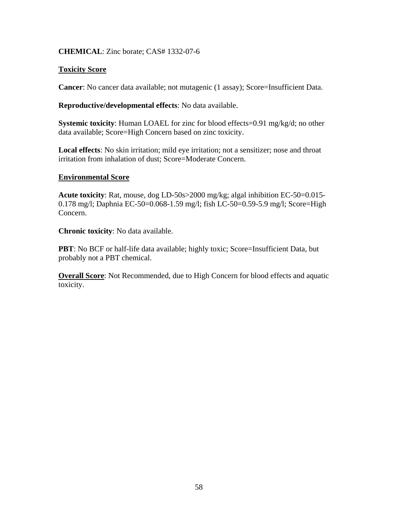#### **CHEMICAL**: Zinc borate; CAS# 1332-07-6

#### **Toxicity Score**

**Cancer**: No cancer data available; not mutagenic (1 assay); Score=Insufficient Data.

#### **Reproductive/developmental effects**: No data available.

**Systemic toxicity**: Human LOAEL for zinc for blood effects=0.91 mg/kg/d; no other data available; Score=High Concern based on zinc toxicity.

**Local effects**: No skin irritation; mild eye irritation; not a sensitizer; nose and throat irritation from inhalation of dust; Score=Moderate Concern.

#### **Environmental Score**

**Acute toxicity**: Rat, mouse, dog LD-50s>2000 mg/kg; algal inhibition EC-50=0.015- 0.178 mg/l; Daphnia EC-50=0.068-1.59 mg/l; fish LC-50=0.59-5.9 mg/l; Score=High Concern.

**Chronic toxicity**: No data available.

**PBT**: No BCF or half-life data available; highly toxic; Score=Insufficient Data, but probably not a PBT chemical.

**Overall Score**: Not Recommended, due to High Concern for blood effects and aquatic toxicity.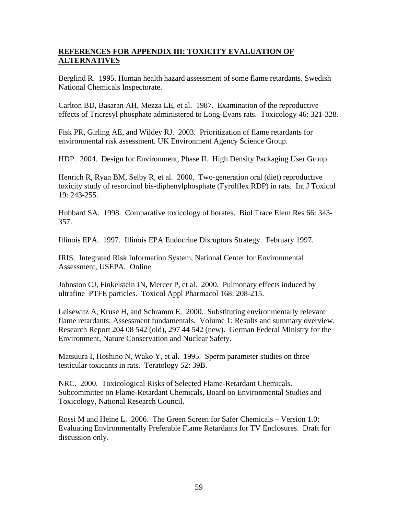# **REFERENCES FOR APPENDIX III: TOXICITY EVALUATION OF ALTERNATIVES**

Berglind R. 1995. Human health hazard assessment of some flame retardants. Swedish National Chemicals Inspectorate.

Carlton BD, Basaran AH, Mezza LE, et al. 1987. Examination of the reproductive effects of Tricresyl phosphate administered to Long-Evans rats. Toxicology 46: 321-328.

Fisk PR, Girling AE, and Wildey RJ. 2003. Prioritization of flame retardants for environmental risk assessment. UK Environment Agency Science Group.

HDP. 2004. Design for Environment, Phase II. High Density Packaging User Group.

Henrich R, Ryan BM, Selby R, et al. 2000. Two-generation oral (diet) reproductive toxicity study of resorcinol bis-diphenylphosphate (Fyrolflex RDP) in rats. Int J Toxicol 19: 243-255.

Hubbard SA. 1998. Comparative toxicology of borates. Biol Trace Elem Res 66: 343- 357.

Illinois EPA. 1997. Illinois EPA Endocrine Disruptors Strategy. February 1997.

IRIS. Integrated Risk Information System, National Center for Environmental Assessment, USEPA. Online.

Johnston CJ, Finkelstein JN, Mercer P, et al. 2000. Pulmonary effects induced by ultrafine PTFE particles. Toxicol Appl Pharmacol 168: 208-215.

Leisewitz A, Kruse H, and Schramm E. 2000. Substituting environmentally relevant flame retardants: Assessment fundamentals. Volume 1: Results and summary overview. Research Report 204 08 542 (old), 297 44 542 (new). German Federal Ministry for the Environment, Nature Conservation and Nuclear Safety.

Matsuura I, Hoshino N, Wako Y, et al. 1995. Sperm parameter studies on three testicular toxicants in rats. Teratology 52: 39B.

NRC. 2000. Toxicological Risks of Selected Flame-Retardant Chemicals. Subcommittee on Flame-Retardant Chemicals, Board on Environmental Studies and Toxicology, National Research Council.

Rossi M and Heine L. 2006. The Green Screen for Safer Chemicals – Version 1.0: Evaluating Environmentally Preferable Flame Retardants for TV Enclosures. Draft for discussion only.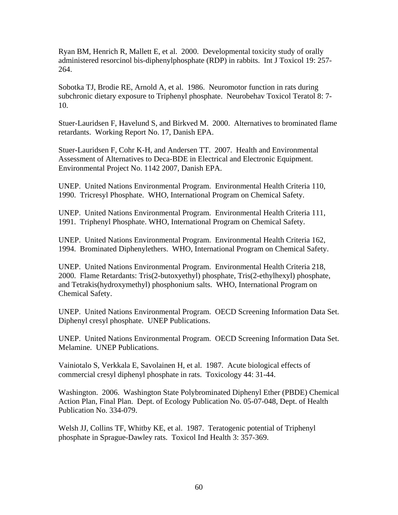Ryan BM, Henrich R, Mallett E, et al. 2000. Developmental toxicity study of orally administered resorcinol bis-diphenylphosphate (RDP) in rabbits. Int J Toxicol 19: 257- 264.

Sobotka TJ, Brodie RE, Arnold A, et al. 1986. Neuromotor function in rats during subchronic dietary exposure to Triphenyl phosphate. Neurobehav Toxicol Teratol 8: 7- 10.

Stuer-Lauridsen F, Havelund S, and Birkved M. 2000. Alternatives to brominated flame retardants. Working Report No. 17, Danish EPA.

Stuer-Lauridsen F, Cohr K-H, and Andersen TT. 2007. Health and Environmental Assessment of Alternatives to Deca-BDE in Electrical and Electronic Equipment. Environmental Project No. 1142 2007, Danish EPA.

UNEP. United Nations Environmental Program. Environmental Health Criteria 110, 1990. Tricresyl Phosphate. WHO, International Program on Chemical Safety.

UNEP. United Nations Environmental Program. Environmental Health Criteria 111, 1991. Triphenyl Phosphate. WHO, International Program on Chemical Safety.

UNEP. United Nations Environmental Program. Environmental Health Criteria 162, 1994. Brominated Diphenylethers. WHO, International Program on Chemical Safety.

UNEP. United Nations Environmental Program. Environmental Health Criteria 218, 2000. Flame Retardants: Tris(2-butoxyethyl) phosphate, Tris(2-ethylhexyl) phosphate, and Tetrakis(hydroxymethyl) phosphonium salts. WHO, International Program on Chemical Safety.

UNEP. United Nations Environmental Program. OECD Screening Information Data Set. Diphenyl cresyl phosphate. UNEP Publications.

UNEP. United Nations Environmental Program. OECD Screening Information Data Set. Melamine. UNEP Publications.

Vainiotalo S, Verkkala E, Savolainen H, et al. 1987. Acute biological effects of commercial cresyl diphenyl phosphate in rats. Toxicology 44: 31-44.

Washington. 2006. Washington State Polybrominated Diphenyl Ether (PBDE) Chemical Action Plan, Final Plan. Dept. of Ecology Publication No. 05-07-048, Dept. of Health Publication No. 334-079.

Welsh JJ, Collins TF, Whitby KE, et al. 1987. Teratogenic potential of Triphenyl phosphate in Sprague-Dawley rats. Toxicol Ind Health 3: 357-369.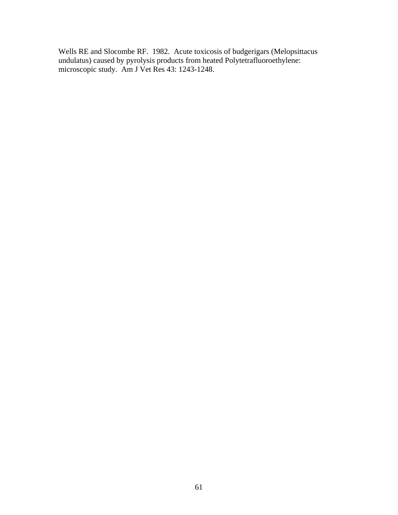Wells RE and Slocombe RF. 1982. Acute toxicosis of budgerigars (Melopsittacus undulatus) caused by pyrolysis products from heated Polytetrafluoroethylene: microscopic study. Am J Vet Res 43: 1243-1248.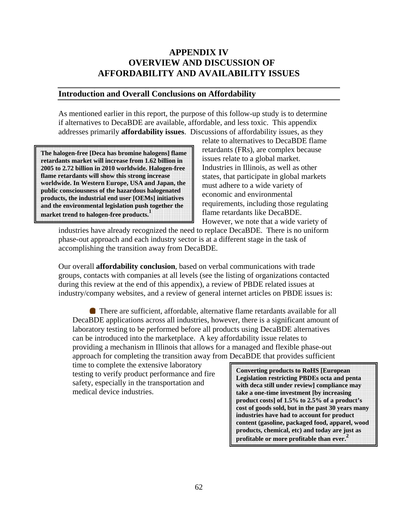# **APPENDIX IV OVERVIEW AND DISCUSSION OF AFFORDABILITY AND AVAILABILITY ISSUES**

#### **Introduction and Overall Conclusions on Affordability**

As mentioned earlier in this report, the purpose of this follow-up study is to determine if alternatives to DecaBDE are available, affordable, and less toxic. This appendix addresses primarily **affordability issues**. Discussions of affordability issues, as they

**The halogen-free [Deca has bromine halogens] flame retardants market will increase from 1.62 billion in 2005 to 2.72 billion in 2010 worldwide. Halogen-free flame retardants will show this strong increase worldwide. In Western Europe, USA and Japan, the public consciousness of the hazardous halogenated products, the industrial end user [OEMs] initiatives and the environmental legislation push together the**  market trend to halogen-free products.<sup>1</sup>

relate to alternatives to DecaBDE flame retardants (FRs), are complex because issues relate to a global market. Industries in Illinois, as well as other states, that participate in global markets must adhere to a wide variety of economic and environmental requirements, including those regulating flame retardants like DecaBDE. However, we note that a wide variety of

industries have already recognized the need to replace DecaBDE. There is no uniform phase-out approach and each industry sector is at a different stage in the task of accomplishing the transition away from DecaBDE.

Our overall **affordability conclusion**, based on verbal communications with trade groups, contacts with companies at all levels (see the listing of organizations contacted during this review at the end of this appendix), a review of PBDE related issues at industry/company websites, and a review of general internet articles on PBDE issues is:

There are sufficient, affordable, alternative flame retardants available for all DecaBDE applications across all industries, however, there is a significant amount of laboratory testing to be performed before all products using DecaBDE alternatives can be introduced into the marketplace. A key affordability issue relates to providing a mechanism in Illinois that allows for a managed and flexible phase-out approach for completing the transition away from DecaBDE that provides sufficient

time to complete the extensive laboratory testing to verify product performance and fire safety, especially in the transportation and medical device industries.

**Converting products to RoHS [European Legislation restricting PBDEs octa and penta with deca still under review] compliance may take a one-time investment [by increasing product costs] of 1.5% to 2.5% of a product's cost of goods sold, but in the past 30 years many industries have had to account for product content (gasoline, packaged food, apparel, wood products, chemical, etc) and today are just as profitable or more profitable than ever. 2**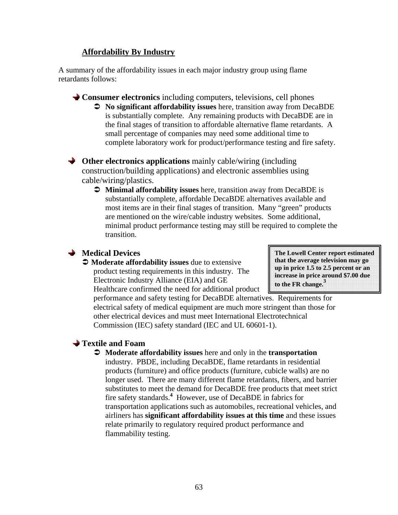# **Affordability By Industry**

A summary of the affordability issues in each major industry group using flame retardants follows:

**Consumer electronics** including computers, televisions, cell phones Â **No significant affordability issues** here, transition away from DecaBDE is substantially complete. Any remaining products with DecaBDE are in the final stages of transition to affordable alternative flame retardants. A small percentage of companies may need some additional time to complete laboratory work for product/performance testing and fire safety.

**→** Other electronics applications mainly cable/wiring (including construction/building applications) and electronic assemblies using cable/wiring/plastics.

Â **Minimal affordability issues** here, transition away from DecaBDE is substantially complete, affordable DecaBDE alternatives available and most items are in their final stages of transition. Many "green" products are mentioned on the wire/cable industry websites. Some additional, minimal product performance testing may still be required to complete the transition.

# **Medical Devices**

 $\bullet$  **Moderate affordability issues** due to extensive product testing requirements in this industry. The Electronic Industry Alliance (EIA) and GE Healthcare confirmed the need for additional product

**The Lowell Center report estimated that the average television may go up in price 1.5 to 2.5 percent or an increase in price around \$7.00 due to the FR change.3**

performance and safety testing for DecaBDE alternatives. Requirements for electrical safety of medical equipment are much more stringent than those for other electrical devices and must meet International Electrotechnical Commission (IEC) safety standard (IEC and UL 60601-1).

# **Textile and Foam**

Â **Moderate affordability issues** here and only in the **transportation** industry. PBDE, including DecaBDE, flame retardants in residential products (furniture) and office products (furniture, cubicle walls) are no longer used. There are many different flame retardants, fibers, and barrier substitutes to meet the demand for DecaBDE free products that meet strict fire safety standards.**<sup>4</sup>** However, use of DecaBDE in fabrics for transportation applications such as automobiles, recreational vehicles, and airliners has **significant affordability issues at this time** and these issues relate primarily to regulatory required product performance and flammability testing.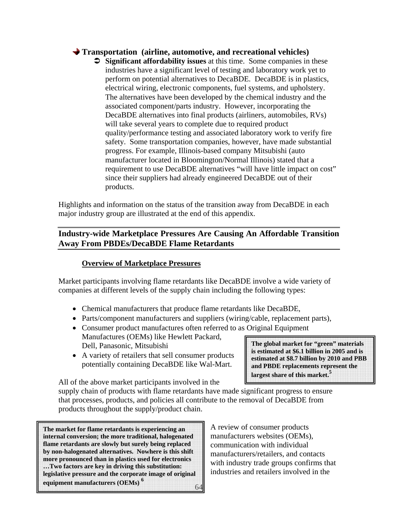## **Transportation (airline, automotive, and recreational vehicles)**

Â **Significant affordability issues** at this time. Some companies in these industries have a significant level of testing and laboratory work yet to perform on potential alternatives to DecaBDE. DecaBDE is in plastics, electrical wiring, electronic components, fuel systems, and upholstery. The alternatives have been developed by the chemical industry and the associated component/parts industry. However, incorporating the DecaBDE alternatives into final products (airliners, automobiles, RVs) will take several years to complete due to required product quality/performance testing and associated laboratory work to verify fire safety. Some transportation companies, however, have made substantial progress. For example, Illinois-based company Mitsubishi (auto manufacturer located in Bloomington/Normal Illinois) stated that a requirement to use DecaBDE alternatives "will have little impact on cost" since their suppliers had already engineered DecaBDE out of their products.

Highlights and information on the status of the transition away from DecaBDE in each major industry group are illustrated at the end of this appendix.

# **Industry-wide Marketplace Pressures Are Causing An Affordable Transition Away From PBDEs/DecaBDE Flame Retardants**

#### **Overview of Marketplace Pressures**

Market participants involving flame retardants like DecaBDE involve a wide variety of companies at different levels of the supply chain including the following types:

- Chemical manufacturers that produce flame retardants like DecaBDE,
- Parts/component manufacturers and suppliers (wiring/cable, replacement parts),
- Consumer product manufactures often referred to as Original Equipment Manufactures (OEMs) like Hewlett Packard, Dell, Panasonic, Mitsubishi
- A variety of retailers that sell consumer products potentially containing DecaBDE like Wal-Mart.

**The global market for "green" materials is estimated at \$6.1 billion in 2005 and is estimated at \$8.7 billion by 2010 and PBB and PBDE replacements represent the largest share of this market.<sup>5</sup>**

All of the above market participants involved in the

supply chain of products with flame retardants have made significant progress to ensure that processes, products, and policies all contribute to the removal of DecaBDE from products throughout the supply/product chain.

64 **The market for flame retardants is experiencing an internal conversion; the more traditional, halogenated flame retardants are slowly but surely being replaced by non-halogenated alternatives. Nowhere is this shift more pronounced than in plastics used for electronics …Two factors are key in driving this substitution: legislative pressure and the corporate image of original equipment manufacturers (OEMs) <sup>6</sup>**

A review of consumer products manufacturers websites (OEMs), communication with individual manufacturers/retailers, and contacts with industry trade groups confirms that industries and retailers involved in the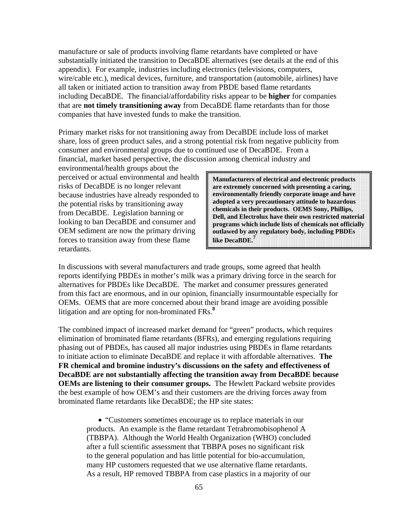manufacture or sale of products involving flame retardants have completed or have substantially initiated the transition to DecaBDE alternatives (see details at the end of this appendix). For example, industries including electronics (televisions, computers, wire/cable etc.), medical devices, furniture, and transportation (automobile, airlines) have all taken or initiated action to transition away from PBDE based flame retardants including DecaBDE. The financial/affordability risks appear to be **higher** for companies that are **not timely transitioning away** from DecaBDE flame retardants than for those companies that have invested funds to make the transition.

Primary market risks for not transitioning away from DecaBDE include loss of market share, loss of green product sales, and a strong potential risk from negative publicity from consumer and environmental groups due to continued use of DecaBDE. From a financial, market based perspective, the discussion among chemical industry and

environmental/health groups about the perceived or actual environmental and health risks of DecaBDE is no longer relevant because industries have already responded to the potential risks by transitioning away from DecaBDE. Legislation banning or looking to ban DecaBDE and consumer and OEM sediment are now the primary driving forces to transition away from these flame retardants.

**Manufacturers of electrical and electronic products are extremely concerned with presenting a caring, environmentally friendly corporate image and have adopted a very precautionary attitude to hazardous chemicals in their products. OEMS Sony, Phillips, Dell, and Electrolux have their own restricted material programs which include lists of chemicals not officially outlawed by any regulatory body, including PBDEs like DecaBDE.<sup>7</sup>**

In discussions with several manufacturers and trade groups, some agreed that health reports identifying PBDEs in mother's milk was a primary driving force in the search for alternatives for PBDEs like DecaBDE. The market and consumer pressures generated from this fact are enormous, and in our opinion, financially insurmountable especially for OEMs. OEMS that are more concerned about their brand image are avoiding possible litigation and are opting for non-brominated FRs.**<sup>8</sup>**

The combined impact of increased market demand for "green" products, which requires elimination of brominated flame retardants (BFRs), and emerging regulations requiring phasing out of PBDEs, has caused all major industries using PBDEs in flame retardants to initiate action to eliminate DecaBDE and replace it with affordable alternatives. **The FR chemical and bromine industry's discussions on the safety and effectiveness of DecaBDE are not substantially affecting the transition away from DecaBDE because OEMs are listening to their consumer groups.** The Hewlett Packard website provides the best example of how OEM's and their customers are the driving forces away from brominated flame retardants like DecaBDE; the HP site states:

• "Customers sometimes encourage us to replace materials in our products. An example is the flame retardant Tetrabromobisophenol A (TBBPA). Although the World Health Organization (WHO) concluded after a full scientific assessment that TBBPA poses no significant risk to the general population and has little potential for bio-accumulation, many HP customers requested that we use alternative flame retardants. As a result, HP removed TBBPA from case plastics in a majority of our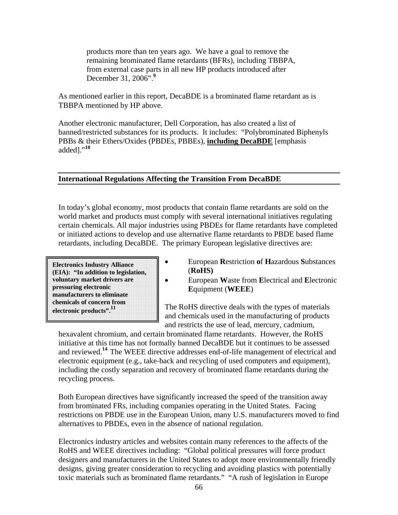products more than ten years ago. We have a goal to remove the remaining brominated flame retardants (BFRs), including TBBPA, from external case parts in all new HP products introduced after December 31, 2006".**<sup>9</sup>**

As mentioned earlier in this report, DecaBDE is a brominated flame retardant as is TBBPA mentioned by HP above.

Another electronic manufacturer, Dell Corporation, has also created a list of banned/restricted substances for its products. It includes: "Polybrominated Biphenyls PBBs & their Ethers/Oxides (PBDEs, PBBEs), **including DecaBDE** [emphasis added]."**<sup>10</sup>**

#### **International Regulations Affecting the Transition From DecaBDE**

In today's global economy, most products that contain flame retardants are sold on the world market and products must comply with several international initiatives regulating certain chemicals. All major industries using PBDEs for flame retardants have completed or initiated actions to develop and use alternative flame retardants to PBDE based flame retardants, including DecaBDE. The primary European legislative directives are:

**Electronics Industry Alliance (EIA): "In addition to legislation, voluntary market drivers are pressuring electronic manufacturers to eliminate chemicals of concern from electronic products".11**

- European **R**estriction **o**f **H**azardous **S**ubstances (**RoHS)**
	- European **W**aste from **E**lectrical and **E**lectronic **E**quipment (**WEEE**)

The RoHS directive deals with the types of materials and chemicals used in the manufacturing of products and restricts the use of lead, mercury, cadmium,

hexavalent chromium, and certain brominated flame retardants. However, the RoHS initiative at this time has not formally banned DecaBDE but it continues to be assessed and reviewed.**<sup>14</sup>**The WEEE directive addresses end-of-life management of electrical and electronic equipment (e.g., take-back and recycling of used computers and equipment), including the costly separation and recovery of brominated flame retardants during the recycling process.

Both European directives have significantly increased the speed of the transition away from brominated FRs, including companies operating in the United States. Facing restrictions on PBDE use in the European Union, many U.S. manufacturers moved to find alternatives to PBDEs, even in the absence of national regulation.

Electronics industry articles and websites contain many references to the affects of the RoHS and WEEE directives including: "Global political pressures will force product designers and manufacturers in the United States to adopt more environmentally friendly designs, giving greater consideration to recycling and avoiding plastics with potentially toxic materials such as brominated flame retardants." "A rush of legislation in Europe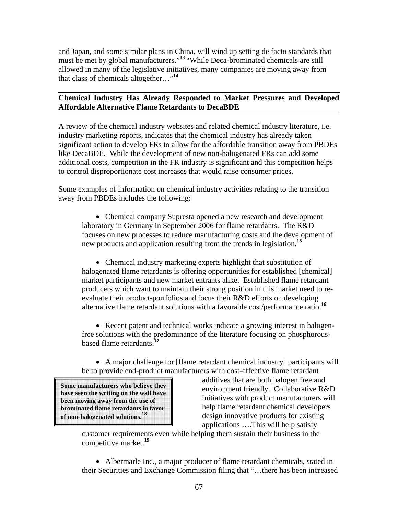and Japan, and some similar plans in China, will wind up setting de facto standards that must be met by global manufacturers."**<sup>13</sup>**"While Deca-brominated chemicals are still allowed in many of the legislative initiatives, many companies are moving away from that class of chemicals altogether…"**<sup>14</sup>**

# **Chemical Industry Has Already Responded to Market Pressures and Developed Affordable Alternative Flame Retardants to DecaBDE**

A review of the chemical industry websites and related chemical industry literature, i.e. industry marketing reports, indicates that the chemical industry has already taken significant action to develop FRs to allow for the affordable transition away from PBDEs like DecaBDE. While the development of new non-halogenated FRs can add some additional costs, competition in the FR industry is significant and this competition helps to control disproportionate cost increases that would raise consumer prices.

Some examples of information on chemical industry activities relating to the transition away from PBDEs includes the following:

• Chemical company Supresta opened a new research and development laboratory in Germany in September 2006 for flame retardants. The R&D focuses on new processes to reduce manufacturing costs and the development of new products and application resulting from the trends in legislation.**<sup>15</sup>**

• Chemical industry marketing experts highlight that substitution of halogenated flame retardants is offering opportunities for established [chemical] market participants and new market entrants alike. Established flame retardant producers which want to maintain their strong position in this market need to reevaluate their product-portfolios and focus their R&D efforts on developing alternative flame retardant solutions with a favorable cost/performance ratio.**<sup>16</sup>**

• Recent patent and technical works indicate a growing interest in halogenfree solutions with the predominance of the literature focusing on phosphorousbased flame retardants.**<sup>17</sup>**

• A major challenge for [flame retardant chemical industry] participants will be to provide end-product manufacturers with cost-effective flame retardant

**Some manufacturers who believe they have seen the writing on the wall have been moving away from the use of brominated flame retardants in favor of non-halogenated solutions.18**

additives that are both halogen free and environment friendly. Collaborative R&D initiatives with product manufacturers will help flame retardant chemical developers design innovative products for existing applications ….This will help satisfy

customer requirements even while helping them sustain their business in the competitive market.**<sup>19</sup>**

• Albermarle Inc., a major producer of flame retardant chemicals, stated in their Securities and Exchange Commission filing that "…there has been increased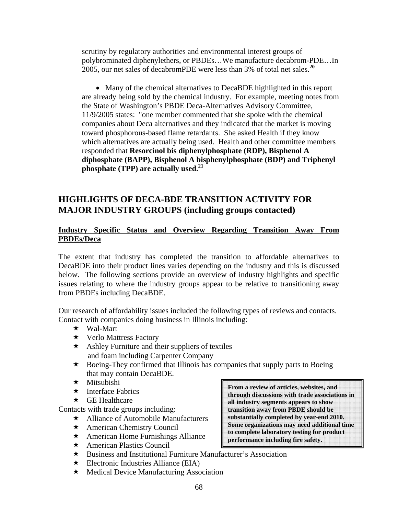scrutiny by regulatory authorities and environmental interest groups of polybrominated diphenylethers, or PBDEs…We manufacture decabrom-PDE…In 2005, our net sales of decabromPDE were less than 3% of total net sales.**<sup>20</sup>**

• Many of the chemical alternatives to DecaBDE highlighted in this report are already being sold by the chemical industry. For example, meeting notes from the State of Washington's PBDE Deca-Alternatives Advisory Committee, 11/9/2005 states: "one member commented that she spoke with the chemical companies about Deca alternatives and they indicated that the market is moving toward phosphorous-based flame retardants. She asked Health if they know which alternatives are actually being used. Health and other committee members responded that **Resorcinol bis diphenylphosphate (RDP), Bisphenol A diphosphate (BAPP), Bisphenol A bisphenylphosphate (BDP) and Triphenyl phosphate (TPP) are actually used.21**

# **HIGHLIGHTS OF DECA-BDE TRANSITION ACTIVITY FOR MAJOR INDUSTRY GROUPS (including groups contacted)**

#### **Industry Specific Status and Overview Regarding Transition Away From PBDEs/Deca**

The extent that industry has completed the transition to affordable alternatives to DecaBDE into their product lines varies depending on the industry and this is discussed below. The following sections provide an overview of industry highlights and specific issues relating to where the industry groups appear to be relative to transitioning away from PBDEs including DecaBDE.

Our research of affordability issues included the following types of reviews and contacts. Contact with companies doing business in Illinois including:

- Wal-Mart
- **★** Verlo Mattress Factory
- $\star$  Ashley Furniture and their suppliers of textiles and foam including Carpenter Company
- Boeing-They confirmed that Illinois has companies that supply parts to Boeing that may contain DecaBDE.
- $\star$  Mitsubishi
- $\star$  Interface Fabrics
- $\star$  GE Healthcare

Contacts with trade groups including:

- Alliance of Automobile Manufacturers
- ★ American Chemistry Council
- $\star$  American Home Furnishings Alliance
- ★ American Plastics Council
- Business and Institutional Furniture Manufacturer's Association
- $\star$  Electronic Industries Alliance (EIA)
- $\star$  Medical Device Manufacturing Association

**From a review of articles, websites, and through discussions with trade associations in all industry segments appears to show transition away from PBDE should be substantially completed by year-end 2010. Some organizations may need additional time to complete laboratory testing for product performance including fire safety.**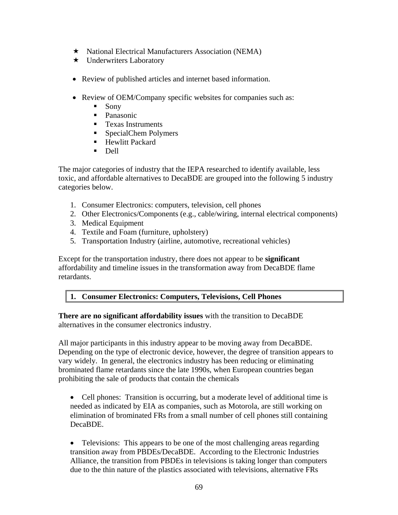- $\star$  National Electrical Manufacturers Association (NEMA)
- **★** Underwriters Laboratory
- Review of published articles and internet based information.
- Review of OEM/Company specific websites for companies such as:
	- $\blacksquare$  Sony
	- Panasonic
	- **Texas Instruments**
	- SpecialChem Polymers
	- **Hewlitt Packard**
	- Dell

The major categories of industry that the IEPA researched to identify available, less toxic, and affordable alternatives to DecaBDE are grouped into the following 5 industry categories below.

- 1. Consumer Electronics: computers, television, cell phones
- 2. Other Electronics/Components (e.g., cable/wiring, internal electrical components)
- 3. Medical Equipment
- 4. Textile and Foam (furniture, upholstery)
- 5. Transportation Industry (airline, automotive, recreational vehicles)

Except for the transportation industry, there does not appear to be **significant** affordability and timeline issues in the transformation away from DecaBDE flame retardants.

# **1. Consumer Electronics: Computers, Televisions, Cell Phones**

**There are no significant affordability issues** with the transition to DecaBDE alternatives in the consumer electronics industry.

All major participants in this industry appear to be moving away from DecaBDE. Depending on the type of electronic device, however, the degree of transition appears to vary widely. In general, the electronics industry has been reducing or eliminating brominated flame retardants since the late 1990s, when European countries began prohibiting the sale of products that contain the chemicals

• Cell phones: Transition is occurring, but a moderate level of additional time is needed as indicated by EIA as companies, such as Motorola, are still working on elimination of brominated FRs from a small number of cell phones still containing DecaBDE.

• Televisions: This appears to be one of the most challenging areas regarding transition away from PBDEs/DecaBDE. According to the Electronic Industries Alliance, the transition from PBDEs in televisions is taking longer than computers due to the thin nature of the plastics associated with televisions, alternative FRs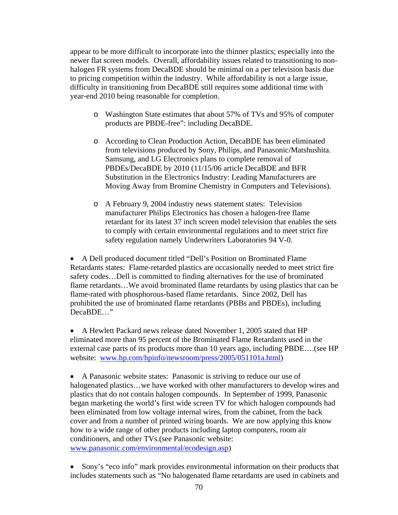appear to be more difficult to incorporate into the thinner plastics; especially into the newer flat screen models. Overall, affordability issues related to transitioning to nonhalogen FR systems from DecaBDE should be minimal on a per television basis due to pricing competition within the industry. While affordability is not a large issue, difficulty in transitioning from DecaBDE still requires some additional time with year-end 2010 being reasonable for completion.

- o Washington State estimates that about 57% of TVs and 95% of computer products are PBDE-free": including DecaBDE.
- o According to Clean Production Action, DecaBDE has been eliminated from televisions produced by Sony, Philips, and Panasonic/Matshushita. Samsung, and LG Electronics plans to complete removal of PBDEs/DecaBDE by 2010 (11/15/06 article DecaBDE and BFR Substitution in the Electronics Industry: Leading Manufacturers are Moving Away from Bromine Chemistry in Computers and Televisions).
- o A February 9, 2004 industry news statement states: Television manufacturer Philips Electronics has chosen a halogen-free flame retardant for its latest 37 inch screen model television that enables the sets to comply with certain environmental regulations and to meet strict fire safety regulation namely Underwriters Laboratories 94 V-0.

• A Dell produced document titled "Dell's Position on Brominated Flame Retardants states: Flame-retarded plastics are occasionally needed to meet strict fire safety codes…Dell is committed to finding alternatives for the use of brominated flame retardants…We avoid brominated flame retardants by using plastics that can be flame-rated with phosphorous-based flame retardants. Since 2002, Dell has prohibited the use of brominated flame retardants (PBBs and PBDEs), including DecaBDE…"

• A Hewlett Packard news release dated November 1, 2005 stated that HP eliminated more than 95 percent of the Brominated Flame Retardants used in the external case parts of its products more than 10 years ago, including PBDE….(see HP website: www.hp.com/hpinfo/newsroom/press/2005/051101a.html)

• A Panasonic website states: Panasonic is striving to reduce our use of halogenated plastics…we have worked with other manufacturers to develop wires and plastics that do not contain halogen compounds. In September of 1999, Panasonic began marketing the world's first wide screen TV for which halogen compounds had been eliminated from low voltage internal wires, from the cabinet, from the back cover and from a number of printed wiring boards. We are now applying this know how to a wide range of other products including laptop computers, room air conditioners, and other TVs.(see Panasonic website: www.panasonic.com/environmental/ecodesign.asp)

• Sony's "eco info" mark provides environmental information on their products that includes statements such as "No halogenated flame retardants are used in cabinets and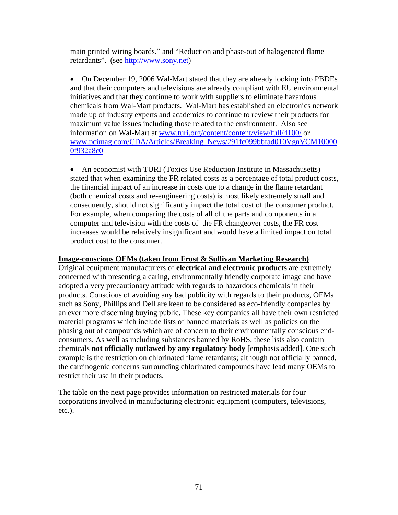main printed wiring boards." and "Reduction and phase-out of halogenated flame retardants". (see http://www.sony.net)

• On December 19, 2006 Wal-Mart stated that they are already looking into PBDEs and that their computers and televisions are already compliant with EU environmental initiatives and that they continue to work with suppliers to eliminate hazardous chemicals from Wal-Mart products. Wal-Mart has established an electronics network made up of industry experts and academics to continue to review their products for maximum value issues including those related to the environment. Also see information on Wal-Mart at www.turi.org/content/content/view/full/4100/ or www.pcimag.com/CDA/Articles/Breaking\_News/291fc099bbfad010VgnVCM10000 0f932a8c0

• An economist with TURI (Toxics Use Reduction Institute in Massachusetts) stated that when examining the FR related costs as a percentage of total product costs, the financial impact of an increase in costs due to a change in the flame retardant (both chemical costs and re-engineering costs) is most likely extremely small and consequently, should not significantly impact the total cost of the consumer product. For example, when comparing the costs of all of the parts and components in a computer and television with the costs of the FR changeover costs, the FR cost increases would be relatively insignificant and would have a limited impact on total product cost to the consumer.

### **Image-conscious OEMs (taken from Frost & Sullivan Marketing Research)**

Original equipment manufacturers of **electrical and electronic products** are extremely concerned with presenting a caring, environmentally friendly corporate image and have adopted a very precautionary attitude with regards to hazardous chemicals in their products. Conscious of avoiding any bad publicity with regards to their products, OEMs such as Sony, Phillips and Dell are keen to be considered as eco-friendly companies by an ever more discerning buying public. These key companies all have their own restricted material programs which include lists of banned materials as well as policies on the phasing out of compounds which are of concern to their environmentally conscious endconsumers. As well as including substances banned by RoHS, these lists also contain chemicals **not officially outlawed by any regulatory body** [emphasis added]. One such example is the restriction on chlorinated flame retardants; although not officially banned, the carcinogenic concerns surrounding chlorinated compounds have lead many OEMs to restrict their use in their products.

The table on the next page provides information on restricted materials for four corporations involved in manufacturing electronic equipment (computers, televisions, etc.).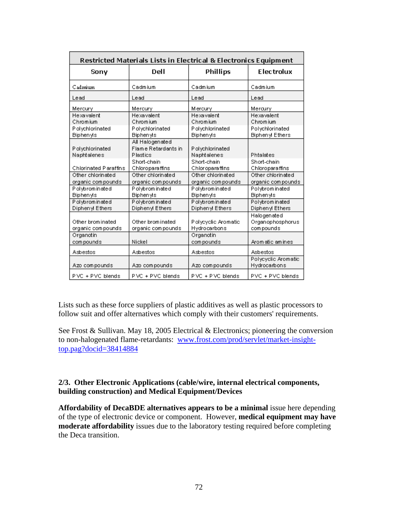| Restricted Materials Lists in Electrical & Electronics Equipment |                                                                      |                                                                |                                                                     |
|------------------------------------------------------------------|----------------------------------------------------------------------|----------------------------------------------------------------|---------------------------------------------------------------------|
| Sony                                                             | Dell                                                                 | <b>Phillips</b>                                                | Electrolux                                                          |
| Cadmium                                                          | Cadmium                                                              | Cadmium                                                        | Cadmium                                                             |
| Lead                                                             | Lead                                                                 | Lead                                                           | Lead                                                                |
| Mercury                                                          | Mercury                                                              | <b>Mercury</b>                                                 | Mercury                                                             |
| Hexavalent<br>Chromium<br>P olychlorinated<br><b>Biphenyls</b>   | Hexavalent<br>Chromium<br><b>Polychlorinated</b><br><b>Biphenyls</b> | Hexavalent<br>Chromium<br>P olychlorinated<br><b>Biphenyls</b> | Hexavalent<br>Chromium<br>Polychlorinated<br><b>Biphenyl Ethers</b> |
| P olychlorinated<br>Naphtalenes                                  | All Halogenated<br>Flame Retardants in<br><b>Plastics</b>            | P olychlorinated<br>Naphtalenes                                | Phtalates                                                           |
| Chlorinated Paraffins                                            | Short-chain<br>Chloroparaffins                                       | Short-chain<br>Chloroparaffins                                 | Short-chain<br>Chloroparaffins                                      |
| Other chlorinated<br>organic compounds                           | Other chlorinated<br>organic compounds                               | Other chlorinated<br>organic compounds                         | Other chlorinated<br>organic compounds                              |
| Polybrominated<br><b>Biphenyls</b>                               | Polybrominated<br><b>Biphenyls</b>                                   | Polybrominated<br><b>Biphenyls</b>                             | Polybrominated<br><b>Biphenyls</b>                                  |
| Polybrominated<br>Diphenyl Ethers                                | Polybrominated<br>Diphenyl Ethers                                    | Polybrominated<br>Diphenyl Ethers                              | Polybrominated<br>Diphenyl Ethers                                   |
| Other brom inated<br>organic compounds                           | Other brom inated<br>organic compounds                               | P olycyclic Aromatic<br>Hydrocarbons                           | Halogenated<br>Organophosphorus<br>compounds                        |
| Organotin<br>compounds                                           | Nickel                                                               | Organotin<br>compounds                                         | Aromatic amines                                                     |
| Asbestos                                                         | Asbestos                                                             | Asbestos                                                       | Asbestos                                                            |
| Azo compounds                                                    | Azo compounds                                                        | Azo compounds                                                  | Polycyclic Aromatic<br>Hydrocarbons                                 |
| PVC + PVC blends                                                 | PVC + PVC blends                                                     | PVC + PVC blends                                               | PVC + PVC blends                                                    |

Lists such as these force suppliers of plastic additives as well as plastic processors to follow suit and offer alternatives which comply with their customers' requirements.

See Frost & Sullivan. May 18, 2005 Electrical & Electronics; pioneering the conversion to non-halogenated flame-retardants: www.frost.com/prod/servlet/market-insighttop.pag?docid=38414884

# **2/3. Other Electronic Applications (cable/wire, internal electrical components, building construction) and Medical Equipment/Devices**

**Affordability of DecaBDE alternatives appears to be a minimal** issue here depending of the type of electronic device or component. However, **medical equipment may have moderate affordability** issues due to the laboratory testing required before completing the Deca transition.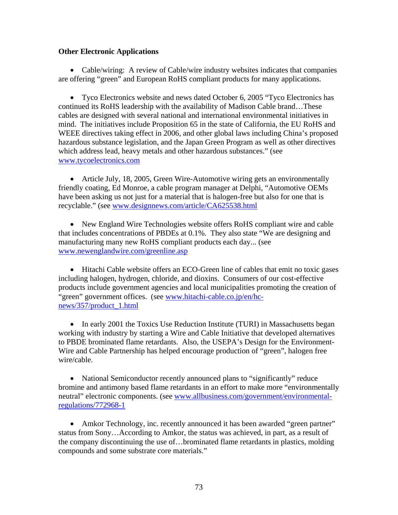# **Other Electronic Applications**

• Cable/wiring: A review of Cable/wire industry websites indicates that companies are offering "green" and European RoHS compliant products for many applications.

• Tyco Electronics website and news dated October 6, 2005 "Tyco Electronics has continued its RoHS leadership with the availability of Madison Cable brand…These cables are designed with several national and international environmental initiatives in mind. The initiatives include Proposition 65 in the state of California, the EU RoHS and WEEE directives taking effect in 2006, and other global laws including China's proposed hazardous substance legislation, and the Japan Green Program as well as other directives which address lead, heavy metals and other hazardous substances." (see www.tycoelectronics.com

• Article July, 18, 2005, Green Wire-Automotive wiring gets an environmentally friendly coating, Ed Monroe, a cable program manager at Delphi, "Automotive OEMs have been asking us not just for a material that is halogen-free but also for one that is recyclable." (see www.designnews.com/article/CA625538.html

• New England Wire Technologies website offers RoHS compliant wire and cable that includes concentrations of PBDEs at 0.1%. They also state "We are designing and manufacturing many new RoHS compliant products each day... (see www.newenglandwire.com/greenline.asp

• Hitachi Cable website offers an ECO-Green line of cables that emit no toxic gases including halogen, hydrogen, chloride, and dioxins. Consumers of our cost-effective products include government agencies and local municipalities promoting the creation of "green" government offices. (see www.hitachi-cable.co.jp/en/hcnews/357/product\_1.html

• In early 2001 the Toxics Use Reduction Institute (TURI) in Massachusetts began working with industry by starting a Wire and Cable Initiative that developed alternatives to PBDE brominated flame retardants. Also, the USEPA's Design for the Environment-Wire and Cable Partnership has helped encourage production of "green", halogen free wire/cable.

• National Semiconductor recently announced plans to "significantly" reduce bromine and antimony based flame retardants in an effort to make more "environmentally neutral" electronic components. (see www.allbusiness.com/government/environmentalregulations/772968-1

• Amkor Technology, inc. recently announced it has been awarded "green partner" status from Sony…According to Amkor, the status was achieved, in part, as a result of the company discontinuing the use of…brominated flame retardants in plastics, molding compounds and some substrate core materials."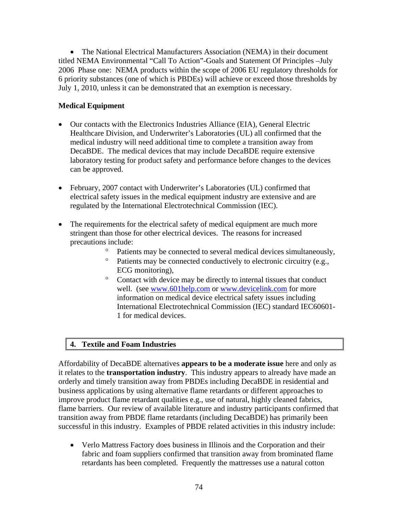• The National Electrical Manufacturers Association (NEMA) in their document titled NEMA Environmental "Call To Action"-Goals and Statement Of Principles –July 2006 Phase one: NEMA products within the scope of 2006 EU regulatory thresholds for 6 priority substances (one of which is PBDEs) will achieve or exceed those thresholds by July 1, 2010, unless it can be demonstrated that an exemption is necessary.

# **Medical Equipment**

- Our contacts with the Electronics Industries Alliance (EIA), General Electric Healthcare Division, and Underwriter's Laboratories (UL) all confirmed that the medical industry will need additional time to complete a transition away from DecaBDE. The medical devices that may include DecaBDE require extensive laboratory testing for product safety and performance before changes to the devices can be approved.
- February, 2007 contact with Underwriter's Laboratories (UL) confirmed that electrical safety issues in the medical equipment industry are extensive and are regulated by the International Electrotechnical Commission (IEC).
- The requirements for the electrical safety of medical equipment are much more stringent than those for other electrical devices. The reasons for increased precautions include:
	- Patients may be connected to several medical devices simultaneously,
	- ° Patients may be connected conductively to electronic circuitry (e.g., ECG monitoring),
	- Contact with device may be directly to internal tissues that conduct well. (see www.601help.com or www.devicelink.com for more information on medical device electrical safety issues including International Electrotechnical Commission (IEC) standard IEC60601- 1 for medical devices.

# **4. Textile and Foam Industries**

Affordability of DecaBDE alternatives **appears to be a moderate issue** here and only as it relates to the **transportation industry**. This industry appears to already have made an orderly and timely transition away from PBDEs including DecaBDE in residential and business applications by using alternative flame retardants or different approaches to improve product flame retardant qualities e.g., use of natural, highly cleaned fabrics, flame barriers. Our review of available literature and industry participants confirmed that transition away from PBDE flame retardants (including DecaBDE) has primarily been successful in this industry. Examples of PBDE related activities in this industry include:

• Verlo Mattress Factory does business in Illinois and the Corporation and their fabric and foam suppliers confirmed that transition away from brominated flame retardants has been completed. Frequently the mattresses use a natural cotton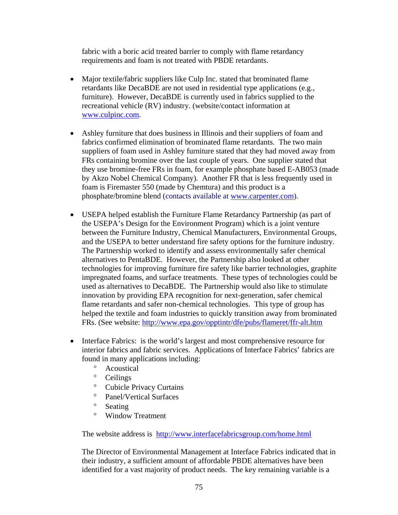fabric with a boric acid treated barrier to comply with flame retardancy requirements and foam is not treated with PBDE retardants.

- Major textile/fabric suppliers like Culp Inc. stated that brominated flame retardants like DecaBDE are not used in residential type applications (e.g., furniture). However, DecaBDE is currently used in fabrics supplied to the recreational vehicle (RV) industry. (website/contact information at www.culpinc.com.
- Ashley furniture that does business in Illinois and their suppliers of foam and fabrics confirmed elimination of brominated flame retardants. The two main suppliers of foam used in Ashley furniture stated that they had moved away from FRs containing bromine over the last couple of years. One supplier stated that they use bromine-free FRs in foam, for example phosphate based E-AB053 (made by Akzo Nobel Chemical Company). Another FR that is less frequently used in foam is Firemaster 550 (made by Chemtura) and this product is a phosphate/bromine blend (contacts available at www.carpenter.com).
- USEPA helped establish the Furniture Flame Retardancy Partnership (as part of the USEPA's Design for the Environment Program) which is a joint venture between the Furniture Industry, Chemical Manufacturers, Environmental Groups, and the USEPA to better understand fire safety options for the furniture industry. The Partnership worked to identify and assess environmentally safer chemical alternatives to PentaBDE. However, the Partnership also looked at other technologies for improving furniture fire safety like barrier technologies, graphite impregnated foams, and surface treatments. These types of technologies could be used as alternatives to DecaBDE. The Partnership would also like to stimulate innovation by providing EPA recognition for next-generation, safer chemical flame retardants and safer non-chemical technologies. This type of group has helped the textile and foam industries to quickly transition away from brominated FRs. (See website: http://www.epa.gov/opptintr/dfe/pubs/flameret/ffr-alt.htm
- Interface Fabrics: is the world's largest and most comprehensive resource for interior fabrics and fabric services. Applications of Interface Fabrics' fabrics are found in many applications including:
	- ° Acoustical
	- ° Ceilings
	- ° Cubicle Privacy Curtains
	- ° Panel/Vertical Surfaces
	- ° Seating
	- ° Window Treatment

The website address is http://www.interfacefabricsgroup.com/home.html

The Director of Environmental Management at Interface Fabrics indicated that in their industry, a sufficient amount of affordable PBDE alternatives have been identified for a vast majority of product needs. The key remaining variable is a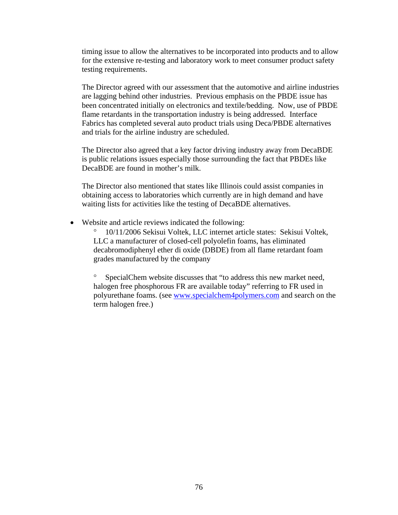timing issue to allow the alternatives to be incorporated into products and to allow for the extensive re-testing and laboratory work to meet consumer product safety testing requirements.

The Director agreed with our assessment that the automotive and airline industries are lagging behind other industries. Previous emphasis on the PBDE issue has been concentrated initially on electronics and textile/bedding. Now, use of PBDE flame retardants in the transportation industry is being addressed. Interface Fabrics has completed several auto product trials using Deca/PBDE alternatives and trials for the airline industry are scheduled.

The Director also agreed that a key factor driving industry away from DecaBDE is public relations issues especially those surrounding the fact that PBDEs like DecaBDE are found in mother's milk.

The Director also mentioned that states like Illinois could assist companies in obtaining access to laboratories which currently are in high demand and have waiting lists for activities like the testing of DecaBDE alternatives.

• Website and article reviews indicated the following:

° 10/11/2006 Sekisui Voltek, LLC internet article states: Sekisui Voltek, LLC a manufacturer of closed-cell polyolefin foams, has eliminated decabromodiphenyl ether di oxide (DBDE) from all flame retardant foam grades manufactured by the company

SpecialChem website discusses that "to address this new market need, halogen free phosphorous FR are available today" referring to FR used in polyurethane foams. (see www.specialchem4polymers.com and search on the term halogen free.)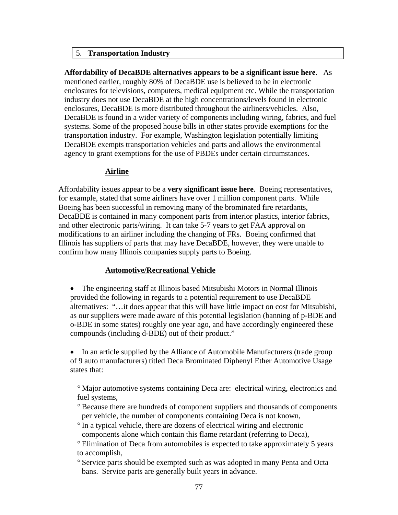#### 5. **Transportation Industry**

**Affordability of DecaBDE alternatives appears to be a significant issue here**. As mentioned earlier, roughly 80% of DecaBDE use is believed to be in electronic enclosures for televisions, computers, medical equipment etc. While the transportation industry does not use DecaBDE at the high concentrations/levels found in electronic enclosures, DecaBDE is more distributed throughout the airliners/vehicles. Also, DecaBDE is found in a wider variety of components including wiring, fabrics, and fuel systems. Some of the proposed house bills in other states provide exemptions for the transportation industry. For example, Washington legislation potentially limiting DecaBDE exempts transportation vehicles and parts and allows the environmental agency to grant exemptions for the use of PBDEs under certain circumstances.

#### **Airline**

Affordability issues appear to be a **very significant issue here**. Boeing representatives, for example, stated that some airliners have over 1 million component parts. While Boeing has been successful in removing many of the brominated fire retardants, DecaBDE is contained in many component parts from interior plastics, interior fabrics, and other electronic parts/wiring. It can take 5-7 years to get FAA approval on modifications to an airliner including the changing of FRs. Boeing confirmed that Illinois has suppliers of parts that may have DecaBDE, however, they were unable to confirm how many Illinois companies supply parts to Boeing.

# **Automotive/Recreational Vehicle**

• The engineering staff at Illinois based Mitsubishi Motors in Normal Illinois provided the following in regards to a potential requirement to use DecaBDE alternatives: "…it does appear that this will have little impact on cost for Mitsubishi, as our suppliers were made aware of this potential legislation (banning of p-BDE and o-BDE in some states) roughly one year ago, and have accordingly engineered these compounds (including d-BDE) out of their product."

• In an article supplied by the Alliance of Automobile Manufacturers (trade group of 9 auto manufacturers) titled Deca Brominated Diphenyl Ether Automotive Usage states that:

° Major automotive systems containing Deca are: electrical wiring, electronics and fuel systems,

- ° Because there are hundreds of component suppliers and thousands of components per vehicle, the number of components containing Deca is not known,
- ° In a typical vehicle, there are dozens of electrical wiring and electronic components alone which contain this flame retardant (referring to Deca),

° Elimination of Deca from automobiles is expected to take approximately 5 years to accomplish,

° Service parts should be exempted such as was adopted in many Penta and Octa bans. Service parts are generally built years in advance.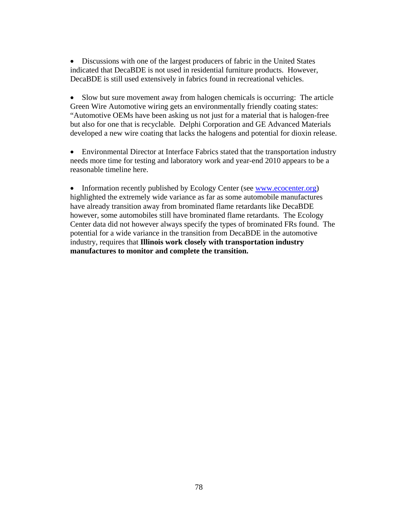• Discussions with one of the largest producers of fabric in the United States indicated that DecaBDE is not used in residential furniture products. However, DecaBDE is still used extensively in fabrics found in recreational vehicles.

• Slow but sure movement away from halogen chemicals is occurring: The article Green Wire Automotive wiring gets an environmentally friendly coating states: "Automotive OEMs have been asking us not just for a material that is halogen-free but also for one that is recyclable. Delphi Corporation and GE Advanced Materials developed a new wire coating that lacks the halogens and potential for dioxin release.

• Environmental Director at Interface Fabrics stated that the transportation industry needs more time for testing and laboratory work and year-end 2010 appears to be a reasonable timeline here.

• Information recently published by Ecology Center (see www.ecocenter.org) highlighted the extremely wide variance as far as some automobile manufactures have already transition away from brominated flame retardants like DecaBDE however, some automobiles still have brominated flame retardants. The Ecology Center data did not however always specify the types of brominated FRs found. The potential for a wide variance in the transition from DecaBDE in the automotive industry, requires that **Illinois work closely with transportation industry manufactures to monitor and complete the transition.**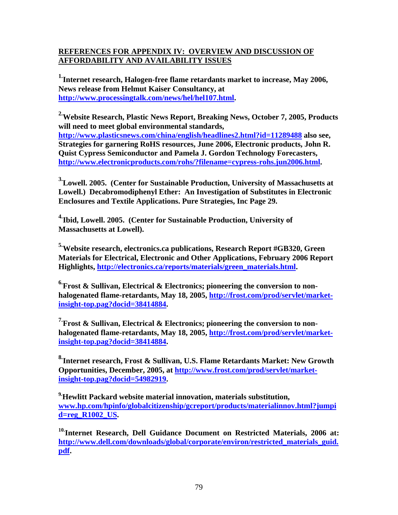# **REFERENCES FOR APPENDIX IV: OVERVIEW AND DISCUSSION OF AFFORDABILITY AND AVAILABILITY ISSUES**

<sup>1.</sup>Internet research, Halogen-free flame retardants market to increase, May 2006, **News release from Helmut Kaiser Consultancy, at http://www.processingtalk.com/news/hel/hel107.html.**

**2.Website Research, Plastic News Report, Breaking News, October 7, 2005, Products will need to meet global environmental standards, http://www.plasticsnews.com/china/english/headlines2.html?id=11289488 also see, Strategies for garnering RoHS resources, June 2006, Electronic products, John R. Quist Cypress Semiconductor and Pamela J. Gordon Technology Forecasters, http://www.electronicproducts.com/rohs/?filename=cypress-rohs.jun2006.html.** 

**3.Lowell. 2005. (Center for Sustainable Production, University of Massachusetts at Lowell.) Decabromodiphenyl Ether: An Investigation of Substitutes in Electronic Enclosures and Textile Applications. Pure Strategies, Inc Page 29.** 

**4.Ibid, Lowell. 2005. (Center for Sustainable Production, University of Massachusetts at Lowell).** 

**5.Website research, electronics.ca publications, Research Report #GB320, Green Materials for Electrical, Electronic and Other Applications, February 2006 Report Highlights, http://electronics.ca/reports/materials/green\_materials.html.** 

**6.Frost & Sullivan, Electrical & Electronics; pioneering the conversion to nonhalogenated flame-retardants, May 18, 2005, http://frost.com/prod/servlet/marketinsight-top.pag?docid=38414884.** 

**7.Frost & Sullivan, Electrical & Electronics; pioneering the conversion to nonhalogenated flame-retardants, May 18, 2005, http://frost.com/prod/servlet/marketinsight-top.pag?docid=38414884.** 

**8.Internet research, Frost & Sullivan, U.S. Flame Retardants Market: New Growth Opportunities, December, 2005, at http://www.frost.com/prod/servlet/marketinsight-top.pag?docid=54982919.** 

**9.Hewlitt Packard website material innovation, materials substitution, www.hp.com/hpinfo/globalcitizenship/gcreport/products/materialinnov.html?jumpi d=reg\_R1002\_US.** 

**10.Internet Research, Dell Guidance Document on Restricted Materials, 2006 at: http://www.dell.com/downloads/global/corporate/environ/restricted\_materials\_guid. pdf.**